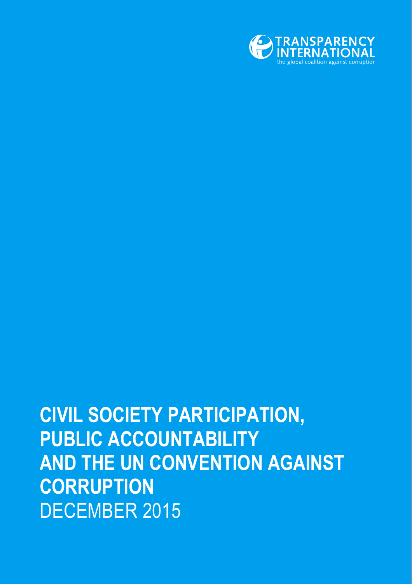

# **CIVIL SOCIETY PARTICIPATION, PUBLIC ACCOUNTABILITY AND THE UN CONVENTION AGAINST CORRUPTION** DECEMBER 2015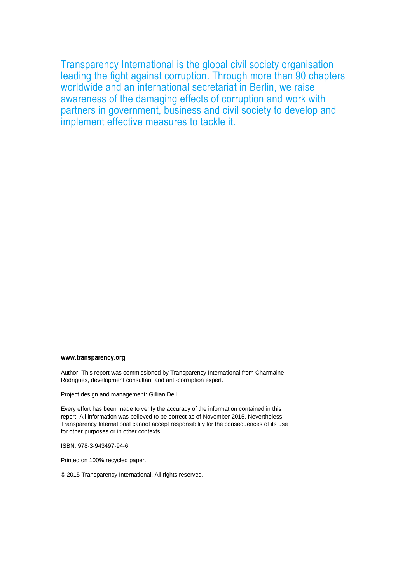Transparency International is the global civil society organisation leading the fight against corruption. Through more than 90 chapters worldwide and an international secretariat in Berlin, we raise awareness of the damaging effects of corruption and work with partners in government, business and civil society to develop and implement effective measures to tackle it.

#### **www.transparency.org**

Author: This report was commissioned by Transparency International from Charmaine Rodrigues, development consultant and anti-corruption expert.

Project design and management: Gillian Dell

Every effort has been made to verify the accuracy of the information contained in this report. All information was believed to be correct as of November 2015. Nevertheless, Transparency International cannot accept responsibility for the consequences of its use for other purposes or in other contexts.

ISBN: 978-3-943497-94-6

Printed on 100% recycled paper.

© 2015 Transparency International. All rights reserved.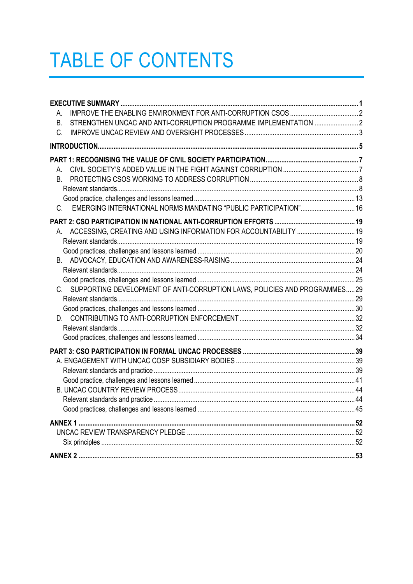# **TABLE OF CONTENTS**

| А.                                                                            |  |
|-------------------------------------------------------------------------------|--|
| STRENGTHEN UNCAC AND ANTI-CORRUPTION PROGRAMME IMPLEMENTATION  2<br><b>B.</b> |  |
| C.                                                                            |  |
|                                                                               |  |
|                                                                               |  |
| А.                                                                            |  |
| В.                                                                            |  |
|                                                                               |  |
|                                                                               |  |
| EMERGING INTERNATIONAL NORMS MANDATING "PUBLIC PARTICIPATION" 16<br>C.        |  |
|                                                                               |  |
| ACCESSING, CREATING AND USING INFORMATION FOR ACCOUNTABILITY  19              |  |
|                                                                               |  |
|                                                                               |  |
|                                                                               |  |
|                                                                               |  |
|                                                                               |  |
| C. SUPPORTING DEVELOPMENT OF ANTI-CORRUPTION LAWS, POLICIES AND PROGRAMMES 29 |  |
|                                                                               |  |
|                                                                               |  |
|                                                                               |  |
|                                                                               |  |
|                                                                               |  |
|                                                                               |  |
|                                                                               |  |
|                                                                               |  |
|                                                                               |  |
|                                                                               |  |
|                                                                               |  |
|                                                                               |  |
|                                                                               |  |
|                                                                               |  |
|                                                                               |  |
|                                                                               |  |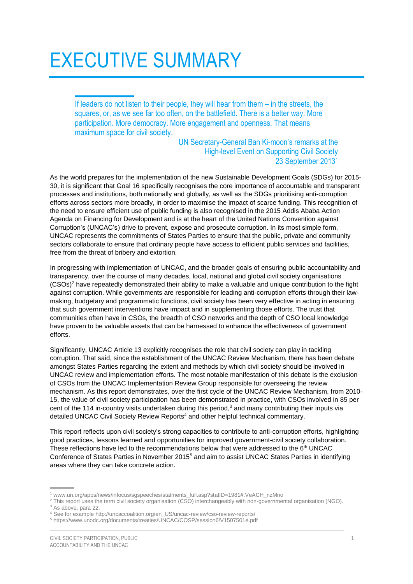# <span id="page-4-0"></span>EXECUTIVE SUMMARY

If leaders do not listen to their people, they will hear from them – in the streets, the squares, or, as we see far too often, on the battlefield. There is a better way. More participation. More democracy. More engagement and openness. That means maximum space for civil society.

> UN Secretary-General Ban Ki-moon's remarks at the High-level Event on Supporting Civil Society 23 September 2013<sup>1</sup>

As the world prepares for the implementation of the new Sustainable Development Goals (SDGs) for 2015- 30, it is significant that Goal 16 specifically recognises the core importance of accountable and transparent processes and institutions, both nationally and globally, as well as the SDGs prioritising anti-corruption efforts across sectors more broadly, in order to maximise the impact of scarce funding. This recognition of the need to ensure efficient use of public funding is also recognised in the 2015 Addis Ababa Action Agenda on Financing for Development and is at the heart of the United Nations Convention against Corruption's (UNCAC's) drive to prevent, expose and prosecute corruption. In its most simple form, UNCAC represents the commitments of States Parties to ensure that the public, private and community sectors collaborate to ensure that ordinary people have access to efficient public services and facilities, free from the threat of bribery and extortion.

In progressing with implementation of UNCAC, and the broader goals of ensuring public accountability and transparency, over the course of many decades, local, national and global civil society organisations (CSOs)<sup>2</sup> have repeatedly demonstrated their ability to make a valuable and unique contribution to the fight against corruption. While governments are responsible for leading anti-corruption efforts through their lawmaking, budgetary and programmatic functions, civil society has been very effective in acting in ensuring that such government interventions have impact and in supplementing those efforts. The trust that communities often have in CSOs, the breadth of CSO networks and the depth of CSO local knowledge have proven to be valuable assets that can be harnessed to enhance the effectiveness of government efforts.

Significantly, UNCAC Article 13 explicitly recognises the role that civil society can play in tackling corruption. That said, since the establishment of the UNCAC Review Mechanism, there has been debate amongst States Parties regarding the extent and methods by which civil society should be involved in UNCAC review and implementation efforts. The most notable manifestation of this debate is the exclusion of CSOs from the UNCAC Implementation Review Group responsible for overseeing the review mechanism. As this report demonstrates, over the first cycle of the UNCAC Review Mechanism, from 2010- 15, the value of civil society participation has been demonstrated in practice, with CSOs involved in 85 per cent of the 114 in-country visits undertaken during this period,<sup>3</sup> and many contributing their inputs via detailed UNCAC Civil Society Review Reports<sup>4</sup> and other helpful technical commentary.

This report reflects upon civil society's strong capacities to contribute to anti-corruption efforts, highlighting good practices, lessons learned and opportunities for improved government-civil society collaboration. These reflections have led to the recommendations below that were addressed to the  $6<sup>th</sup>$  UNCAC Conference of States Parties in November 2015<sup>5</sup> and aim to assist UNCAC States Parties in identifying areas where they can take concrete action.

[www.un.org/apps/news/infocus/sgspeeches/statments\\_full.asp?statID=1981#.VeACH\\_nzMno](http://www.un.org/apps/news/infocus/sgspeeches/statments_full.asp?statID=1981#.VeACH_nzMno)

<sup>&</sup>lt;sup>2</sup> This report uses the term civil society organisation (CSO) interchangeably with non-governmental organisation (NGO). <sup>3</sup> As above, para 22.

<sup>4</sup> See for example http://uncaccoalition.org/en\_US/uncac-review/cso-review-reports/

<sup>5</sup> https://www.unodc.org/documents/treaties/UNCAC/COSP/session6/V1507501e.pdf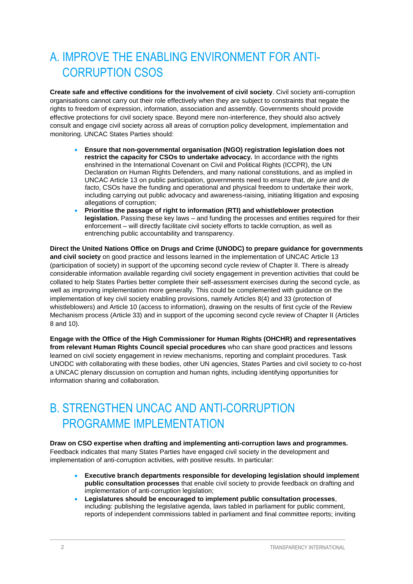# <span id="page-5-0"></span>A. IMPROVE THE ENABLING ENVIRONMENT FOR ANTI-CORRUPTION CSOS

**Create safe and effective conditions for the involvement of civil society**. Civil society anti-corruption organisations cannot carry out their role effectively when they are subject to constraints that negate the rights to freedom of expression, information, association and assembly. Governments should provide effective protections for civil society space. Beyond mere non-interference, they should also actively consult and engage civil society across all areas of corruption policy development, implementation and monitoring. UNCAC States Parties should:

- **Ensure that non-governmental organisation (NGO) registration legislation does not restrict the capacity for CSOs to undertake advocacy.** In accordance with the rights enshrined in the International Covenant on Civil and Political Rights (ICCPR), the UN Declaration on Human Rights Defenders, and many national constitutions, and as implied in UNCAC Article 13 on public participation, governments need to ensure that, *de jure* and *de facto*, CSOs have the funding and operational and physical freedom to undertake their work, including carrying out public advocacy and awareness-raising, initiating litigation and exposing allegations of corruption;
- **Prioritise the passage of right to information (RTI) and whistleblower protection legislation.** Passing these key laws – and funding the processes and entities required for their enforcement – will directly facilitate civil society efforts to tackle corruption, as well as entrenching public accountability and transparency.

**Direct the United Nations Office on Drugs and Crime (UNODC) to prepare guidance for governments and civil society** on good practice and lessons learned in the implementation of UNCAC Article 13 (participation of society) in support of the upcoming second cycle review of Chapter II. There is already considerable information available regarding civil society engagement in prevention activities that could be collated to help States Parties better complete their self-assessment exercises during the second cycle, as well as improving implementation more generally. This could be complemented with guidance on the implementation of key civil society enabling provisions, namely Articles 8(4) and 33 (protection of whistleblowers) and Article 10 (access to information), drawing on the results of first cycle of the Review Mechanism process (Article 33) and in support of the upcoming second cycle review of Chapter II (Articles 8 and 10).

**Engage with the Office of the High Commissioner for Human Rights (OHCHR) and representatives from relevant Human Rights Council special procedures** who can share good practices and lessons learned on civil society engagement in review mechanisms, reporting and complaint procedures. Task UNODC with collaborating with these bodies, other UN agencies, States Parties and civil society to co-host a UNCAC plenary discussion on corruption and human rights, including identifying opportunities for information sharing and collaboration.

# <span id="page-5-1"></span>B. STRENGTHEN UNCAC AND ANTI-CORRUPTION PROGRAMME IMPI EMENTATION

#### **Draw on CSO expertise when drafting and implementing anti-corruption laws and programmes.**

Feedback indicates that many States Parties have engaged civil society in the development and implementation of anti-corruption activities, with positive results. In particular:

- **Executive branch departments responsible for developing legislation should implement public consultation processes** that enable civil society to provide feedback on drafting and implementation of anti-corruption legislation;
- **Legislatures should be encouraged to implement public consultation processes**, including: publishing the legislative agenda, laws tabled in parliament for public comment, reports of independent commissions tabled in parliament and final committee reports; inviting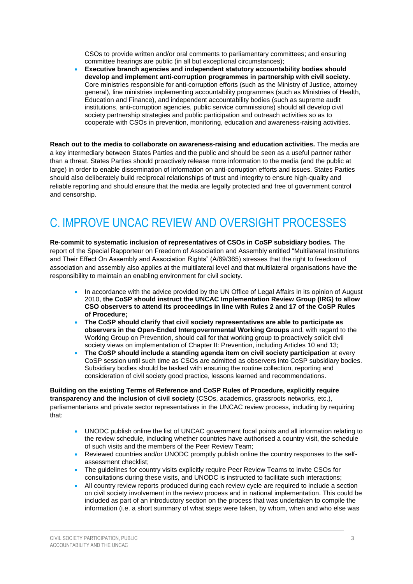CSOs to provide written and/or oral comments to parliamentary committees; and ensuring committee hearings are public (in all but exceptional circumstances);

 **Executive branch agencies and independent statutory accountability bodies should develop and implement anti-corruption programmes in partnership with civil society.** Core ministries responsible for anti-corruption efforts (such as the Ministry of Justice, attorney general), line ministries implementing accountability programmes (such as Ministries of Health, Education and Finance), and independent accountability bodies (such as supreme audit institutions, anti-corruption agencies, public service commissions) should all develop civil society partnership strategies and public participation and outreach activities so as to cooperate with CSOs in prevention, monitoring, education and awareness-raising activities.

**Reach out to the media to collaborate on awareness-raising and education activities.** The media are a key intermediary between States Parties and the public and should be seen as a useful partner rather than a threat. States Parties should proactively release more information to the media (and the public at large) in order to enable dissemination of information on anti-corruption efforts and issues. States Parties should also deliberately build reciprocal relationships of trust and integrity to ensure high-quality and reliable reporting and should ensure that the media are legally protected and free of government control and censorship.

# <span id="page-6-0"></span>C. IMPROVE UNCAC REVIEW AND OVERSIGHT PROCESSES

**Re-commit to systematic inclusion of representatives of CSOs in CoSP subsidiary bodies.** The report of the Special Rapporteur on Freedom of Association and Assembly entitled "Multilateral Institutions and Their Effect On Assembly and Association Rights" (A/69/365) stresses that the right to freedom of association and assembly also applies at the multilateral level and that multilateral organisations have the responsibility to maintain an enabling environment for civil society.

- In accordance with the advice provided by the UN Office of Legal Affairs in its opinion of August 2010, **the CoSP should instruct the UNCAC Implementation Review Group (IRG) to allow CSO observers to attend its proceedings in line with Rules 2 and 17 of the CoSP Rules of Procedure;**
- **The CoSP should clarify that civil society representatives are able to participate as observers in the Open-Ended Intergovernmental Working Groups** and, with regard to the Working Group on Prevention, should call for that working group to proactively solicit civil society views on implementation of Chapter II: Prevention, including Articles 10 and 13;
- **The CoSP should include a standing agenda item on civil society participation** at every CoSP session until such time as CSOs are admitted as observers into CoSP subsidiary bodies. Subsidiary bodies should be tasked with ensuring the routine collection, reporting and consideration of civil society good practice, lessons learned and recommendations.

**Building on the existing Terms of Reference and CoSP Rules of Procedure, explicitly require transparency and the inclusion of civil society** (CSOs, academics, grassroots networks, etc.), parliamentarians and private sector representatives in the UNCAC review process, including by requiring that:

- UNODC publish online the list of UNCAC government focal points and all information relating to the review schedule, including whether countries have authorised a country visit, the schedule of such visits and the members of the Peer Review Team;
- Reviewed countries and/or UNODC promptly publish online the country responses to the selfassessment checklist;
- The guidelines for country visits explicitly require Peer Review Teams to invite CSOs for consultations during these visits, and UNODC is instructed to facilitate such interactions;
- All country review reports produced during each review cycle are required to include a section on civil society involvement in the review process and in national implementation. This could be included as part of an introductory section on the process that was undertaken to compile the information (i.e. a short summary of what steps were taken, by whom, when and who else was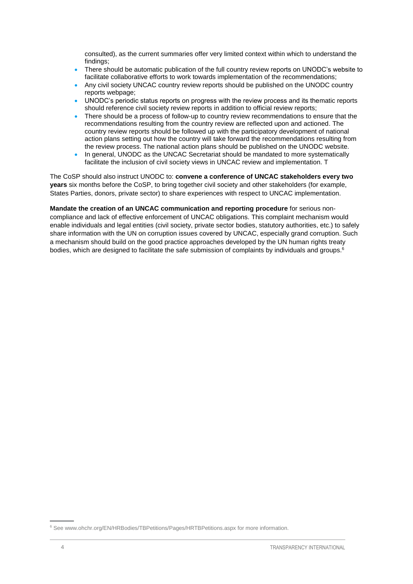consulted), as the current summaries offer very limited context within which to understand the findings;

- There should be automatic publication of the full country review reports on UNODC's website to facilitate collaborative efforts to work towards implementation of the recommendations;
- Any civil society UNCAC country review reports should be published on the UNODC country reports webpage;
- UNODC's periodic status reports on progress with the review process and its thematic reports should reference civil society review reports in addition to official review reports;
- There should be a process of follow-up to country review recommendations to ensure that the recommendations resulting from the country review are reflected upon and actioned. The country review reports should be followed up with the participatory development of national action plans setting out how the country will take forward the recommendations resulting from the review process. The national action plans should be published on the UNODC website.
- In general, UNODC as the UNCAC Secretariat should be mandated to more systematically facilitate the inclusion of civil society views in UNCAC review and implementation. T

The CoSP should also instruct UNODC to: **convene a conference of UNCAC stakeholders every two years** six months before the CoSP, to bring together civil society and other stakeholders (for example, States Parties, donors, private sector) to share experiences with respect to UNCAC implementation.

**Mandate the creation of an UNCAC communication and reporting procedure** for serious noncompliance and lack of effective enforcement of UNCAC obligations. This complaint mechanism would enable individuals and legal entities (civil society, private sector bodies, statutory authorities, etc.) to safely share information with the UN on corruption issues covered by UNCAC, especially grand corruption. Such a mechanism should build on the good practice approaches developed by the UN human rights treaty bodies, which are designed to facilitate the safe submission of complaints by individuals and groups.<sup>6</sup>

<sup>6</sup> Se[e www.ohchr.org/EN/HRBodies/TBPetitions/Pages/HRTBPetitions.aspx](http://www.ohchr.org/EN/HRBodies/TBPetitions/Pages/HRTBPetitions.aspx) for more information.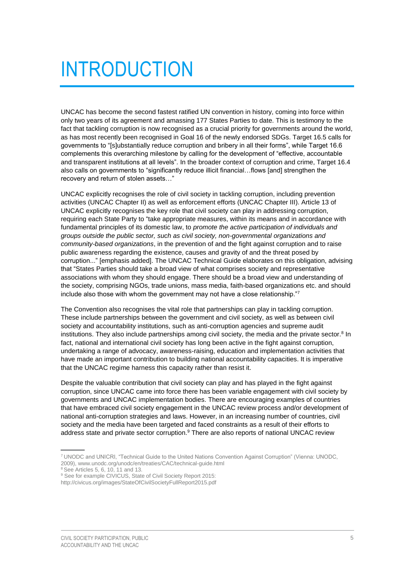# <span id="page-8-0"></span>INTRODUCTION

UNCAC has become the second fastest ratified UN convention in history, coming into force within only two years of its agreement and amassing 177 States Parties to date. This is testimony to the fact that tackling corruption is now recognised as a crucial priority for governments around the world, as has most recently been recognised in Goal 16 of the newly endorsed SDGs. Target 16.5 calls for governments to "[s]ubstantially reduce corruption and bribery in all their forms", while Target 16.6 complements this overarching milestone by calling for the development of "effective, accountable and transparent institutions at all levels". In the broader context of corruption and crime, Target 16.4 also calls on governments to "significantly reduce illicit financial...flows [and] strengthen the recovery and return of stolen assets…"

UNCAC explicitly recognises the role of civil society in tackling corruption, including prevention activities (UNCAC Chapter II) as well as enforcement efforts (UNCAC Chapter III). Article 13 of UNCAC explicitly recognises the key role that civil society can play in addressing corruption, requiring each State Party to "take appropriate measures, within its means and in accordance with fundamental principles of its domestic law, to *promote the active participation of individuals and groups outside the public sector, such as civil society, non-governmental organizations and community-based organizations*, in the prevention of and the fight against corruption and to raise public awareness regarding the existence, causes and gravity of and the threat posed by corruption..." [emphasis added]. The UNCAC Technical Guide elaborates on this obligation, advising that "States Parties should take a broad view of what comprises society and representative associations with whom they should engage. There should be a broad view and understanding of the society, comprising NGOs, trade unions, mass media, faith-based organizations etc. and should include also those with whom the government may not have a close relationship."<sup>7</sup>

The Convention also recognises the vital role that partnerships can play in tackling corruption. These include partnerships between the government and civil society, as well as between civil society and accountability institutions, such as anti-corruption agencies and supreme audit institutions. They also include partnerships among civil society, the media and the private sector.<sup>8</sup> In fact, national and international civil society has long been active in the fight against corruption, undertaking a range of advocacy, awareness-raising, education and implementation activities that have made an important contribution to building national accountability capacities. It is imperative that the UNCAC regime harness this capacity rather than resist it.

Despite the valuable contribution that civil society can play and has played in the fight against corruption, since UNCAC came into force there has been variable engagement with civil society by governments and UNCAC implementation bodies. There are encouraging examples of countries that have embraced civil society engagement in the UNCAC review process and/or development of national anti-corruption strategies and laws. However, in an increasing number of countries, civil society and the media have been targeted and faced constraints as a result of their efforts to address state and private sector corruption.<sup>9</sup> There are also reports of national UNCAC review

<sup>8</sup> See Articles 5, 6, 10, 11 and 13.

<sup>7</sup> UNODC and UNICRI, "Technical Guide to the United Nations Convention Against Corruption" (Vienna: UNODC, 2009), [www.unodc.org/unodc/en/treaties/CAC/technical-guide.html](https://www.unodc.org/unodc/en/treaties/CAC/technical-guide.html)

<sup>&</sup>lt;sup>9</sup> See for example CIVICUS, State of Civil Society Report 2015:

http://civicus.org/images/StateOfCivilSocietyFullReport2015.pdf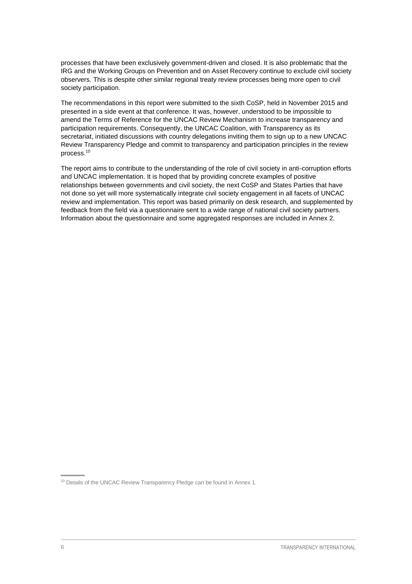processes that have been exclusively government-driven and closed. It is also problematic that the IRG and the Working Groups on Prevention and on Asset Recovery continue to exclude civil society observers. This is despite other similar regional treaty review processes being more open to civil society participation.

The recommendations in this report were submitted to the sixth CoSP, held in November 2015 and presented in a side event at that conference. It was, however, understood to be impossible to amend the Terms of Reference for the UNCAC Review Mechanism to increase transparency and participation requirements. Consequently, the UNCAC Coalition, with Transparency as its secretariat, initiated discussions with country delegations inviting them to sign up to a new UNCAC Review Transparency Pledge and commit to transparency and participation principles in the review process.<sup>10</sup>

The report aims to contribute to the understanding of the role of civil society in anti-corruption efforts and UNCAC implementation. It is hoped that by providing concrete examples of positive relationships between governments and civil society, the next CoSP and States Parties that have not done so yet will more systematically integrate civil society engagement in all facets of UNCAC review and implementation. This report was based primarily on desk research, and supplemented by feedback from the field via a questionnaire sent to a wide range of national civil society partners. Information about the questionnaire and some aggregated responses are included in Annex 2.

<sup>&</sup>lt;sup>10</sup> Details of the UNCAC Review Transparency Pledge can be found in Annex 1.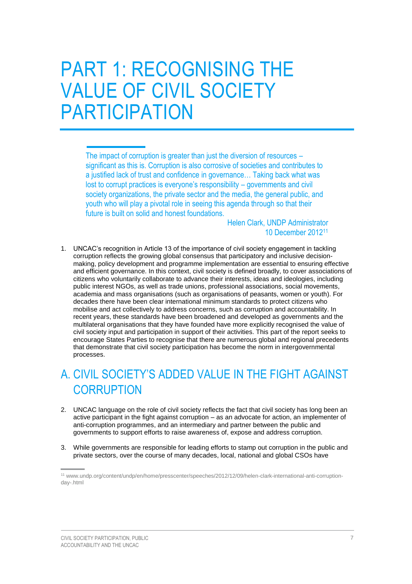# <span id="page-10-0"></span>PART 1: RECOGNISING THE VALUE OF CIVIL SOCIETY PARTICIPATION

The impact of corruption is greater than just the diversion of resources – significant as this is. Corruption is also corrosive of societies and contributes to a justified lack of trust and confidence in governance… Taking back what was lost to corrupt practices is everyone's responsibility – governments and civil society organizations, the private sector and the media, the general public, and youth who will play a pivotal role in seeing this agenda through so that their future is built on solid and honest foundations.

> Helen Clark, UNDP Administrator 10 December 2012<sup>11</sup>

1. UNCAC's recognition in Article 13 of the importance of civil society engagement in tackling corruption reflects the growing global consensus that participatory and inclusive decisionmaking, policy development and programme implementation are essential to ensuring effective and efficient governance. In this context, civil society is defined broadly, to cover associations of citizens who voluntarily collaborate to advance their interests, ideas and ideologies, including public interest NGOs, as well as trade unions, professional associations, social movements, academia and mass organisations (such as organisations of peasants, women or youth). For decades there have been clear international minimum standards to protect citizens who mobilise and act collectively to address concerns, such as corruption and accountability. In recent years, these standards have been broadened and developed as governments and the multilateral organisations that they have founded have more explicitly recognised the value of civil society input and participation in support of their activities. This part of the report seeks to encourage States Parties to recognise that there are numerous global and regional precedents that demonstrate that civil society participation has become the norm in intergovernmental processes.

# <span id="page-10-1"></span>A. CIVIL SOCIETY'S ADDED VALUE IN THE FIGHT AGAINST **CORRUPTION**

- 2. UNCAC language on the role of civil society reflects the fact that civil society has long been an active participant in the fight against corruption – as an advocate for action, an implementer of anti-corruption programmes, and an intermediary and partner between the public and governments to support efforts to raise awareness of, expose and address corruption.
- 3. While governments are responsible for leading efforts to stamp out corruption in the public and private sectors, over the course of many decades, local, national and global CSOs have

<sup>11</sup> [www.undp.org/content/undp/en/home/presscenter/speeches/2012/12/09/helen-clark-international-anti-corruption](http://www.undp.org/content/undp/en/home/presscenter/speeches/2012/12/09/helen-clark-international-anti-corruption-day-.html)[day-.html](http://www.undp.org/content/undp/en/home/presscenter/speeches/2012/12/09/helen-clark-international-anti-corruption-day-.html)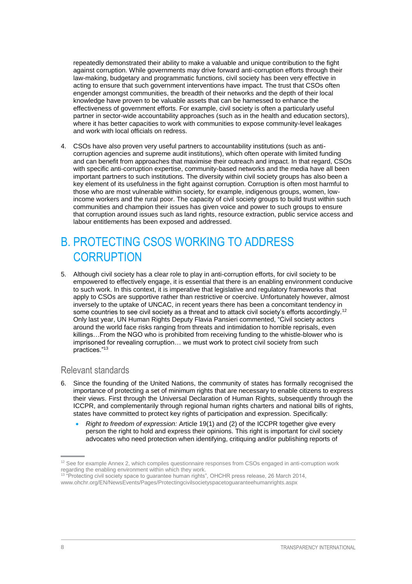repeatedly demonstrated their ability to make a valuable and unique contribution to the fight against corruption. While governments may drive forward anti-corruption efforts through their law-making, budgetary and programmatic functions, civil society has been very effective in acting to ensure that such government interventions have impact. The trust that CSOs often engender amongst communities, the breadth of their networks and the depth of their local knowledge have proven to be valuable assets that can be harnessed to enhance the effectiveness of government efforts. For example, civil society is often a particularly useful partner in sector-wide accountability approaches (such as in the health and education sectors), where it has better capacities to work with communities to expose community-level leakages and work with local officials on redress.

4. CSOs have also proven very useful partners to accountability institutions (such as anticorruption agencies and supreme audit institutions), which often operate with limited funding and can benefit from approaches that maximise their outreach and impact. In that regard, CSOs with specific anti-corruption expertise, community-based networks and the media have all been important partners to such institutions. The diversity within civil society groups has also been a key element of its usefulness in the fight against corruption. Corruption is often most harmful to those who are most vulnerable within society, for example, indigenous groups, women, lowincome workers and the rural poor. The capacity of civil society groups to build trust within such communities and champion their issues has given voice and power to such groups to ensure that corruption around issues such as land rights, resource extraction, public service access and labour entitlements has been exposed and addressed.

## <span id="page-11-0"></span>B. PROTECTING CSOS WORKING TO ADDRESS **CORRUPTION**

5. Although civil society has a clear role to play in anti-corruption efforts, for civil society to be empowered to effectively engage, it is essential that there is an enabling environment conducive to such work. In this context, it is imperative that legislative and regulatory frameworks that apply to CSOs are supportive rather than restrictive or coercive. Unfortunately however, almost inversely to the uptake of UNCAC, in recent years there has been a concomitant tendency in some countries to see civil society as a threat and to attack civil society's efforts accordingly.<sup>12</sup> Only last year, UN Human Rights Deputy Flavia Pansieri commented, "Civil society actors around the world face risks ranging from threats and intimidation to horrible reprisals, even killings…From the NGO who is prohibited from receiving funding to the whistle-blower who is imprisoned for revealing corruption… we must work to protect civil society from such practices."<sup>13</sup>

### <span id="page-11-1"></span>Relevant standards

- 6. Since the founding of the United Nations, the community of states has formally recognised the importance of protecting a set of minimum rights that are necessary to enable citizens to express their views. First through the Universal Declaration of Human Rights, subsequently through the ICCPR, and complementarily through regional human rights charters and national bills of rights, states have committed to protect key rights of participation and expression. Specifically:
	- *Right to freedom of expression:* Article 19(1) and (2) of the ICCPR together give every person the right to hold and express their opinions. This right is important for civil society advocates who need protection when identifying, critiquing and/or publishing reports of

<sup>13</sup> "Protecting civil society space to guarantee human rights", OHCHR press release, 26 March 2014, [www.ohchr.org/EN/NewsEvents/Pages/Protectingcivilsocietyspacetoguaranteehumanrights.aspx](http://www.ohchr.org/EN/NewsEvents/Pages/Protectingcivilsocietyspacetoguaranteehumanrights.aspx)

<sup>&</sup>lt;sup>12</sup> See for example Annex 2, which compiles questionnaire responses from CSOs engaged in anti-corruption work regarding the enabling environment within which they work.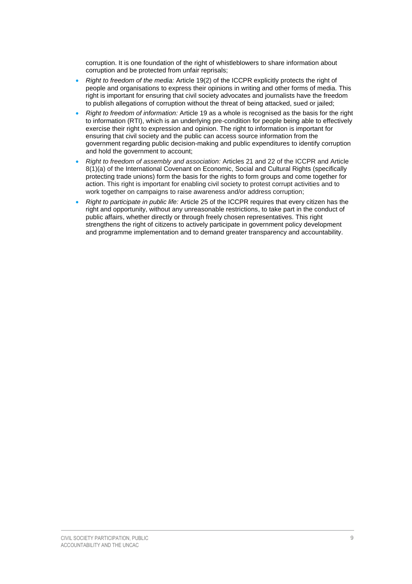corruption. It is one foundation of the right of whistleblowers to share information about corruption and be protected from unfair reprisals;

- *Right to freedom of the media:* Article 19(2) of the ICCPR explicitly protects the right of people and organisations to express their opinions in writing and other forms of media. This right is important for ensuring that civil society advocates and journalists have the freedom to publish allegations of corruption without the threat of being attacked, sued or jailed;
- *Right to freedom of information:* Article 19 as a whole is recognised as the basis for the right to information (RTI), which is an underlying pre-condition for people being able to effectively exercise their right to expression and opinion. The right to information is important for ensuring that civil society and the public can access source information from the government regarding public decision-making and public expenditures to identify corruption and hold the government to account;
- *Right to freedom of assembly and association:* Articles 21 and 22 of the ICCPR and Article 8(1)(a) of the International Covenant on Economic, Social and Cultural Rights (specifically protecting trade unions) form the basis for the rights to form groups and come together for action. This right is important for enabling civil society to protest corrupt activities and to work together on campaigns to raise awareness and/or address corruption;
- *Right to participate in public life:* Article 25 of the ICCPR requires that every citizen has the right and opportunity, without any unreasonable restrictions, to take part in the conduct of public affairs, whether directly or through freely chosen representatives. This right strengthens the right of citizens to actively participate in government policy development and programme implementation and to demand greater transparency and accountability.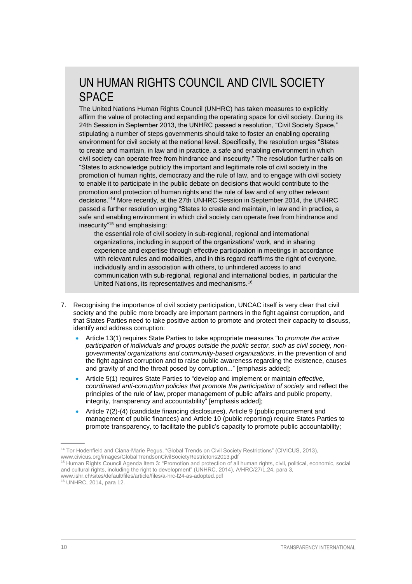## UN HUMAN RIGHTS COUNCIL AND CIVIL SOCIETY SPACE

The United Nations Human Rights Council (UNHRC) has taken measures to explicitly affirm the value of protecting and expanding the operating space for civil society. During its 24th Session in September 2013, the UNHRC passed a resolution, "Civil Society Space," stipulating a number of steps governments should take to foster an enabling operating environment for civil society at the national level. Specifically, the resolution urges "States to create and maintain, in law and in practice, a safe and enabling environment in which civil society can operate free from hindrance and insecurity." The resolution further calls on "States to acknowledge publicly the important and legitimate role of civil society in the promotion of human rights, democracy and the rule of law, and to engage with civil society to enable it to participate in the public debate on decisions that would contribute to the promotion and protection of human rights and the rule of law and of any other relevant decisions."<sup>14</sup> More recently, at the 27th UNHRC Session in September 2014, the UNHRC passed a further resolution urging "States to create and maintain, in law and in practice, a safe and enabling environment in which civil society can operate free from hindrance and insecurity"<sup>15</sup> and emphasising:

the essential role of civil society in sub-regional, regional and international organizations, including in support of the organizations' work, and in sharing experience and expertise through effective participation in meetings in accordance with relevant rules and modalities, and in this regard reaffirms the right of everyone, individually and in association with others, to unhindered access to and communication with sub-regional, regional and international bodies, in particular the United Nations, its representatives and mechanisms.16

- 7. Recognising the importance of civil society participation, UNCAC itself is very clear that civil society and the public more broadly are important partners in the fight against corruption, and that States Parties need to take positive action to promote and protect their capacity to discuss, identify and address corruption:
	- Article 13(1) requires State Parties to take appropriate measures "to *promote the active participation of individuals and groups outside the public sector, such as civil society, nongovernmental organizations and community-based organizations*, in the prevention of and the fight against corruption and to raise public awareness regarding the existence, causes and gravity of and the threat posed by corruption..." [emphasis added];
	- Article 5(1) requires State Parties to "develop and implement or maintain *effective, coordinated anti-corruption policies that promote the participation of society* and reflect the principles of the rule of law, proper management of public affairs and public property, integrity, transparency and accountability" [emphasis added];
	- Article 7(2)-(4) (candidate financing disclosures), Article 9 (public procurement and management of public finances) and Article 10 (public reporting) require States Parties to promote transparency, to facilitate the public's capacity to promote public accountability;

<sup>14</sup> Tor Hodenfield and Ciana-Marie Pegus, "Global Trends on Civil Society Restrictions" (CIVICUS, 2013), [www.civicus.org/images/GlobalTrendsonCivilSocietyRestrictons2013.pdf](http://www.civicus.org/images/GlobalTrendsonCivilSocietyRestrictons2013.pdf)

<sup>15</sup> Human Rights Council Agenda Item 3: "Promotion and protection of all human rights, civil, political, economic, social and cultural rights, including the right to development" (UNHRC, 2014), A/HRC/27/L.24, para 3, [www.ishr.ch/sites/default/files/article/files/a-hrc-l24-as-adopted.pdf](http://www.ishr.ch/sites/default/files/article/files/a-hrc-l24-as-adopted.pdf)

<sup>16</sup> UNHRC, 2014, para 12.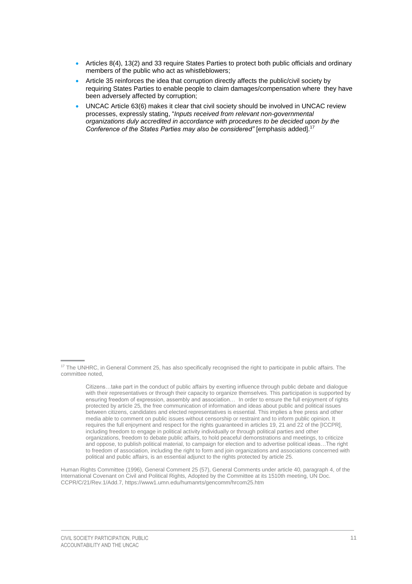- Articles 8(4), 13(2) and 33 require States Parties to protect both public officials and ordinary members of the public who act as whistleblowers;
- Article 35 reinforces the idea that corruption directly affects the public/civil society by requiring States Parties to enable people to claim damages/compensation where they have been adversely affected by corruption;
- UNCAC Article 63(6) makes it clear that civil society should be involved in UNCAC review processes, expressly stating, "*Inputs received from relevant non-governmental organizations duly accredited in accordance with procedures to be decided upon by the Conference of the States Parties may also be considered"* [emphasis added].<sup>17</sup>

Human Rights Committee (1996), General Comment 25 (57), General Comments under article 40, paragraph 4, of the International Covenant on Civil and Political Rights, Adopted by the Committee at its 1510th meeting, UN Doc. CCPR/C/21/Rev.1/Add.7[, https://www1.umn.edu/humanrts/gencomm/hrcom25.htm](https://www1.umn.edu/humanrts/gencomm/hrcom25.htm)

<sup>&</sup>lt;sup>17</sup> The UNHRC, in General Comment 25, has also specifically recognised the right to participate in public affairs. The committee noted,

Citizens…take part in the conduct of public affairs by exerting influence through public debate and dialogue with their representatives or through their capacity to organize themselves. This participation is supported by ensuring freedom of expression, assembly and association… In order to ensure the full enjoyment of rights protected by article 25, the free communication of information and ideas about public and political issues between citizens, candidates and elected representatives is essential. This implies a free press and other media able to comment on public issues without censorship or restraint and to inform public opinion. It requires the full enjoyment and respect for the rights guaranteed in articles 19, 21 and 22 of the [ICCPR], including freedom to engage in political activity individually or through political parties and other organizations, freedom to debate public affairs, to hold peaceful demonstrations and meetings, to criticize and oppose, to publish political material, to campaign for election and to advertise political ideas…The right to freedom of association, including the right to form and join organizations and associations concerned with political and public affairs, is an essential adjunct to the rights protected by article 25.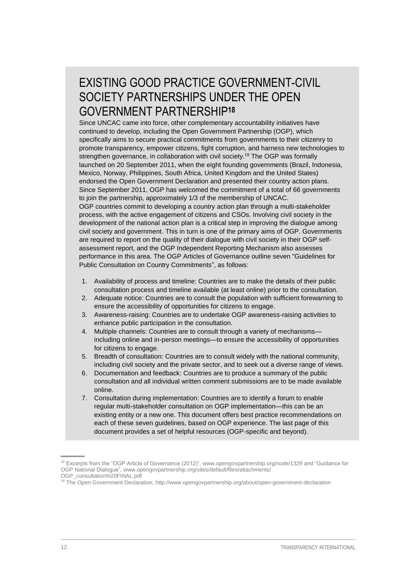## EXISTING GOOD PRACTICE GOVERNMENT-CIVIL SOCIETY PARTNERSHIPS UNDER THE OPEN GOVERNMENT PARTNERSHIP**<sup>18</sup>**

Since UNCAC came into force, other complementary accountability initiatives have continued to develop, including the Open Government Partnership (OGP), which specifically aims to secure practical commitments from governments to their citizenry to promote transparency, empower citizens, fight corruption, and harness new technologies to strengthen governance, in collaboration with civil society. <sup>19</sup> The OGP was formally launched on 20 September 2011, when the eight founding governments (Brazil, Indonesia, Mexico, Norway, Philippines, South Africa, United Kingdom and the United States) endorsed the Open Government Declaration and presented their country action plans. Since September 2011, OGP has welcomed the commitment of a total of 66 governments to join the partnership, approximately 1/3 of the membership of UNCAC. OGP countries commit to developing a country action plan through a multi-stakeholder process, with the active engagement of citizens and CSOs. Involving civil society in the development of the national action plan is a critical step in improving the dialogue among civil society and government. This in turn is one of the primary aims of OGP. Governments are required to report on the quality of their dialogue with civil society in their OGP selfassessment report, and the OGP Independent Reporting Mechanism also assesses performance in this area. The OGP Articles of Governance outline seven "Guidelines for Public Consultation on Country Commitments", as follows:

- 1. Availability of process and timeline: Countries are to make the details of their public consultation process and timeline available (at least online) prior to the consultation.
- 2. Adequate notice: Countries are to consult the population with sufficient forewarning to ensure the accessibility of opportunities for citizens to engage.
- 3. Awareness-raising: Countries are to undertake OGP awareness-raising activities to enhance public participation in the consultation.
- 4. Multiple channels: Countries are to consult through a variety of mechanisms including online and in-person meetings—to ensure the accessibility of opportunities for citizens to engage.
- 5. Breadth of consultation: Countries are to consult widely with the national community, including civil society and the private sector, and to seek out a diverse range of views.
- 6. Documentation and feedback: Countries are to produce a summary of the public consultation and all individual written comment submissions are to be made available online.
- 7. Consultation during implementation: Countries are to identify a forum to enable regular multi-stakeholder consultation on OGP implementation—this can be an existing entity or a new one. This document offers best practice recommendations on each of these seven guidelines, based on OGP experience. The last page of this document provides a set of helpful resources (OGP-specific and beyond).

<sup>&</sup>lt;sup>18</sup> Excerpts from the "OGP Article of Governance (2012)"[, www.opengovpartnership.org/node/1329](http://www.opengovpartnership.org/node/1329) and "Guidance for OGP National Dialogue", [www.opengovpartnership.org/sites/default/files/attachments/](http://www.opengovpartnership.org/sites/default/files/attachments/%20OGP_consultation%20FINAL.pdf)  [OGP\\_consultation%20FINAL.pdf](http://www.opengovpartnership.org/sites/default/files/attachments/%20OGP_consultation%20FINAL.pdf)

<sup>&</sup>lt;sup>19</sup> The Open Government Declaration, http://www.opengovpartnership.org/about/open-government-declaration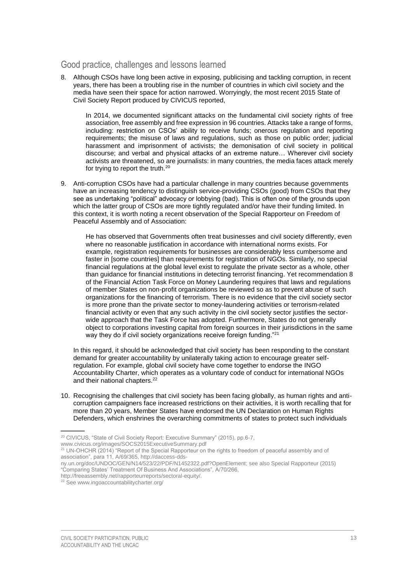### <span id="page-16-0"></span>Good practice, challenges and lessons learned

8. Although CSOs have long been active in exposing, publicising and tackling corruption, in recent years, there has been a troubling rise in the number of countries in which civil society and the media have seen their space for action narrowed. Worryingly, the most recent 2015 State of Civil Society Report produced by CIVICUS reported,

In 2014, we documented significant attacks on the fundamental civil society rights of free association, free assembly and free expression in 96 countries. Attacks take a range of forms, including: restriction on CSOs' ability to receive funds; onerous regulation and reporting requirements; the misuse of laws and regulations, such as those on public order; judicial harassment and imprisonment of activists; the demonisation of civil society in political discourse; and verbal and physical attacks of an extreme nature… Wherever civil society activists are threatened, so are journalists: in many countries, the media faces attack merely for trying to report the truth.<sup>20</sup>

9. Anti-corruption CSOs have had a particular challenge in many countries because governments have an increasing tendency to distinguish service-providing CSOs (good) from CSOs that they see as undertaking "political" advocacy or lobbying (bad). This is often one of the grounds upon which the latter group of CSOs are more tightly regulated and/or have their funding limited. In this context, it is worth noting a recent observation of the Special Rapporteur on Freedom of Peaceful Assembly and of Association:

He has observed that Governments often treat businesses and civil society differently, even where no reasonable justification in accordance with international norms exists. For example, registration requirements for businesses are considerably less cumbersome and faster in [some countries] than requirements for registration of NGOs. Similarly, no special financial regulations at the global level exist to regulate the private sector as a whole, other than guidance for financial institutions in detecting terrorist financing. Yet recommendation 8 of the Financial Action Task Force on Money Laundering requires that laws and regulations of member States on non-profit organizations be reviewed so as to prevent abuse of such organizations for the financing of terrorism. There is no evidence that the civil society sector is more prone than the private sector to money-laundering activities or terrorism-related financial activity or even that any such activity in the civil society sector justifies the sectorwide approach that the Task Force has adopted. Furthermore, States do not generally object to corporations investing capital from foreign sources in their jurisdictions in the same way they do if civil society organizations receive foreign funding."<sup>21</sup>

In this regard, it should be acknowledged that civil society has been responding to the constant demand for greater accountability by unilaterally taking action to encourage greater selfregulation. For example, global civil society have come together to endorse the INGO Accountability Charter, which operates as a voluntary code of conduct for international NGOs and their national chapters.<sup>22</sup>

10. Recognising the challenges that civil society has been facing globally, as human rights and anticorruption campaigners face increased restrictions on their activities, it is worth recalling that for more than 20 years, Member States have endorsed the UN Declaration on Human Rights Defenders, which enshrines the overarching commitments of states to protect such individuals

<sup>&</sup>lt;sup>20</sup> CIVICUS, "State of Civil Society Report: Executive Summary" (2015), pp.6-7,

[www.civicus.org/images/SOCS2015ExecutiveSummary.pdf](http://www.civicus.org/images/SOCS2015ExecutiveSummary.pdf)

<sup>&</sup>lt;sup>21</sup> UN-OHCHR (2014) "Report of the Special Rapporteur on the rights to freedom of peaceful assembly and of association", para 11, A/69/365, [http://daccess-dds-](http://daccess-dds-ny.un.org/doc/UNDOC/GEN/N14/523/22/PDF/N1452322.pdf?OpenElement)

[ny.un.org/doc/UNDOC/GEN/N14/523/22/PDF/N1452322.pdf?OpenElement;](http://daccess-dds-ny.un.org/doc/UNDOC/GEN/N14/523/22/PDF/N1452322.pdf?OpenElement) see also Special Rapporteur (2015) "Comparing States' Treatment Of Business And Associations", A/70/266,

[http://freeassembly.net/rapporteurreports/sectoral-equity/.](http://freeassembly.net/rapporteurreports/sectoral-equity/) 

<sup>22</sup> See [www.ingoaccountabilitycharter.org/](http://www.ingoaccountabilitycharter.org/)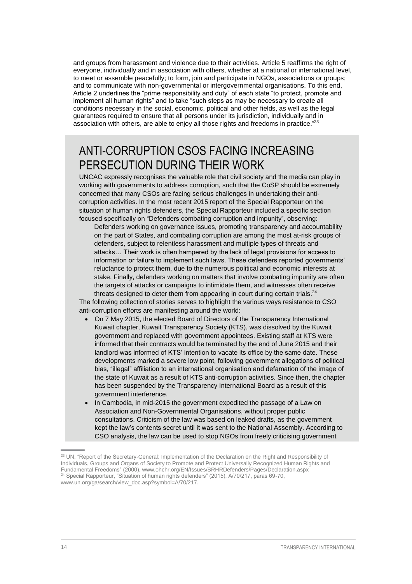and groups from harassment and violence due to their activities. Article 5 reaffirms the right of everyone, individually and in association with others, whether at a national or international level, to meet or assemble peacefully; to form, join and participate in NGOs, associations or groups; and to communicate with non-governmental or intergovernmental organisations. To this end, Article 2 underlines the "prime responsibility and duty" of each state "to protect, promote and implement all human rights" and to take "such steps as may be necessary to create all conditions necessary in the social, economic, political and other fields, as well as the legal guarantees required to ensure that all persons under its jurisdiction, individually and in association with others, are able to enjoy all those rights and freedoms in practice."<sup>23</sup>

### ANTI-CORRUPTION CSOS FACING INCREASING PERSECUTION DURING THEIR WORK

UNCAC expressly recognises the valuable role that civil society and the media can play in working with governments to address corruption, such that the CoSP should be extremely concerned that many CSOs are facing serious challenges in undertaking their anticorruption activities. In the most recent 2015 report of the Special Rapporteur on the situation of human rights defenders, the Special Rapporteur included a specific section focused specifically on "Defenders combating corruption and impunity", observing:

Defenders working on governance issues, promoting transparency and accountability on the part of States, and combating corruption are among the most at-risk groups of defenders, subject to relentless harassment and multiple types of threats and attacks… Their work is often hampered by the lack of legal provisions for access to information or failure to implement such laws. These defenders reported governments' reluctance to protect them, due to the numerous political and economic interests at stake. Finally, defenders working on matters that involve combating impunity are often the targets of attacks or campaigns to intimidate them, and witnesses often receive threats designed to deter them from appearing in court during certain trials.<sup>24</sup>

The following collection of stories serves to highlight the various ways resistance to CSO anti-corruption efforts are manifesting around the world:

- On 7 May 2015, the elected Board of Directors of the Transparency International Kuwait chapter, Kuwait Transparency Society (KTS), was dissolved by the Kuwait government and replaced with government appointees. Existing staff at KTS were informed that their contracts would be terminated by the end of June 2015 and their landlord was informed of KTS' intention to vacate its office by the same date. These developments marked a severe low point, following government allegations of political bias, "illegal" affiliation to an international organisation and defamation of the image of the state of Kuwait as a result of KTS anti-corruption activities. Since then, the chapter has been suspended by the Transparency International Board as a result of this government interference.
- In Cambodia, in mid-2015 the government expedited the passage of a Law on Association and Non-Governmental Organisations, without proper public consultations. Criticism of the law was based on leaked drafts, as the government kept the law's contents secret until it was sent to the National Assembly. According to CSO analysis, the law can be used to stop NGOs from freely criticising government

<sup>&</sup>lt;sup>23</sup> UN, "Report of the Secretary-General: Implementation of the Declaration on the Right and Responsibility of Individuals, Groups and Organs of Society to Promote and Protect Universally Recognized Human Rights and Fundamental Freedoms" (2000)[, www.ohchr.org/EN/Issues/SRHRDefenders/Pages/Declaration.aspx](http://www.ohchr.org/EN/Issues/SRHRDefenders/Pages/Declaration.aspx) <sup>24</sup> Special Rapporteur, "Situation of human rights defenders" (2015), A/70/217, paras 69-70, [www.un.org/ga/search/view\\_doc.asp?symbol=A/70/217.](http://www.un.org/ga/search/view_doc.asp?symbol=A/70/217)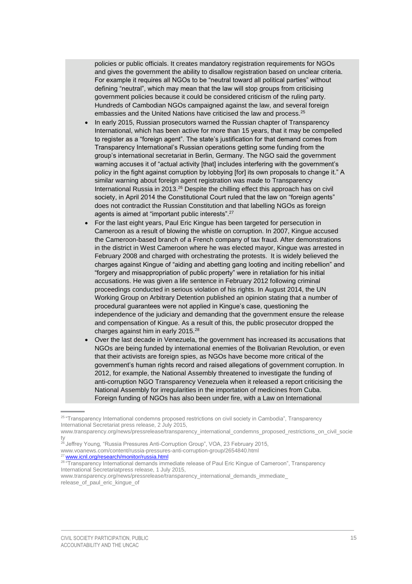policies or public officials. It creates mandatory registration requirements for NGOs and gives the government the ability to disallow registration based on unclear criteria. For example it requires all NGOs to be "neutral toward all political parties" without defining "neutral", which may mean that the law will stop groups from criticising government policies because it could be considered criticism of the ruling party. Hundreds of Cambodian NGOs campaigned against the law, and several foreign embassies and the United Nations have criticised the law and process.<sup>25</sup>

- In early 2015, Russian prosecutors warned the Russian chapter of Transparency International, which has been active for more than 15 years, that it may be compelled to register as a "foreign agent". The state's justification for that demand comes from Transparency International's Russian operations getting some funding from the group's international secretariat in Berlin, Germany. The NGO said the government warning accuses it of "actual activity [that] includes interfering with the government's policy in the fight against corruption by lobbying [for] its own proposals to change it." A similar warning about foreign agent registration was made to Transparency International Russia in 2013. $26$  Despite the chilling effect this approach has on civil society, in April 2014 the Constitutional Court ruled that the law on "foreign agents" does not contradict the Russian Constitution and that labelling NGOs as foreign agents is aimed at "important public interests".<sup>27</sup>
- For the last eight years, Paul Eric Kingue has been targeted for persecution in Cameroon as a result of blowing the whistle on corruption. In 2007, Kingue accused the Cameroon-based branch of a French company of tax fraud. After demonstrations in the district in West Cameroon where he was elected mayor, Kingue was arrested in February 2008 and charged with orchestrating the protests. It is widely believed the charges against Kingue of "aiding and abetting gang looting and inciting rebellion" and "forgery and misappropriation of public property" were in retaliation for his initial accusations. He was given a life sentence in February 2012 following criminal proceedings conducted in serious violation of his rights. In August 2014, the UN Working Group on Arbitrary Detention published an opinion stating that a number of procedural guarantees were not applied in Kingue's case, questioning the independence of the judiciary and demanding that the government ensure the release and compensation of Kingue. As a result of this, the public prosecutor dropped the charges against him in early 2015.<sup>28</sup>
- Over the last decade in Venezuela, the government has increased its accusations that NGOs are being funded by international enemies of the Bolivarian Revolution, or even that their activists are foreign spies, as NGOs have become more critical of the government's human rights record and raised allegations of government corruption. In 2012, for example, the National Assembly threatened to investigate the funding of anti-corruption NGO Transparency Venezuela when it released a report criticising the National Assembly for irregularities in the importation of medicines from Cuba. Foreign funding of NGOs has also been under fire, with a Law on International

<sup>26</sup> Jeffrey Young, "Russia Pressures Anti-Corruption Group", VOA, 23 February 2015, [www.voanews.com/content/russia-pressures-anti-corruption-group/2654840.html](http://www.voanews.com/content/russia-pressures-anti-corruption-group/2654840.html) <sup>27</sup> [www.icnl.org/research/monitor/russia.html](http://www.icnl.org/research/monitor/russia.html)

<sup>&</sup>lt;sup>25</sup> "Transparency International condemns proposed restrictions on civil society in Cambodia", Transparency International Secretariat press release, 2 July 2015,

[www.transparency.org/news/pressrelease/transparency\\_international\\_condemns\\_proposed\\_restrictions\\_on\\_civil\\_socie](http://www.transparency.org/news/pressrelease/transparency_international_condemns_proposed_restrictions_on_civil_society) [ty](http://www.transparency.org/news/pressrelease/transparency_international_condemns_proposed_restrictions_on_civil_society)

<sup>28 &</sup>quot;Transparency International demands immediate release of Paul Eric Kingue of Cameroon", Transparency International Secretariatpress release, 1 July 2015,

[www.transparency.org/news/pressrelease/transparency\\_international\\_demands\\_immediate\\_](http://www.transparency.org/news/pressrelease/transparency_international_demands_immediate_%20release_of_paul_eric_kingue_of)  [release\\_of\\_paul\\_eric\\_kingue\\_of](http://www.transparency.org/news/pressrelease/transparency_international_demands_immediate_%20release_of_paul_eric_kingue_of)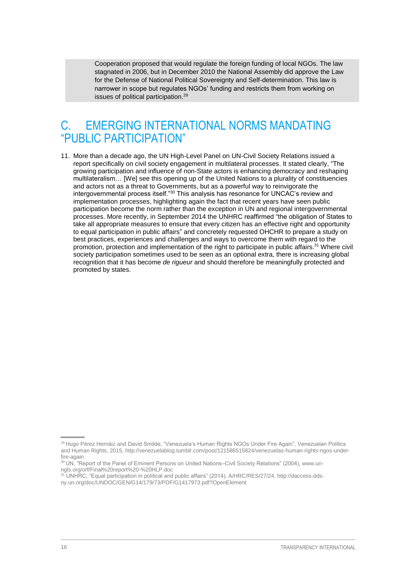Cooperation proposed that would regulate the foreign funding of local NGOs. The law stagnated in 2006, but in December 2010 the National Assembly did approve the Law for the Defense of National Political Sovereignty and Self-determination. This law is narrower in scope but regulates NGOs' funding and restricts them from working on issues of political participation.<sup>29</sup>

### <span id="page-19-0"></span>C. EMERGING INTERNATIONAL NORMS MANDATING "PUBLIC PARTICIPATION"

11. More than a decade ago, the UN High-Level Panel on UN-Civil Society Relations issued a report specifically on civil society engagement in multilateral processes. It stated clearly, "The growing participation and influence of non-State actors is enhancing democracy and reshaping multilateralism… [We] see this opening up of the United Nations to a plurality of constituencies and actors not as a threat to Governments, but as a powerful way to reinvigorate the intergovernmental process itself."<sup>30</sup> This analysis has resonance for UNCAC's review and implementation processes, highlighting again the fact that recent years have seen public participation become the norm rather than the exception in UN and regional intergovernmental processes. More recently, in September 2014 the UNHRC reaffirmed "the obligation of States to take all appropriate measures to ensure that every citizen has an effective right and opportunity to equal participation in public affairs" and concretely requested OHCHR to prepare a study on best practices, experiences and challenges and ways to overcome them with regard to the promotion, protection and implementation of the right to participate in public affairs.<sup>31</sup> Where civil society participation sometimes used to be seen as an optional extra, there is increasing global recognition that it has become *de rigueur* and should therefore be meaningfully protected and promoted by states.

<sup>29</sup> Hugo Pérez Hernáiz and David Smilde, ["Venezuela's Human Rights NGOs Under Fire Again"](http://venezuelablog.tumblr.com/post/121586515824/venezuelas-human-rights-ngos-under-fire-again), Venezuelan Politics and Human Rights, 2015, [http://venezuelablog.tumblr.com/post/121586515824/venezuelas-human-rights-ngos-under](http://venezuelablog.tumblr.com/post/121586515824/venezuelas-human-rights-ngos-under-fire-again)[fire-again](http://venezuelablog.tumblr.com/post/121586515824/venezuelas-human-rights-ngos-under-fire-again) 

<sup>&</sup>lt;sup>30</sup> UN, "Report of the Panel of Eminent Persons on United Nations–Civil Society Relations" (2004)[, www.un](http://www.un-ngls.org/orf/Final%20report%20-%20HLP.doc)[ngls.org/orf/Final%20report%20-%20HLP.doc](http://www.un-ngls.org/orf/Final%20report%20-%20HLP.doc)

<sup>&</sup>lt;sup>1</sup> UNHRC, "Equal participation in political and public affairs" (2014), A/HRC/RES/27/24[, http://daccess-dds](http://daccess-dds-ny.un.org/doc/UNDOC/GEN/G14/179/73/PDF/G1417973.pdf?OpenElement)[ny.un.org/doc/UNDOC/GEN/G14/179/73/PDF/G1417973.pdf?OpenElement](http://daccess-dds-ny.un.org/doc/UNDOC/GEN/G14/179/73/PDF/G1417973.pdf?OpenElement)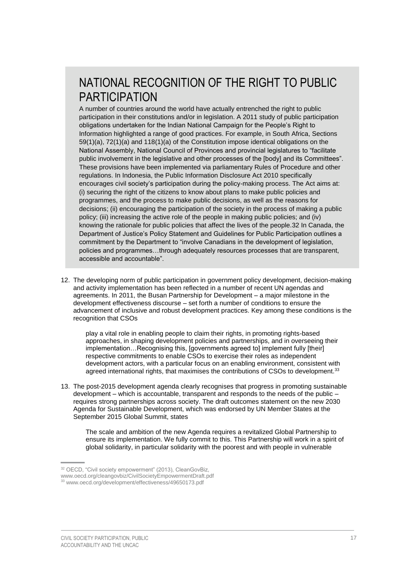## NATIONAL RECOGNITION OF THE RIGHT TO PUBLIC PARTICIPATION

A number of countries around the world have actually entrenched the right to public participation in their constitutions and/or in legislation. A 2011 study of public participation obligations undertaken for the Indian National Campaign for the People's Right to Information highlighted a range of good practices. For example, in South Africa, Sections 59(1)(a), 72(1)(a) and 118(1)(a) of the Constitution impose identical obligations on the National Assembly, National Council of Provinces and provincial legislatures to "facilitate public involvement in the legislative and other processes of the [body] and its Committees". These provisions have been implemented via parliamentary Rules of Procedure and other regulations. In Indonesia, the Public Information Disclosure Act 2010 specifically encourages civil society's participation during the policy-making process. The Act aims at: (i) securing the right of the citizens to know about plans to make public policies and programmes, and the process to make public decisions, as well as the reasons for decisions; (ii) encouraging the participation of the society in the process of making a public policy; (iii) increasing the active role of the people in making public policies; and (iv) knowing the rationale for public policies that affect the lives of the people.32 In Canada, the Department of Justice's Policy Statement and Guidelines for Public Participation outlines a commitment by the Department to "involve Canadians in the development of legislation, policies and programmes…through adequately resources processes that are transparent, accessible and accountable".

12. The developing norm of public participation in government policy development, decision-making and activity implementation has been reflected in a number of recent UN agendas and agreements. In 2011, the Busan Partnership for Development – a major milestone in the development effectiveness discourse – set forth a number of conditions to ensure the advancement of inclusive and robust development practices. Key among these conditions is the recognition that CSOs

play a vital role in enabling people to claim their rights, in promoting rights-based approaches, in shaping development policies and partnerships, and in overseeing their implementation...Recognising this, [governments agreed to] implement fully [their] respective commitments to enable CSOs to exercise their roles as independent development actors, with a particular focus on an enabling environment, consistent with agreed international rights, that maximises the contributions of CSOs to development.<sup>33</sup>

13. The post-2015 development agenda clearly recognises that progress in promoting sustainable development – which is accountable, transparent and responds to the needs of the public – requires strong partnerships across society. The draft outcomes statement on the new 2030 Agenda for Sustainable Development, which was endorsed by UN Member States at the September 2015 Global Summit, states

The scale and ambition of the new Agenda requires a revitalized Global Partnership to ensure its implementation. We fully commit to this. This Partnership will work in a spirit of global solidarity, in particular solidarity with the poorest and with people in vulnerable

<sup>32</sup> OECD, "Civil society empowerment" (2013), CleanGovBiz, [www.oecd.org/cleangovbiz/CivilSocietyEmpowermentDraft.pdf](http://www.oecd.org/cleangovbiz/CivilSocietyEmpowermentDraft.pdf) <sup>33</sup> [www.oecd.org/development/effectiveness/49650173.pdf](http://www.oecd.org/development/effectiveness/49650173.pdf)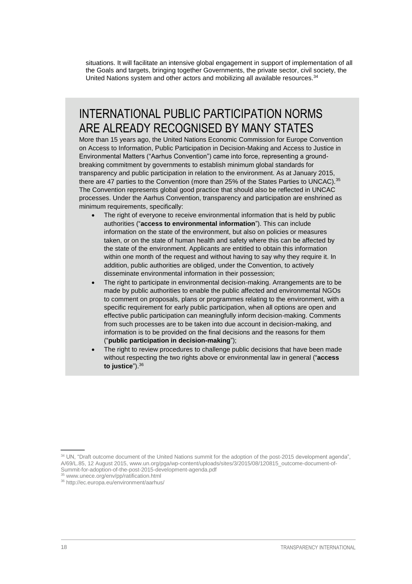situations. It will facilitate an intensive global engagement in support of implementation of all the Goals and targets, bringing together Governments, the private sector, civil society, the United Nations system and other actors and mobilizing all available resources.<sup>34</sup>

### INTERNATIONAL PUBLIC PARTICIPATION NORMS ARE ALREADY RECOGNISED BY MANY STATES

More than 15 years ago, the United Nations Economic Commission for Europe Convention on Access to Information, Public Participation in Decision-Making and Access to Justice in Environmental Matters ("Aarhus Convention") came into force, representing a groundbreaking commitment by governments to establish minimum global standards for transparency and public participation in relation to the environment. As at January 2015, there are 47 parties to the Convention (more than 25% of the States Parties to UNCAC).<sup>35</sup> The Convention represents global good practice that should also be reflected in UNCAC processes. Under the Aarhus Convention, transparency and participation are enshrined as minimum requirements, specifically:

- The right of everyone to receive environmental information that is held by public authorities ("**access to environmental information**"). This can include information on the state of the environment, but also on policies or measures taken, or on the state of human health and safety where this can be affected by the state of the environment. Applicants are entitled to obtain this information within one month of the request and without having to say why they require it. In addition, public authorities are obliged, under the Convention, to actively disseminate environmental information in their possession;
- The right to participate in environmental decision-making. Arrangements are to be made by public authorities to enable the public affected and environmental NGOs to comment on proposals, plans or programmes relating to the environment, with a specific requirement for early public participation, when all options are open and effective public participation can meaningfully inform decision-making. Comments from such processes are to be taken into due account in decision-making, and information is to be provided on the final decisions and the reasons for them ("**public participation in decision-making**");
- The right to review procedures to challenge public decisions that have been made without respecting the two rights above or environmental law in general ("**access to justice**").36

<sup>&</sup>lt;sup>34</sup> UN, "Draft outcome document of the United Nations summit for the adoption of the post-2015 development agenda", A/69/L.85, 12 August 2015, [www.un.org/pga/wp-content/uploads/sites/3/2015/08/120815\\_outcome-document-of-](http://www.un.org/pga/wp-content/uploads/sites/3/2015/08/120815_outcome-document-of-Summit-for-adoption-of-the-post-2015-development-agenda.pdf)[Summit-for-adoption-of-the-post-2015-development-agenda.pdf](http://www.un.org/pga/wp-content/uploads/sites/3/2015/08/120815_outcome-document-of-Summit-for-adoption-of-the-post-2015-development-agenda.pdf) 

<sup>35</sup> [www.unece.org/env/pp/ratification.html](http://www.unece.org/env/pp/ratification.html)

<sup>36</sup> <http://ec.europa.eu/environment/aarhus/>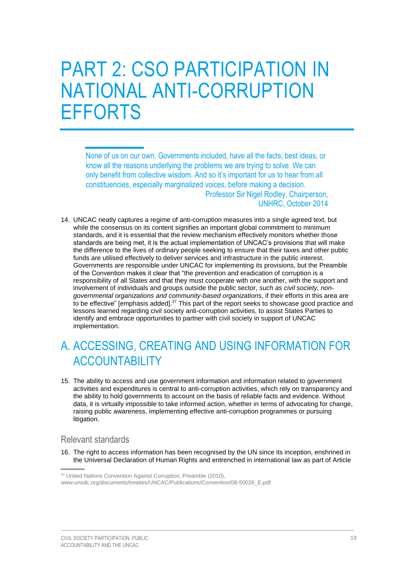# <span id="page-22-0"></span>PART 2: CSO PARTICIPATION IN NATIONAL ANTI-CORRUPTION EFFORTS

None of us on our own, Governments included, have all the facts, best ideas, or know all the reasons underlying the problems we are trying to solve. We can only benefit from collective wisdom. And so it's important for us to hear from all constituencies, especially marginalized voices, before making a decision. Professor Sir Nigel Rodley, Chairperson, UNHRC, October 2014

14. UNCAC neatly captures a regime of anti-corruption measures into a single agreed text, but while the consensus on its content signifies an important global commitment to minimum standards, and it is essential that the review mechanism effectively monitors whether those standards are being met, it is the actual implementation of UNCAC's provisions that will make the difference to the lives of ordinary people seeking to ensure that their taxes and other public funds are utilised effectively to deliver services and infrastructure in the public interest. Governments are responsible under UNCAC for implementing its provisions, but the Preamble of the Convention makes it clear that "the prevention and eradication of corruption is a responsibility of all States and that they must cooperate with one another, with the support and involvement of individuals and groups outside the public sector, *such as civil society, nongovernmental organizations and community-based organizations*, if their efforts in this area are to be effective" [emphasis added]. $^{37}$  This part of the report seeks to showcase good practice and lessons learned regarding civil society anti-corruption activities, to assist States Parties to identify and embrace opportunities to partner with civil society in support of UNCAC implementation.

## <span id="page-22-1"></span>A. ACCESSING, CREATING AND USING INFORMATION FOR ACCOUNTABILITY

15. The ability to access and use government information and information related to government activities and expenditures is central to anti-corruption activities, which rely on transparency and the ability to hold governments to account on the basis of reliable facts and evidence. Without data, it is virtually impossible to take informed action, whether in terms of advocating for change, raising public awareness, implementing effective anti-corruption programmes or pursuing litigation.

### <span id="page-22-2"></span>Relevant standards

16. The right to access information has been recognised by the UN since its inception, enshrined in the Universal Declaration of Human Rights and entrenched in international law as part of Article

<sup>&</sup>lt;sup>37</sup> United Nations Convention Against Corruption, Preamble (2010),

[www.unodc.org/documents/treaties/UNCAC/Publications/Convention/08-50026\\_E.pdf](https://www.unodc.org/documents/treaties/UNCAC/Publications/Convention/08-50026_E.pdf)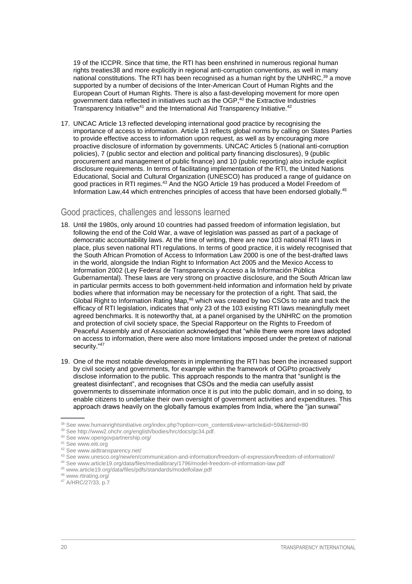19 of the ICCPR. Since that time, the RTI has been enshrined in numerous regional human rights treaties38 and more explicitly in regional anti-corruption conventions, as well in many national constitutions. The RTI has been recognised as a human right by the UNHRC, $39$  a move supported by a number of decisions of the Inter-American Court of Human Rights and the European Court of Human Rights. There is also a fast-developing movement for more open government data reflected in initiatives such as the OGP, <sup>40</sup> the Extractive Industries Transparency Initiative<sup>41</sup> and the International Aid Transparency Initiative.<sup>42</sup>

17. UNCAC Article 13 reflected developing international good practice by recognising the importance of access to information. Article 13 reflects global norms by calling on States Parties to provide effective access to information upon request, as well as by encouraging more proactive disclosure of information by governments. UNCAC Articles 5 (national anti-corruption policies), 7 (public sector and election and political party financing disclosures), 9 (public procurement and management of public finance) and 10 (public reporting) also include explicit disclosure requirements. In terms of facilitating implementation of the RTI, the United Nations Educational, Social and Cultural Organization (UNESCO) has produced a range of guidance on good practices in RTI regimes.<sup>43</sup> And the NGO Article 19 has produced a Model Freedom of Information Law,44 which entrenches principles of access that have been endorsed globally.<sup>45</sup>

### <span id="page-23-0"></span>Good practices, challenges and lessons learned

- 18. Until the 1980s, only around 10 countries had passed freedom of information legislation, but following the end of the Cold War, a wave of legislation was passed as part of a package of democratic accountability laws. At the time of writing, there are now 103 national RTI laws in place, plus seven national RTI regulations. In terms of good practice, it is widely recognised that the South African Promotion of Access to Information Law 2000 is one of the best-drafted laws in the world, alongside the Indian Right to Information Act 2005 and the Mexico Access to Information 2002 (Ley Federal de Transparencia y Acceso a la Información Pública Gubernamental). These laws are very strong on proactive disclosure, and the South African law in particular permits access to both government-held information and information held by private bodies where that information may be necessary for the protection of a right. That said, the Global Right to Information Rating Map,<sup>46</sup> which was created by two CSOs to rate and track the efficacy of RTI legislation, indicates that only 23 of the 103 existing RTI laws meaningfully meet agreed benchmarks. It is noteworthy that, at a panel organised by the UNHRC on the promotion and protection of civil society space, the Special Rapporteur on the Rights to Freedom of Peaceful Assembly and of Association acknowledged that "while there were more laws adopted on access to information, there were also more limitations imposed under the pretext of national security."47
- 19. One of the most notable developments in implementing the RTI has been the increased support by civil society and governments, for example within the framework of OGPto proactively disclose information to the public. This approach responds to the mantra that "sunlight is the greatest disinfectant", and recognises that CSOs and the media can usefully assist governments to disseminate information once it is put into the public domain, and in so doing, to enable citizens to undertake their own oversight of government activities and expenditures. This approach draws heavily on the globally famous examples from India, where the "jan sunwai"

<sup>38</sup> See [www.humanrightsinitiative.org/index.php?option=com\\_content&view=article&id=59&Itemid=80](http://www.humanrightsinitiative.org/index.php?option=com_content&view=article&id=59&Itemid=80)

<sup>39</sup> See [http://www2.ohchr.org/english/bodies/hrc/docs/gc34.pdf.](http://www2.ohchr.org/english/bodies/hrc/docs/gc34.pdf) 

<sup>40</sup> See [www.opengovpartnership.org/](http://www.opengovpartnership.org/)

<sup>&</sup>lt;sup>41</sup> See [www.eiti.org](http://www.eiti.org/)

<sup>42</sup> See [www.aidtransparency.net/](http://www.aidtransparency.net/)

<sup>43</sup> See www.unesco.org/new/en/communication-and-information/freedom-of-expression/freedom-of-information//

<sup>44</sup> See [www.article19.org/data/files/medialibrary/1796/model-freedom-of-information-law.pdf](https://www.article19.org/data/files/medialibrary/1796/model-freedom-of-information-law.pdf)

<sup>45</sup> www.article19.org/data/files/pdfs/standards/modelfoilaw.pdf

<sup>46</sup> [www.rtirating.org/](http://www.rtirating.org/)

<sup>47</sup> A/HRC/27/33, p.7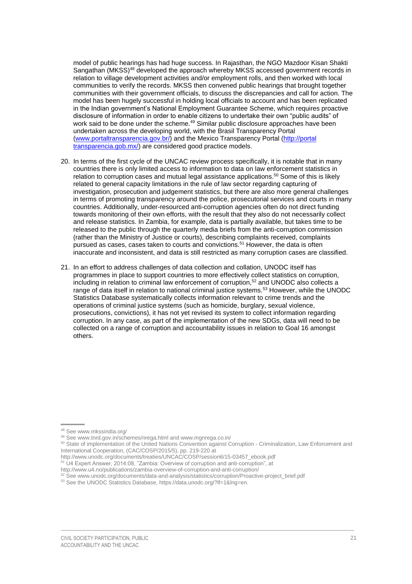model of public hearings has had huge success. In Rajasthan, the NGO Mazdoor Kisan Shakti Sangathan (MKSS)<sup>48</sup> developed the approach whereby MKSS accessed government records in relation to village development activities and/or employment rolls, and then worked with local communities to verify the records. MKSS then convened public hearings that brought together communities with their government officials, to discuss the discrepancies and call for action. The model has been hugely successful in holding local officials to account and has been replicated in the Indian government's National Employment Guarantee Scheme, which requires proactive disclosure of information in order to enable citizens to undertake their own "public audits" of work said to be done under the scheme.<sup>49</sup> Similar public disclosure approaches have been undertaken across the developing world, with the Brasil Transparency Portal [\(www.portaltransparencia.gov.br/\)](http://www.portaltransparencia.gov.br/) and the Mexico Transparency Portal (http://portal transparencia.gob.mx/) are considered good practice models.

- 20. In terms of the first cycle of the UNCAC review process specifically, it is notable that in many countries there is only limited access to information to data on law enforcement statistics in relation to corruption cases and mutual legal assistance applications.<sup>50</sup> Some of this is likely related to general capacity limitations in the rule of law sector regarding capturing of investigation, prosecution and judgement statistics, but there are also more general challenges in terms of promoting transparency around the police, prosecutorial services and courts in many countries. Additionally, under-resourced anti-corruption agencies often do not direct funding towards monitoring of their own efforts, with the result that they also do not necessarily collect and release statistics. In Zambia, for example, data is partially available, but takes time to be released to the public through the quarterly media briefs from the anti-corruption commission (rather than the Ministry of Justice or courts), describing complaints received, complaints pursued as cases, cases taken to courts and convictions.<sup>51</sup> However, the data is often inaccurate and inconsistent, and data is still restricted as many corruption cases are classified.
- 21. In an effort to address challenges of data collection and collation, UNODC itself has programmes in place to support countries to more effectively collect statistics on corruption, including in relation to criminal law enforcement of corruption, $52$  and UNODC also collects a range of data itself in relation to national criminal justice systems.<sup>53</sup> However, while the UNODC Statistics Database systematically collects information relevant to crime trends and the operations of criminal justice systems (such as homicide, burglary, sexual violence, prosecutions, convictions), it has not yet revised its system to collect information regarding corruption. In any case, as part of the implementation of the new SDGs, data will need to be collected on a range of corruption and accountability issues in relation to Goal 16 amongst others.

<sup>48</sup> See [www.mkssindia.org/](http://www.mkssindia.org/)

<sup>49</sup> See [www.tnrd.gov.in/schemes/nrega.html](http://www.tnrd.gov.in/schemes/nrega.html) and [www.mgnrega.co.in/](http://www.mgnrega.co.in/)

<sup>50</sup> State of implementation of the United Nations Convention against Corruption - Criminalization, Law Enforcement and International Cooperation, (CAC/COSP/2015/5), pp. 219-220 at

http://www.unodc.org/documents/treaties/UNCAC/COSP/session6/15-03457\_ebook.pdf

<sup>51</sup> U4 Expert Answer, 2014:08, "Zambia: Overview of corruption and anti-corruption", at

http://www.u4.no/publications/zambia-overview-of-corruption-and-anti-corruption/

<sup>&</sup>lt;sup>52</sup> See [www.unodc.org/documents/data-and-analysis/statistics/corruption/Proactive-project\\_brief.pdf](https://www.unodc.org/documents/data-and-analysis/statistics/corruption/Proactive-project_brief.pdf)

<sup>53</sup> See the UNODC Statistics Database, [https://data.unodc.org/?lf=1&lng=en.](https://data.unodc.org/?lf=1&lng=en)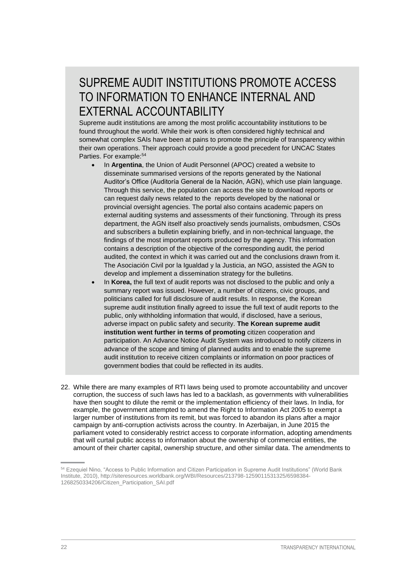## SUPREME AUDIT INSTITUTIONS PROMOTE ACCESS TO INFORMATION TO ENHANCE INTERNAL AND EXTERNAL ACCOUNTABILITY

Supreme audit institutions are among the most prolific accountability institutions to be found throughout the world. While their work is often considered highly technical and somewhat complex SAIs have been at pains to promote the principle of transparency within their own operations. Their approach could provide a good precedent for UNCAC States Parties. For example:<sup>54</sup>

- In **Argentina**, the Union of Audit Personnel (APOC) created a website to disseminate summarised versions of the reports generated by the National Auditor's Office (Auditoría General de la Nación, AGN), which use plain language. Through this service, the population can access the site to download reports or can request daily news related to the reports developed by the national or provincial oversight agencies. The portal also contains academic papers on external auditing systems and assessments of their functioning. Through its press department, the AGN itself also proactively sends journalists, ombudsmen, CSOs and subscribers a bulletin explaining briefly, and in non-technical language, the findings of the most important reports produced by the agency. This information contains a description of the objective of the corresponding audit, the period audited, the context in which it was carried out and the conclusions drawn from it. The Asociación Civil por la Igualdad y la Justicia, an NGO, assisted the AGN to develop and implement a dissemination strategy for the bulletins.
- In **Korea,** the full text of audit reports was not disclosed to the public and only a summary report was issued. However, a number of citizens, civic groups, and politicians called for full disclosure of audit results. In response, the Korean supreme audit institution finally agreed to issue the full text of audit reports to the public, only withholding information that would, if disclosed, have a serious, adverse impact on public safety and security. **The Korean supreme audit institution went further in terms of promoting** citizen cooperation and participation. An Advance Notice Audit System was introduced to notify citizens in advance of the scope and timing of planned audits and to enable the supreme audit institution to receive citizen complaints or information on poor practices of government bodies that could be reflected in its audits.
- 22. While there are many examples of RTI laws being used to promote accountability and uncover corruption, the success of such laws has led to a backlash, as governments with vulnerabilities have then sought to dilute the remit or the implementation efficiency of their laws. In India, for example, the government attempted to amend the Right to Information Act 2005 to exempt a larger number of institutions from its remit, but was forced to abandon its plans after a major campaign by anti-corruption activists across the country. In Azerbaijan, in June 2015 the parliament voted to considerably restrict access to corporate information, adopting amendments that will curtail public access to information about the ownership of commercial entities, the amount of their charter capital, ownership structure, and other similar data. The amendments to

<sup>54</sup> Ezequiel Nino, "Access to Public Information and Citizen Participation in Supreme Audit Institutions" (World Bank Institute, 2010)[, http://siteresources.worldbank.org/WBI/Resources/213798-1259011531325/6598384-](http://siteresources.worldbank.org/WBI/Resources/213798-1259011531325/6598384-1268250334206/Citizen_Participation_SAI.pdf) [1268250334206/Citizen\\_Participation\\_SAI.pdf](http://siteresources.worldbank.org/WBI/Resources/213798-1259011531325/6598384-1268250334206/Citizen_Participation_SAI.pdf)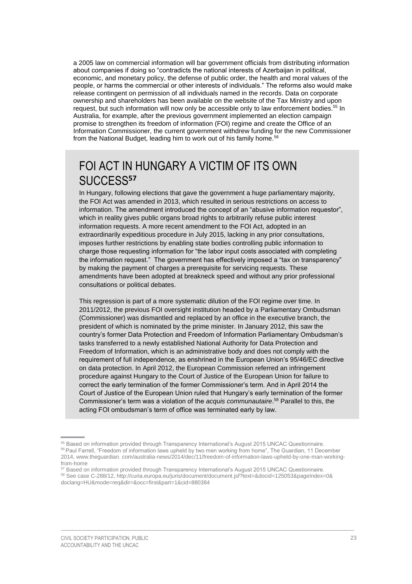a 2005 law on commercial information will bar government officials from distributing information about companies if doing so "contradicts the national interests of Azerbaijan in political, economic, and monetary policy, the defense of public order, the health and moral values of the people, or harms the commercial or other interests of individuals." The reforms also would make release contingent on permission of all individuals named in the records. Data on corporate ownership and shareholders has been available on the website of the Tax Ministry and upon request, but such information will now only be accessible only to law enforcement bodies.<sup>55</sup> In Australia, for example, after the previous government implemented an election campaign promise to strengthen its freedom of information (FOI) regime and create the Office of an Information Commissioner, the current government withdrew funding for the new Commissioner from the National Budget, leading him to work out of his family home.<sup>56</sup>

### FOI ACT IN HUNGARY A VICTIM OF ITS OWN SUCCESS**<sup>57</sup>**

In Hungary, following elections that gave the government a huge parliamentary majority, the FOI Act was amended in 2013, which resulted in serious restrictions on access to information. The amendment introduced the concept of an "abusive information requestor", which in reality gives public organs broad rights to arbitrarily refuse public interest information requests. A more recent amendment to the FOI Act, adopted in an extraordinarily expeditious procedure in July 2015, lacking in any prior consultations, imposes further restrictions by enabling state bodies controlling public information to charge those requesting information for "the labor input costs associated with completing the information request." The government has effectively imposed a "tax on transparency" by making the payment of charges a prerequisite for servicing requests. These amendments have been adopted at breakneck speed and without any prior professional consultations or political debates.

This regression is part of a more systematic dilution of the FOI regime over time. In 2011/2012, the previous FOI oversight institution headed by a Parliamentary Ombudsman (Commissioner) was dismantled and replaced by an office in the executive branch, the president of which is nominated by the prime minister. In January 2012, this saw the country's former Data Protection and Freedom of Information Parliamentary Ombudsman's tasks transferred to a newly established National Authority for Data Protection and Freedom of Information, which is an administrative body and does not comply with the requirement of full independence, as enshrined in the European Union's 95/46/EC directive on data protection. In April 2012, the European Commission referred an infringement procedure against Hungary to the Court of Justice of the European Union for failure to correct the early termination of the former Commissioner's term. And in April 2014 the Court of Justice of the European Union ruled that Hungary's early termination of the former Commissioner's term was a violation of the *acquis communautaire*. <sup>58</sup> Parallel to this, the acting FOI ombudsman's term of office was terminated early by law.

<sup>55</sup> Based on information provided through Transparency International's August 2015 UNCAC Questionnaire. <sup>56</sup> Paul Farrell, "Freedom of information laws upheld by two men working from home", The Guardian, 11 December 2014, www.theguardian. com/australia-news/2014/dec/11/freedom-of-information-laws-upheld-by-one-man-workingfrom-home

<sup>57</sup> Based on information provided through Transparency International's August 2015 UNCAC Questionnaire. <sup>58</sup> See case C-288/12, [http://curia.europa.eu/juris/document/document.jsf?text=&docid=125053&pageIndex=0&](http://curia.europa.eu/juris/document/document.jsf?text=&docid=125053&pageIndex=0&%20doclang=HU&mode=req&dir=&occ=first&part=1&cid=880384)  [doclang=HU&mode=req&dir=&occ=first&part=1&cid=880384](http://curia.europa.eu/juris/document/document.jsf?text=&docid=125053&pageIndex=0&%20doclang=HU&mode=req&dir=&occ=first&part=1&cid=880384)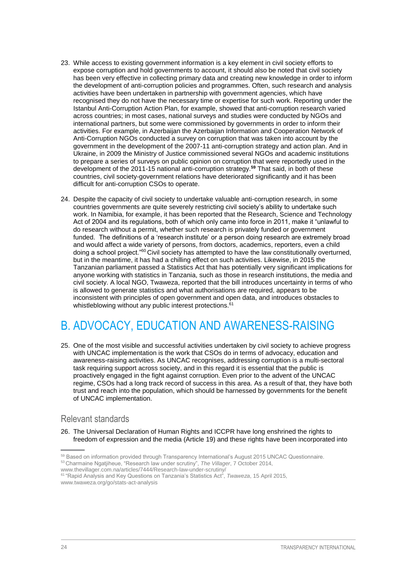- 23. While access to existing government information is a key element in civil society efforts to expose corruption and hold governments to account, it should also be noted that civil society has been very effective in collecting primary data and creating new knowledge in order to inform the development of anti-corruption policies and programmes. Often, such research and analysis activities have been undertaken in partnership with government agencies, which have recognised they do not have the necessary time or expertise for such work. Reporting under the Istanbul Anti-Corruption Action Plan, for example, showed that anti-corruption research varied across countries; in most cases, national surveys and studies were conducted by NGOs and international partners, but some were commissioned by governments in order to inform their activities. For example, in Azerbaijan the Azerbaijan Information and Cooperation Network of Anti-Corruption NGOs conducted a survey on corruption that was taken into account by the government in the development of the 2007-11 anti-corruption strategy and action plan. And in Ukraine, in 2009 the Ministry of Justice commissioned several NGOs and academic institutions to prepare a series of surveys on public opinion on corruption that were reportedly used in the development of the 2011-15 national anti-corruption strategy.**<sup>59</sup>** That said, in both of these countries, civil society-government relations have deteriorated significantly and it has been difficult for anti-corruption CSOs to operate.
- 24. Despite the capacity of civil society to undertake valuable anti-corruption research, in some countries governments are quite severely restricting civil society's ability to undertake such work. In Namibia, for example, it has been reported that the Research, Science and Technology Act of 2004 and its regulations, both of which only came into force in 2011, make it "unlawful to do research without a permit, whether such research is privately funded or government funded. The definitions of a 'research institute' or a person doing research are extremely broad and would affect a wide variety of persons, from doctors, academics, reporters, even a child doing a school project."<sup>60</sup> Civil society has attempted to have the law constitutionally overturned, but in the meantime, it has had a chilling effect on such activities. Likewise, in 2015 the Tanzanian parliament passed a Statistics Act that has potentially very significant implications for anyone working with statistics in Tanzania, such as those in research institutions, the media and civil society. A local NGO, Twaweza, reported that the bill introduces uncertainty in terms of who is allowed to generate statistics and what authorisations are required, appears to be inconsistent with principles of open government and open data, and introduces obstacles to whistleblowing without any public interest protections.<sup>61</sup>

## <span id="page-27-0"></span>B. ADVOCACY, EDUCATION AND AWARENESS-RAISING

25. One of the most visible and successful activities undertaken by civil society to achieve progress with UNCAC implementation is the work that CSOs do in terms of advocacy, education and awareness-raising activities. As UNCAC recognises, addressing corruption is a multi-sectoral task requiring support across society, and in this regard it is essential that the public is proactively engaged in the fight against corruption. Even prior to the advent of the UNCAC regime, CSOs had a long track record of success in this area. As a result of that, they have both trust and reach into the population, which should be harnessed by governments for the benefit of UNCAC implementation.

### <span id="page-27-1"></span>Relevant standards

26. The Universal Declaration of Human Rights and ICCPR have long enshrined the rights to freedom of expression and the media (Article 19) and these rights have been incorporated into

<sup>59</sup> Based on information provided through Transparency International's August 2015 UNCAC Questionnaire.

<sup>53</sup>Charmaine Ngatjiheue, "Research law under scrutiny", *The Villager*, 7 October 2014,

[www.thevillager.com.na/articles/7444/Research-law-under-scrutiny/](http://www.thevillager.com.na/articles/7444/Research-law-under-scrutiny/) 

<sup>61</sup> "Rapid Analysis and Key Questions on Tanzania's Statistics Act", *Twaweza*, 15 April 2015,

[www.twaweza.org/go/stats-act-analysis](http://www.twaweza.org/go/stats-act-analysis)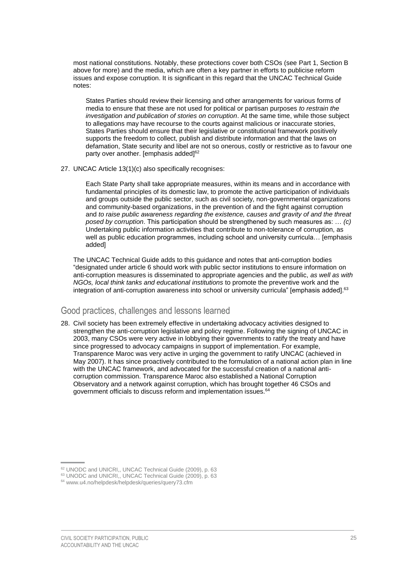most national constitutions. Notably, these protections cover both CSOs (see Part 1, Section B above for more) and the media, which are often a key partner in efforts to publicise reform issues and expose corruption. It is significant in this regard that the UNCAC Technical Guide notes:

States Parties should review their licensing and other arrangements for various forms of media to ensure that these are not used for political or partisan purposes *to restrain the investigation and publication of stories on corruption*. At the same time, while those subject to allegations may have recourse to the courts against malicious or inaccurate stories, States Parties should ensure that their legislative or constitutional framework positively supports the freedom to collect, publish and distribute information and that the laws on defamation, State security and libel are not so onerous, costly or restrictive as to favour one party over another. [emphasis added]<sup>62</sup>

27. UNCAC Article 13(1)(c) also specifically recognises:

Each State Party shall take appropriate measures, within its means and in accordance with fundamental principles of its domestic law, to promote the active participation of individuals and groups outside the public sector, such as civil society, non-governmental organizations and community-based organizations, in the prevention of and the fight against corruption and *to raise public awareness regarding the existence, causes and gravity of and the threat posed by corruption*. This participation should be strengthened by such measures as: … *(c)*  Undertaking public information activities that contribute to non-tolerance of corruption, as well as public education programmes, including school and university curricula… [emphasis added]

The UNCAC Technical Guide adds to this guidance and notes that anti-corruption bodies "designated under article 6 should work with public sector institutions to ensure information on anti-corruption measures is disseminated to appropriate agencies and the public, *as well as with NGOs, local think tanks and educational institutions* to promote the preventive work and the integration of anti-corruption awareness into school or university curricula" [emphasis added].<sup>63</sup>

### <span id="page-28-0"></span>Good practices, challenges and lessons learned

28. Civil society has been extremely effective in undertaking advocacy activities designed to strengthen the anti-corruption legislative and policy regime. Following the signing of UNCAC in 2003, many CSOs were very active in lobbying their governments to ratify the treaty and have since progressed to advocacy campaigns in support of implementation. For example, Transparence Maroc was very active in urging the government to ratify UNCAC (achieved in May 2007). It has since proactively contributed to the formulation of a national action plan in line with the UNCAC framework, and advocated for the successful creation of a national anticorruption commission. Transparence Maroc also established a National Corruption Observatory and a network against corruption, which has brought together 46 CSOs and government officials to discuss reform and implementation issues.<sup>64</sup>

<sup>62</sup> UNODC and UNICRI,, UNCAC Technical Guide (2009), p. 63

<sup>&</sup>lt;sup>63</sup> UNODC and UNICRI,, UNCAC Technical Guide (2009), p. 63

<sup>64</sup> [www.u4.no/helpdesk/helpdesk/queries/query73.cfm](http://www.u4.no/helpdesk/helpdesk/queries/query73.cfm)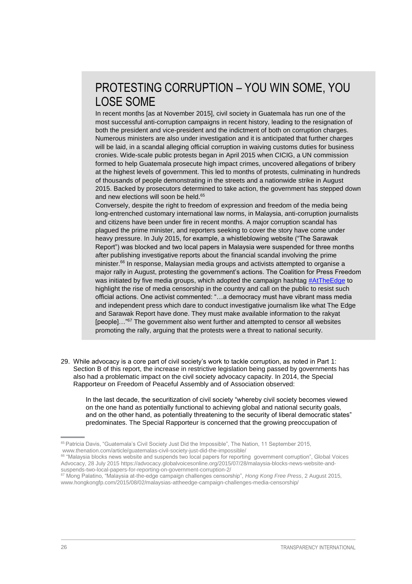## PROTESTING CORRUPTION – YOU WIN SOME, YOU LOSE SOME

In recent months [as at November 2015], civil society in Guatemala has run one of the most successful anti-corruption campaigns in recent history, leading to the resignation of both the president and vice-president and the indictment of both on corruption charges. Numerous ministers are also under investigation and it is anticipated that further charges will be laid, in a scandal alleging official corruption in waiving customs duties for business cronies. Wide-scale public protests began in April 2015 when CICIG, a UN commission formed to help Guatemala prosecute high impact crimes, uncovered allegations of bribery at the highest levels of government. This led to months of protests, culminating in hundreds of thousands of people demonstrating in the streets and a nationwide strike in August 2015. Backed by prosecutors determined to take action, the government has stepped down and new elections will soon be held.<sup>65</sup>

Conversely, despite the right to freedom of expression and freedom of the media being long-entrenched customary international law norms, in Malaysia, anti-corruption journalists and citizens have been under fire in recent months. A major corruption scandal has plagued the prime minister, and reporters seeking to cover the story have come under heavy pressure. In July 2015, for example, a whistleblowing website ("The Sarawak Report") was blocked and two local papers in Malaysia were suspended for three months after publishing investigative reports about the financial scandal involving the prime minister. <sup>66</sup> In response, Malaysian media groups and activists attempted to organise a major rally in August, protesting the government's actions. The Coalition for Press Freedom was initiated by five media groups, which adopted the campaign hashtag [#AtTheEdge](https://twitter.com/attheedgemsia) to highlight the rise of media censorship in the country and call on the public to resist such official actions. One activist commented: "…a democracy must have vibrant mass media and independent press which dare to conduct investigative journalism like what The Edge and Sarawak Report have done. They must make available information to the rakyat [people]..."<sup>67</sup> The government also went further and attempted to censor all websites promoting the rally, arguing that the protests were a threat to national security.

29. While advocacy is a core part of civil society's work to tackle corruption, as noted in Part 1: Section B of this report, the increase in restrictive legislation being passed by governments has also had a problematic impact on the civil society advocacy capacity. In 2014, the Special Rapporteur on Freedom of Peaceful Assembly and of Association observed:

In the last decade, the securitization of civil society "whereby civil society becomes viewed on the one hand as potentially functional to achieving global and national security goals, and on the other hand, as potentially threatening to the security of liberal democratic states" predominates. The Special Rapporteur is concerned that the growing preoccupation of

<sup>&</sup>lt;sup>65</sup> Patricia Davis, "Guatemala's Civil Society Just Did the Impossible", The Nation, 11 September 2015, [www.thenation.com/article/guatemalas-civil-society-just-did-the-impossible/](http://www.thenation.com/article/guatemalas-civil-society-just-did-the-impossible/)

<sup>&</sup>lt;sup>66</sup> "Malaysia blocks news website and suspends two local papers for reporting government corruption", Global Voices Advocacy, 28 July 201[5 https://advocacy.globalvoicesonline.org/2015/07/28/malaysia-blocks-news-website-and](https://advocacy.globalvoicesonline.org/2015/07/28/malaysia-blocks-news-website-and-suspends-two-local-papers-for-reporting-on-government-corruption-2/)[suspends-two-local-papers-for-reporting-on-government-corruption-2/](https://advocacy.globalvoicesonline.org/2015/07/28/malaysia-blocks-news-website-and-suspends-two-local-papers-for-reporting-on-government-corruption-2/)

<sup>67</sup> Mong Palatino, "Malaysia at-the-edge campaign challenges censorship", *Hong Kong Free Press*, 2 August 2015, [www.hongkongfp.com/2015/08/02/malaysias-attheedge-campaign-challenges-media-censorship/](https://www.hongkongfp.com/2015/08/02/malaysias-attheedge-campaign-challenges-media-censorship/)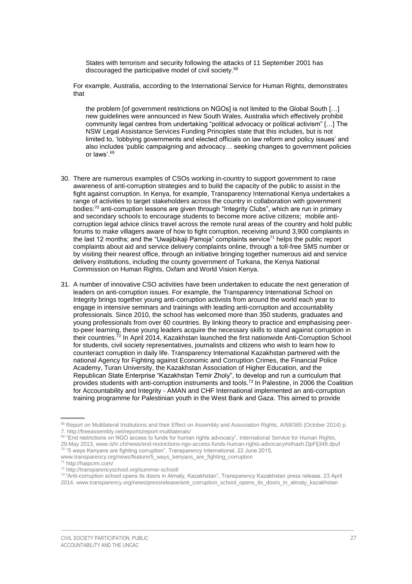States with terrorism and security following the attacks of 11 September 2001 has discouraged the participative model of civil society.<sup>68</sup>

For example, Australia, according to the International Service for Human Rights, demonstrates that

the problem [of government restrictions on NGOs] is not limited to the Global South […] new guidelines were announced in New South Wales, Australia which effectively prohibit community legal centres from undertaking "political advocacy or political activism" […] The NSW Legal Assistance Services Funding Principles state that this includes, but is not limited to, 'lobbying governments and elected officials on law reform and policy issues' and also includes 'public campaigning and advocacy… seeking changes to government policies or laws'.<sup>69</sup>

- 30. There are numerous examples of CSOs working in-country to support government to raise awareness of anti-corruption strategies and to build the capacity of the public to assist in the fight against corruption. In Kenya, for example, Transparency International Kenya undertakes a range of activities to target stakeholders across the country in collaboration with government bodies:<sup>70</sup> anti-corruption lessons are given through "Integrity Clubs", which are run in primary and secondary schools to encourage students to become more active citizens; mobile anticorruption legal advice clinics travel across the remote rural areas of the country and hold public forums to make villagers aware of how to fight corruption, receiving around 3,900 complaints in the last 12 months; and the "Uwajibikaji Pamoja" complaints service<sup>71</sup> helps the public report complaints about aid and service delivery complaints online, through a toll-free SMS number or by visiting their nearest office, through an initiative bringing together numerous aid and service delivery institutions, including the county government of Turkana, the Kenya National Commission on Human Rights, Oxfam and World Vision Kenya.
- 31. A number of innovative CSO activities have been undertaken to educate the next generation of leaders on anti-corruption issues. For example, the Transparency International School on Integrity brings together young anti-corruption activists from around the world each year to engage in intensive seminars and trainings with leading anti-corruption and accountability professionals. Since 2010, the school has welcomed more than 350 students, graduates and young professionals from over 60 countries. By linking theory to practice and emphasising peerto-peer learning, these young leaders acquire the necessary skills to stand against corruption in their countries.<sup>72</sup> In April 2014, Kazakhstan launched the first nationwide Anti-Corruption School for students, civil society representatives, journalists and citizens who wish to learn how to counteract corruption in daily life. Transparency International Kazakhstan partnered with the national Agency for Fighting against Economic and Corruption Crimes, the Financial Police Academy, Turan University, the Kazakhstan Association of Higher Education, and the Republican State Enterprise "Kazakhstan Temir Zholy", to develop and run a curriculum that provides students with anti-corruption instruments and tools.<sup>73</sup> In Palestine, in 2006 the Coalition for Accountability and Integrity - AMAN and CHF International implemented an anti-corruption training programme for Palestinian youth in the West Bank and Gaza. This aimed to provide

<sup>68</sup> Report on Multilateral Institutions and their Effect on Assembly and Association Rights, A/69/365 (October 2014) p. 7. http://freeassembly.net/reports/report-multilaterals/

<sup>69 &</sup>quot;End restrictions on NGO access to funds for human rights advocacy", International Service for Human Rights, 29.May 2013[, www.ishr.ch/news/end-restrictions-ngo-access-funds-human-rights-advocacy#sthash.DpFlj348.dpuf](http://www.ishr.ch/news/end-restrictions-ngo-access-funds-human-rights-advocacy#sthash.DpFlj348.dpuf) <sup>70</sup> "5 ways Kenyans are fighting corruption", Transparency International, 22 June 2015, [www.transparency.org/news/feature/5\\_ways\\_kenyans\\_are\\_fighting\\_corruption](http://www.transparency.org/news/feature/5_ways_kenyans_are_fighting_corruption)

<sup>71</sup> <http://haipcrm.com/>

<sup>72</sup> <http://transparencyschool.org/summer-school/>

<sup>73</sup> "Anti-corruption school opens its doors in Almaty, Kazakhstan", Transparency Kazakhstan press release, 23 April 2014, [www.transparency.org/news/pressrelease/anti\\_corruption\\_school\\_opens\\_its\\_doors\\_in\\_almaty\\_kazakhstan](http://www.transparency.org/news/pressrelease/anti_corruption_school_opens_its_doors_in_almaty_kazakhstan)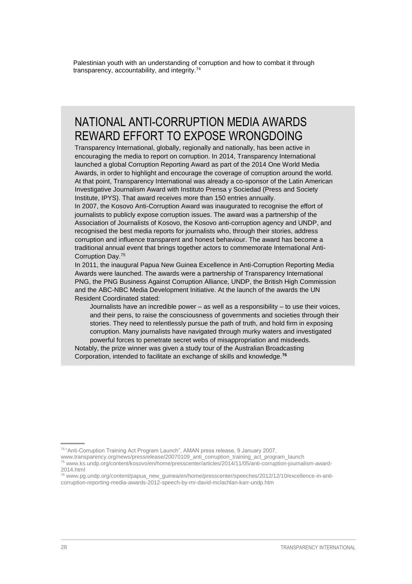Palestinian youth with an understanding of corruption and how to combat it through transparency, accountability, and integrity.<sup>74</sup>

### NATIONAL ANTI-CORRUPTION MEDIA AWARDS REWARD EFFORT TO EXPOSE WRONGDOING

Transparency International, globally, regionally and nationally, has been active in encouraging the media to report on corruption. In 2014, Transparency International launched a global Corruption Reporting Award as part of the 2014 One World Media Awards, in order to highlight and encourage the coverage of corruption around the world. At that point, Transparency International was already a co-sponsor of the Latin American Investigative Journalism Award with Instituto Prensa y Sociedad (Press and Society Institute, IPYS). That award receives more than 150 entries annually.

In 2007, the Kosovo Anti-Corruption Award was inaugurated to recognise the effort of journalists to publicly expose corruption issues. The award was a partnership of the Association of Journalists of Kosovo, the Kosovo anti-corruption agency and UNDP, and recognised the best media reports for journalists who, through their stories, address corruption and influence transparent and honest behaviour. The award has become a traditional annual event that brings together actors to commemorate International Anti-Corruption Day.<sup>75</sup>

In 2011, the inaugural Papua New Guinea Excellence in Anti-Corruption Reporting Media Awards were launched. The awards were a partnership of Transparency International PNG, the PNG Business Against Corruption Alliance, UNDP, the British High Commission and the ABC-NBC Media Development Initiative. At the launch of the awards the UN Resident Coordinated stated:

Journalists have an incredible power – as well as a responsibility – to use their voices, and their pens, to raise the consciousness of governments and societies through their stories. They need to relentlessly pursue the path of truth, and hold firm in exposing corruption. Many journalists have navigated through murky waters and investigated powerful forces to penetrate secret webs of misappropriation and misdeeds.

Notably, the prize winner was given a study tour of the Australian Broadcasting Corporation, intended to facilitate an exchange of skills and knowledge.**76**

[www.transparency.org/news/pressrelease/20070109\\_anti\\_corruption\\_training\\_act\\_program\\_launch](http://www.transparency.org/news/pressrelease/20070109_anti_corruption_training_act_program_launch)

<sup>74</sup> "Anti-Corruption Training Act Program Launch", AMAN press release, 9 January 2007,

<sup>75</sup> [www.ks.undp.org/content/kosovo/en/home/presscenter/articles/2014/11/05/anti-corruption-journalism-award-](http://www.ks.undp.org/content/kosovo/en/home/presscenter/articles/2014/11/05/anti-corruption-journalism-award-2014.html)[2014.html](http://www.ks.undp.org/content/kosovo/en/home/presscenter/articles/2014/11/05/anti-corruption-journalism-award-2014.html)

<sup>76</sup> [www.pg.undp.org/content/papua\\_new\\_guinea/en/home/presscenter/speeches/2012/12/10/excellence-in-anti](http://www.pg.undp.org/content/papua_new_guinea/en/home/presscenter/speeches/2012/12/10/excellence-in-anti-corruption-reporting-media-awards-2012-speech-by-mr-david-mclachlan-karr-undp.htm)[corruption-reporting-media-awards-2012-speech-by-mr-david-mclachlan-karr-undp.htm](http://www.pg.undp.org/content/papua_new_guinea/en/home/presscenter/speeches/2012/12/10/excellence-in-anti-corruption-reporting-media-awards-2012-speech-by-mr-david-mclachlan-karr-undp.htm)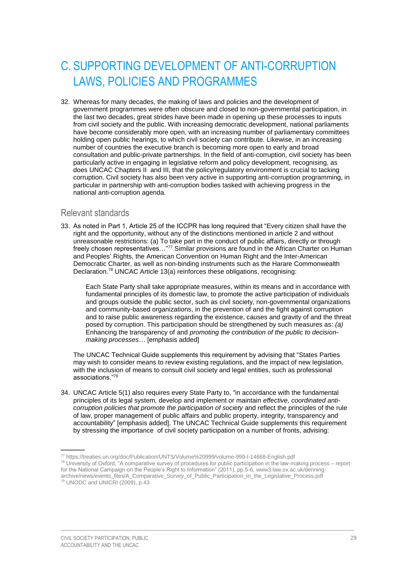# <span id="page-32-0"></span>C. SUPPORTING DEVELOPMENT OF ANTI-CORRUPTION LAWS, POLICIES AND PROGRAMMES

32. Whereas for many decades, the making of laws and policies and the development of government programmes were often obscure and closed to non-governmental participation, in the last two decades, great strides have been made in opening up these processes to inputs from civil society and the public. With increasing democratic development, national parliaments have become considerably more open, with an increasing number of parliamentary committees holding open public hearings, to which civil society can contribute. Likewise, in an increasing number of countries the executive branch is becoming more open to early and broad consultation and public-private partnerships. In the field of anti-corruption, civil society has been particularly active in engaging in legislative reform and policy development, recognising, as does UNCAC Chapters II and III, that the policy/regulatory environment is crucial to tacking corruption. Civil society has also been very active in supporting anti-corruption programming, in particular in partnership with anti-corruption bodies tasked with achieving progress in the national anti-corruption agenda.

### <span id="page-32-1"></span>Relevant standards

33. As noted in Part 1, Article 25 of the ICCPR has long required that "Every citizen shall have the right and the opportunity, without any of the distinctions mentioned in article 2 and without unreasonable restrictions: (a) To take part in the conduct of public affairs, directly or through freely chosen representatives..."77 Similar provisions are found in the African Charter on Human and Peoples' Rights, the American Convention on Human Right and the Inter-American Democratic Charter, as well as non-binding instruments such as the Harare Commonwealth Declaration.<sup>78</sup> UNCAC Article 13(a) reinforces these obligations, recognising:

Each State Party shall take appropriate measures, within its means and in accordance with fundamental principles of its domestic law, to promote the active participation of individuals and groups outside the public sector, such as civil society, non-governmental organizations and community-based organizations, in the prevention of and the fight against corruption and to raise public awareness regarding the existence, causes and gravity of and the threat posed by corruption. This participation should be strengthened by such measures as: *(a)*  Enhancing the transparency of and *promoting the contribution of the public to decisionmaking processes*… [emphasis added]

The UNCAC Technical Guide supplements this requirement by advising that "States Parties may wish to consider means to review existing regulations, and the impact of new legislation, with the inclusion of means to consult civil society and legal entities, such as professional associations."<sup>79</sup>

34. UNCAC Article 5(1) also requires every State Party to, "in accordance with the fundamental principles of its legal system, develop and implement or maintain *effective, coordinated anticorruption policies that promote the participation of society* and reflect the principles of the rule of law, proper management of public affairs and public property, integrity, transparency and accountability" [emphasis added]. The UNCAC Technical Guide supplements this requirement by stressing the importance of civil society participation on a number of fronts, advising:

<sup>77</sup> <https://treaties.un.org/doc/Publication/UNTS/Volume%20999/volume-999-I-14668-English.pdf>

 $78$  University of Oxford, "A comparative survey of procedures for public participation in the law-making process – report for the National Campaign on the People's Right to Information" (2011), pp.5-6, [www3.law.ox.ac.uk/denning](http://www3.law.ox.ac.uk/denning-archive/news/events_files/A_Comparative_Survey_of_Public_Participation_in_the_Legislative_Process.pdf)[archive/news/events\\_files/A\\_Comparative\\_Survey\\_of\\_Public\\_Participation\\_in\\_the\\_Legislative\\_Process.pdf](http://www3.law.ox.ac.uk/denning-archive/news/events_files/A_Comparative_Survey_of_Public_Participation_in_the_Legislative_Process.pdf) <sup>79</sup> UNODC and UNICRI (2009), p.43.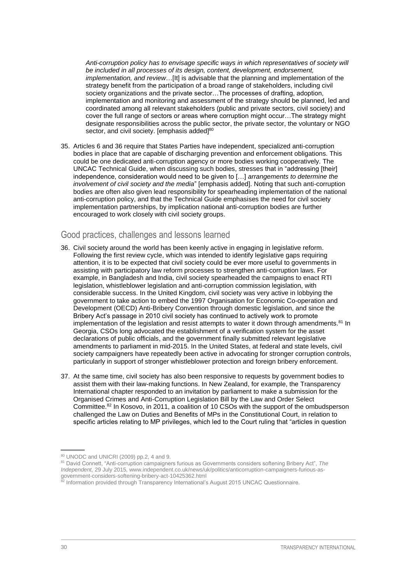*Anti-corruption policy has to envisage specific ways in which representatives of society will be included in all processes of its design, content, development, endorsement, implementation, and review...*[It] is advisable that the planning and implementation of the strategy benefit from the participation of a broad range of stakeholders, including civil society organizations and the private sector…The processes of drafting, adoption, implementation and monitoring and assessment of the strategy should be planned, led and coordinated among all relevant stakeholders (public and private sectors, civil society) and cover the full range of sectors or areas where corruption might occur…The strategy might designate responsibilities across the public sector, the private sector, the voluntary or NGO sector, and civil society. [emphasis added]<sup>80</sup>

35. Articles 6 and 36 require that States Parties have independent, specialized anti-corruption bodies in place that are capable of discharging prevention and enforcement obligations. This could be one dedicated anti-corruption agency or more bodies working cooperatively. The UNCAC Technical Guide, when discussing such bodies, stresses that in "addressing [their] independence, consideration would need to be given to […] *arrangements to determine the involvement of civil society and the media*" [emphasis added]. Noting that such anti-corruption bodies are often also given lead responsibility for spearheading implementation of the national anti-corruption policy, and that the Technical Guide emphasises the need for civil society implementation partnerships, by implication national anti-corruption bodies are further encouraged to work closely with civil society groups.

### <span id="page-33-0"></span>Good practices, challenges and lessons learned

- 36. Civil society around the world has been keenly active in engaging in legislative reform. Following the first review cycle, which was intended to identify legislative gaps requiring attention, it is to be expected that civil society could be ever more useful to governments in assisting with participatory law reform processes to strengthen anti-corruption laws. For example, in Bangladesh and India, civil society spearheaded the campaigns to enact RTI legislation, whistleblower legislation and anti-corruption commission legislation, with considerable success. In the United Kingdom, civil society was very active in lobbying the government to take action to embed the 1997 Organisation for Economic Co-operation and Development (OECD) Anti-Bribery Convention through domestic legislation, and since the Bribery Act's passage in 2010 civil society has continued to actively work to promote implementation of the legislation and resist attempts to water it down through amendments.<sup>81</sup> In Georgia, CSOs long advocated the establishment of a verification system for the asset declarations of public officials, and the government finally submitted relevant legislative amendments to parliament in mid-2015. In the United States, at federal and state levels, civil society campaigners have repeatedly been active in advocating for stronger corruption controls, particularly in support of stronger whistleblower protection and foreign bribery enforcement.
- 37. At the same time, civil society has also been responsive to requests by government bodies to assist them with their law-making functions. In New Zealand, for example, the Transparency International chapter responded to an invitation by parliament to make a submission for the Organised Crimes and Anti-Corruption Legislation Bill by the Law and Order Select Committee.<sup>82</sup> In Kosovo, in 2011, a coalition of 10 CSOs with the support of the ombudsperson challenged the Law on Duties and Benefits of MPs in the Constitutional Court, in relation to specific articles relating to MP privileges, which led to the Court ruling that "articles in question

<sup>80</sup> UNODC and UNICRI (2009) pp.2, 4 and 9.

<sup>81</sup> David Connett, "Anti-corruption campaigners furious as Governments considers softening Bribery Act", *The Independent,* 29 July 2015, [www.independent.co.uk/news/uk/politics/anticorruption-campaigners-furious-as](http://www.independent.co.uk/news/uk/politics/anticorruption-campaigners-furious-as-government-considers-softening-bribery-act-10425362.html)[government-considers-softening-bribery-act-10425362.html](http://www.independent.co.uk/news/uk/politics/anticorruption-campaigners-furious-as-government-considers-softening-bribery-act-10425362.html)

<sup>&</sup>lt;sup>82</sup> Information provided through Transparency International's August 2015 UNCAC Questionnaire.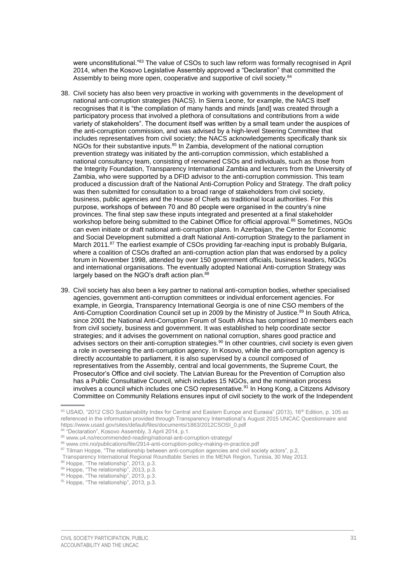were unconstitutional."83 The value of CSOs to such law reform was formally recognised in April 2014, when the Kosovo Legislative Assembly approved a "Declaration" that committed the Assembly to being more open, cooperative and supportive of civil society.<sup>84</sup>

- 38. Civil society has also been very proactive in working with governments in the development of national anti-corruption strategies (NACS). In Sierra Leone, for example, the NACS itself recognises that it is "the compilation of many hands and minds [and] was created through a participatory process that involved a plethora of consultations and contributions from a wide variety of stakeholders". The document itself was written by a small team under the auspices of the anti-corruption commission, and was advised by a high-level Steering Committee that includes representatives from civil society; the NACS acknowledgements specifically thank six NGOs for their substantive inputs.<sup>85</sup> In Zambia, development of the national corruption prevention strategy was initiated by the anti-corruption commission, which established a national consultancy team, consisting of renowned CSOs and individuals, such as those from the Integrity Foundation, Transparency International Zambia and lecturers from the University of Zambia, who were supported by a DFID advisor to the anti-corruption commission. This team produced a discussion draft of the National Anti-Corruption Policy and Strategy. The draft policy was then submitted for consultation to a broad range of stakeholders from civil society, business, public agencies and the House of Chiefs as traditional local authorities. For this purpose, workshops of between 70 and 80 people were organised in the country's nine provinces. The final step saw these inputs integrated and presented at a final stakeholder workshop before being submitted to the Cabinet Office for official approval.<sup>86</sup> Sometimes, NGOs can even initiate or draft national anti-corruption plans. In Azerbaijan, the Centre for Economic and Social Development submitted a draft National Anti-corruption Strategy to the parliament in March 2011.<sup>87</sup> The earliest example of CSOs providing far-reaching input is probably Bulgaria, where a coalition of CSOs drafted an anti-corruption action plan that was endorsed by a policy forum in November 1998, attended by over 150 government officials, business leaders, NGOs and international organisations. The eventually adopted National Anti-corruption Strategy was largely based on the NGO's draft action plan.<sup>88</sup>
- 39. Civil society has also been a key partner to national anti-corruption bodies, whether specialised agencies, government anti-corruption committees or individual enforcement agencies. For example, in Georgia, Transparency International Georgia is one of nine CSO members of the Anti-Corruption Coordination Council set up in 2009 by the Ministry of Justice.<sup>89</sup> In South Africa, since 2001 the National Anti-Corruption Forum of South Africa has comprised 10 members each from civil society, business and government. It was established to help coordinate sector strategies; and it advises the government on national corruption, shares good practice and advises sectors on their anti-corruption strategies.<sup>90</sup> In other countries, civil society is even given a role in overseeing the anti-corruption agency. In Kosovo, while the anti-corruption agency is directly accountable to parliament, it is also supervised by a council composed of representatives from the Assembly, central and local governments, the Supreme Court, the Prosecutor's Office and civil society. The Latvian Bureau for the Prevention of Corruption also has a Public Consultative Council, which includes 15 NGOs, and the nomination process involves a council which includes one CSO representative.<sup>91</sup> In Hong Kong, a Citizens Advisory Committee on Community Relations ensures input of civil society to the work of the Independent

<sup>83</sup> USAID, "2012 CSO Sustainability Index for Central and Eastern Europe and Eurasia" (2013), 16<sup>th</sup> Edition, p. 105 as referenced in the information provided through Transparency International's August 2015 UNCAC Questionnaire and https://www.usaid.gov/sites/default/files/documents/1863/2012CSOSI\_0.pdf

<sup>&</sup>lt;sup>4</sup> "Declaration", Kosovo Assembly, 3 April 2014, p.1.

<sup>85</sup> [www.u4.no/recommended-reading/national-anti-corruption-strategy/](http://www.u4.no/recommended-reading/national-anti-corruption-strategy/)

<sup>86</sup> [www.cmi.no/publications/file/2914-anti-corruption-policy-making-in-practice.pdf](http://www.cmi.no/publications/file/2914-anti-corruption-policy-making-in-practice.pdf)

<sup>87</sup> Tilman Hoppe, "The relationship between anti-corruption agencies and civil society actors", p.2,

Transparency International Regional Roundtable Series in the MENA Region, Tunisia, 30 May 2013.

<sup>&</sup>lt;sup>88</sup> Hoppe, "The relationship", 2013, p.3.

<sup>89</sup> Hoppe, "The relationship", 2013, p.3.

<sup>&</sup>lt;sup>90</sup> Hoppe, "The relationship", 2013, p.3.

<sup>&</sup>lt;sup>91</sup> Hoppe, "The relationship", 2013, p.3.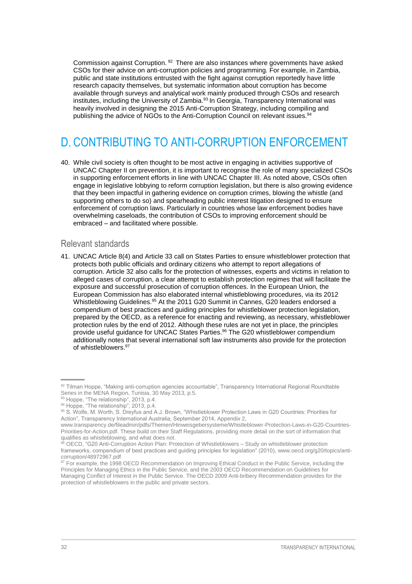Commission against Corruption.  $92$  There are also instances where governments have asked CSOs for their advice on anti-corruption policies and programming. For example, in Zambia, public and state institutions entrusted with the fight against corruption reportedly have little research capacity themselves, but systematic information about corruption has become available through surveys and analytical work mainly produced through CSOs and research institutes, including the University of Zambia.<sup>93</sup> In Georgia, Transparency International was heavily involved in designing the 2015 Anti-Corruption Strategy, including compiling and publishing the advice of NGOs to the Anti-Corruption Council on relevant issues.<sup>94</sup>

## <span id="page-35-0"></span>D. CONTRIBUTING TO ANTI-CORRUPTION ENFORCEMENT

40. While civil society is often thought to be most active in engaging in activities supportive of UNCAC Chapter II on prevention, it is important to recognise the role of many specialized CSOs in supporting enforcement efforts in line with UNCAC Chapter III. As noted above, CSOs often engage in legislative lobbying to reform corruption legislation, but there is also growing evidence that they been impactful in gathering evidence on corruption crimes, blowing the whistle (and supporting others to do so) and spearheading public interest litigation designed to ensure enforcement of corruption laws. Particularly in countries whose law enforcement bodies have overwhelming caseloads, the contribution of CSOs to improving enforcement should be embraced – and facilitated where possible.

#### <span id="page-35-1"></span>Relevant standards

41. UNCAC Article 8(4) and Article 33 call on States Parties to ensure whistleblower protection that protects both public officials and ordinary citizens who attempt to report allegations of corruption. Article 32 also calls for the protection of witnesses, experts and victims in relation to alleged cases of corruption, a clear attempt to establish protection regimes that will facilitate the exposure and successful prosecution of corruption offences. In the European Union, the European Commission has also elaborated internal whistleblowing procedures, via its 2012 Whistleblowing Guidelines.<sup>95</sup> At the 2011 G20 Summit in Cannes, G20 leaders endorsed a compendium of best practices and guiding principles for whistleblower protection legislation, prepared by the OECD, as a reference for enacting and reviewing, as necessary, whistleblower protection rules by the end of 2012. Although these rules are not yet in place, the principles provide useful guidance for UNCAC States Parties.<sup>96</sup> The G20 whistleblower compendium additionally notes that several international soft law instruments also provide for the protection of whistleblowers.<sup>97</sup>

<sup>92</sup> Tilman Hoppe, "Making anti-corruption agencies accountable", Transparency International Regional Roundtable Series in the MENA Region, Tunisia, 30 May 2013, p.5.

<sup>93</sup> Hoppe, "The relationship", 2013, p.4.

<sup>94</sup> Hoppe, "The relationship", 2013, p.4.

<sup>95</sup> S. Wolfe, M. Worth, S. Dreyfus and A.J. Brown, "Whistleblower Protection Laws in G20 Countries: Priorities for Action", Transparency International Australia, September 2014, Appendix 2,

[www.transparency.de/fileadmin/pdfs/Themen/Hinweisgebersysteme/Whistleblower-Protection-Laws-in-G20-Countries-](https://www.transparency.de/fileadmin/pdfs/Themen/Hinweisgebersysteme/Whistleblower-Protection-Laws-in-G20-Countries-Priorities-for-Action.pdf)[Priorities-for-Action.pdf.](https://www.transparency.de/fileadmin/pdfs/Themen/Hinweisgebersysteme/Whistleblower-Protection-Laws-in-G20-Countries-Priorities-for-Action.pdf) These build on their Staff Regulations, providing more detail on the sort of information that qualifies as whistleblowing, and what does not.

<sup>96</sup> OECD, "G20 Anti-Corruption Action Plan: Protection of Whistleblowers – Study on whistleblower protection frameworks, compendium of best practices and guiding principles for legislation" (2010), [www.oecd.org/g20/topics/anti](http://www.oecd.org/g20/topics/anti-corruption/48972967.pdf)[corruption/48972967.pdf](http://www.oecd.org/g20/topics/anti-corruption/48972967.pdf)

<sup>&</sup>lt;sup>97</sup> For example, the 1998 OECD Recommendation on Improving Ethical Conduct in the Public Service, including the Principles for Managing Ethics in the Public Service, and the 2003 OECD Recommendation on Guidelines for Managing Conflict of Interest in the Public Service. The OECD 2009 Anti-bribery Recommendation provides for the protection of whistleblowers in the public and private sectors.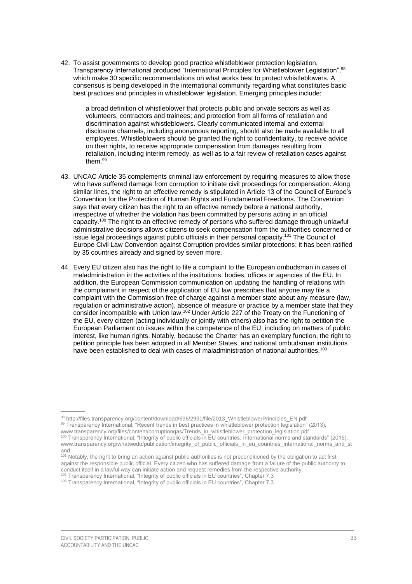42. To assist governments to develop good practice whistleblower protection legislation, Transparency International produced "International Principles for Whistleblower Legislation", 98 which make 30 specific recommendations on what works best to protect whistleblowers. A consensus is being developed in the international community regarding what constitutes basic best practices and principles in whistleblower legislation. Emerging principles include:

a broad definition of whistleblower that protects public and private sectors as well as volunteers, contractors and trainees; and protection from all forms of retaliation and discrimination against whistleblowers. Clearly communicated internal and external disclosure channels, including anonymous reporting, should also be made available to all employees. Whistleblowers should be granted the right to confidentiality, to receive advice on their rights, to receive appropriate compensation from damages resulting from retaliation, including interim remedy, as well as to a fair review of retaliation cases against them.<sup>99</sup>

- 43. UNCAC Article 35 complements criminal law enforcement by requiring measures to allow those who have suffered damage from corruption to initiate civil proceedings for compensation. Along similar lines, the right to an effective remedy is stipulated in Article 13 of the Council of Europe's Convention for the Protection of Human Rights and Fundamental Freedoms. The Convention says that every citizen has the right to an effective remedy before a national authority, irrespective of whether the violation has been committed by persons acting in an official capacity.<sup>100</sup> The right to an effective remedy of persons who suffered damage through unlawful administrative decisions allows citizens to seek compensation from the authorities concerned or issue legal proceedings against public officials in their personal capacity.<sup>101</sup> The Council of Europe Civil Law Convention against Corruption provides similar protections; it has been ratified by 35 countries already and signed by seven more.
- 44. Every EU citizen also has the right to file a complaint to the European ombudsman in cases of maladministration in the activities of the institutions, bodies, offices or agencies of the EU. In addition, the European Commission communication on updating the handling of relations with the complainant in respect of the application of EU law prescribes that anyone may file a complaint with the Commission free of charge against a member state about any measure (law, regulation or administrative action), absence of measure or practice by a member state that they consider incompatible with Union law.<sup>102</sup> Under Article 227 of the Treaty on the Functioning of the EU, every citizen (acting individually or jointly with others) also has the right to petition the European Parliament on issues within the competence of the EU, including on matters of public interest, like human rights. Notably, because the Charter has an exemplary function, the right to petition principle has been adopted in all Member States, and national ombudsman institutions have been established to deal with cases of maladministration of national authorities.<sup>103</sup>

[www.transparency.org/files/content/corruptionqas/Trends\\_in\\_whistleblower\\_protection\\_legislation.pdf](http://www.transparency.org/files/content/corruptionqas/Trends_in_whistleblower_protection_legislation.pdf)

<sup>101</sup> Notably, the right to bring an action against public authorities is not preconditioned by the obligation to act first against the responsible public official. Every citizen who has suffered damage from a failure of the public authority to conduct itself in a lawful way can initiate action and request remedies from the respective authority.  $02$  Transparency International, "Integrity of public officials in EU countries", Chapter 7.3

<sup>98</sup> [http://files.transparency.org/content/download/696/2991/file/2013\\_WhistleblowerPrinciples\\_EN.pdf](http://files.transparency.org/content/download/696/2991/file/2013_WhistleblowerPrinciples_EN.pdf) 99 Transparency International, "Recent trends in best practices in whistleblower protection legislation" (2013),

<sup>100</sup> Transparency International, "Integrity of public officials in EU countries: International norms and standards" (2015), [www.transparency.org/whatwedo/publication/integrity\\_of\\_public\\_officials\\_in\\_eu\\_countries\\_international\\_norms\\_and\\_st](http://www.transparency.org/whatwedo/publication/integrity_of_public_officials_in_eu_countries_international_norms_and_stand) [and](http://www.transparency.org/whatwedo/publication/integrity_of_public_officials_in_eu_countries_international_norms_and_stand)

<sup>&</sup>lt;sup>103</sup> Transparency International, "Integrity of public officials in EU countries", Chapter 7.3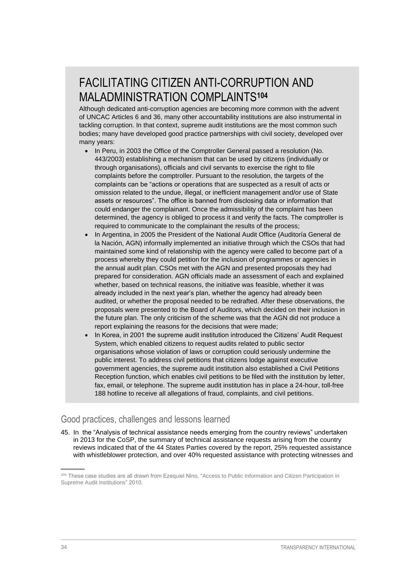# FACILITATING CITIZEN ANTI-CORRUPTION AND MALADMINISTRATION COMPLAINTS**<sup>104</sup>**

Although dedicated anti-corruption agencies are becoming more common with the advent of UNCAC Articles 6 and 36, many other accountability institutions are also instrumental in tackling corruption. In that context, supreme audit institutions are the most common such bodies; many have developed good practice partnerships with civil society, developed over many years:

- In Peru, in 2003 the Office of the Comptroller General passed a resolution (No. 443/2003) establishing a mechanism that can be used by citizens (individually or through organisations), officials and civil servants to exercise the right to file complaints before the comptroller. Pursuant to the resolution, the targets of the complaints can be "actions or operations that are suspected as a result of acts or omission related to the undue, illegal, or inefficient management and/or use of State assets or resources". The office is banned from disclosing data or information that could endanger the complainant. Once the admissibility of the complaint has been determined, the agency is obliged to process it and verify the facts. The comptroller is required to communicate to the complainant the results of the process;
- In Argentina, in 2005 the President of the National Audit Office (Auditoría General de la Nación, AGN) informally implemented an initiative through which the CSOs that had maintained some kind of relationship with the agency were called to become part of a process whereby they could petition for the inclusion of programmes or agencies in the annual audit plan. CSOs met with the AGN and presented proposals they had prepared for consideration. AGN officials made an assessment of each and explained whether, based on technical reasons, the initiative was feasible, whether it was already included in the next year's plan, whether the agency had already been audited, or whether the proposal needed to be redrafted. After these observations, the proposals were presented to the Board of Auditors, which decided on their inclusion in the future plan. The only criticism of the scheme was that the AGN did not produce a report explaining the reasons for the decisions that were made;
- In Korea, in 2001 the supreme audit institution introduced the Citizens' Audit Request System, which enabled citizens to request audits related to public sector organisations whose violation of laws or corruption could seriously undermine the public interest. To address civil petitions that citizens lodge against executive government agencies, the supreme audit institution also established a Civil Petitions Reception function, which enables civil petitions to be filed with the institution by letter, fax, email, or telephone. The supreme audit institution has in place a 24-hour, toll-free 188 hotline to receive all allegations of fraud, complaints, and civil petitions.

### <span id="page-37-0"></span>Good practices, challenges and lessons learned

45. In the "Analysis of technical assistance needs emerging from the country reviews" undertaken in 2013 for the CoSP, the summary of technical assistance requests arising from the country reviews indicated that of the 44 States Parties covered by the report, 25% requested assistance with whistleblower protection, and over 40% requested assistance with protecting witnesses and

<sup>104</sup> These case studies are all drawn from Ezequiel Nino, "Access to Public Information and Citizen Participation in Supreme Audit Institutions" 2010.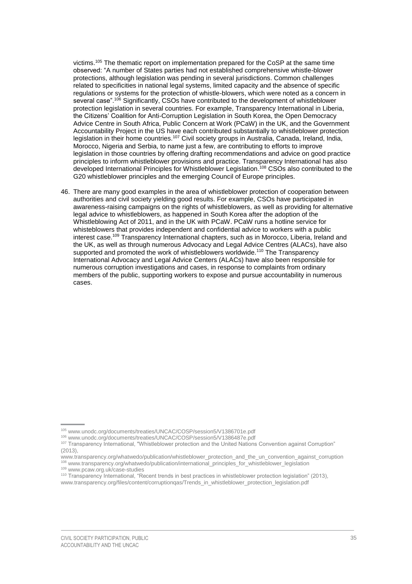victims. <sup>105</sup> The thematic report on implementation prepared for the CoSP at the same time observed: "A number of States parties had not established comprehensive whistle-blower protections, although legislation was pending in several jurisdictions. Common challenges related to specificities in national legal systems, limited capacity and the absence of specific regulations or systems for the protection of whistle-blowers, which were noted as a concern in several case".<sup>106</sup> Significantly, CSOs have contributed to the development of whistleblower protection legislation in several countries. For example, Transparency International in Liberia, the Citizens' Coalition for Anti-Corruption Legislation in South Korea, the Open Democracy Advice Centre in South Africa, Public Concern at Work (PCaW) in the UK, and the Government Accountability Project in the US have each contributed substantially to whistleblower protection legislation in their home countries.<sup>107</sup> Civil society groups in Australia, Canada, Ireland, India, Morocco, Nigeria and Serbia, to name just a few, are contributing to efforts to improve legislation in those countries by offering drafting recommendations and advice on good practice principles to inform whistleblower provisions and practice. Transparency International has also developed International Principles for Whistleblower Legislation. <sup>108</sup> CSOs also contributed to the G20 whistleblower principles and the emerging Council of Europe principles.

46. There are many good examples in the area of whistleblower protection of cooperation between authorities and civil society yielding good results. For example, CSOs have participated in awareness-raising campaigns on the rights of whistleblowers, as well as providing for alternative legal advice to whistleblowers, as happened in South Korea after the adoption of the Whistleblowing Act of 2011, and in the UK with PCaW. PCaW runs a hotline service for whisteblowers that provides independent and confidential advice to workers with a public interest case.<sup>109</sup> Transparency International chapters, such as in Morocco, Liberia, Ireland and the UK, as well as through numerous Advocacy and Legal Advice Centres (ALACs), have also supported and promoted the work of whistleblowers worldwide.<sup>110</sup> The Transparency International Advocacy and Legal Advice Centers (ALACs) have also been responsible for numerous corruption investigations and cases, in response to complaints from ordinary members of the public, supporting workers to expose and pursue accountability in numerous cases.

<sup>105</sup> [www.unodc.org/documents/treaties/UNCAC/COSP/session5/V1386701e.pdf](https://www.unodc.org/documents/treaties/UNCAC/COSP/session5/V1386701e.pdf)

<sup>106</sup> [www.unodc.org/documents/treaties/UNCAC/COSP/session5/V1386487e.pdf](https://www.unodc.org/documents/treaties/UNCAC/COSP/session5/V1386487e.pdf)

<sup>107</sup> Transparency International, "Whistleblower protection and the United Nations Convention against Corruption"  $(2013)$ 

[www.transparency.org/whatwedo/publication/whistleblower\\_protection\\_and\\_the\\_un\\_convention\\_against\\_corruption](http://www.transparency.org/whatwedo/publication/whistleblower_protection_and_the_un_convention_against_corruption) <sup>108</sup> www.transparency.org/whatwedo/publication/international\_principles\_for\_whistleblower\_legislation <sup>109</sup> [www.pcaw.org.uk/case-studies](http://www.pcaw.org.uk/case-studies)

<sup>110</sup> Transparency International, "Recent trends in best practices in whistleblower protection legislation" (2013), [www.transparency.org/files/content/corruptionqas/Trends\\_in\\_whistleblower\\_protection\\_legislation.pdf](http://www.transparency.org/files/content/corruptionqas/Trends_in_whistleblower_protection_legislation.pdf)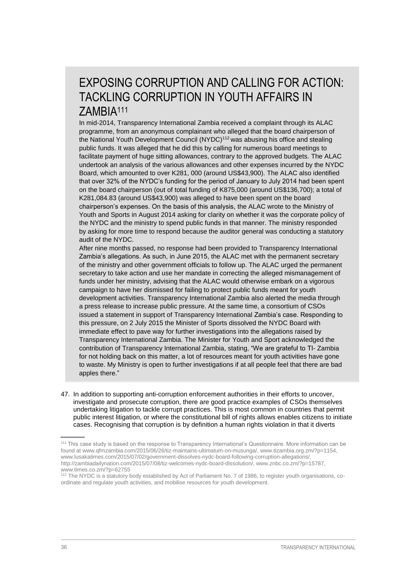### EXPOSING CORRUPTION AND CALLING FOR ACTION: TACKLING CORRUPTION IN YOUTH AFFAIRS IN ZAMBIA<sup>111</sup>

In mid-2014, Transparency International Zambia received a complaint through its ALAC programme, from an anonymous complainant who alleged that the board chairperson of the National Youth Development Council (NYDC)<sup>112</sup> was abusing his office and stealing public funds. It was alleged that he did this by calling for numerous board meetings to facilitate payment of huge sitting allowances, contrary to the approved budgets. The ALAC undertook an analysis of the various allowances and other expenses incurred by the NYDC Board, which amounted to over K281, 000 (around US\$43,900). The ALAC also identified that over 32% of the NYDC's funding for the period of January to July 2014 had been spent on the board chairperson (out of total funding of K875,000 (around US\$136,700); a total of K281,084.83 (around US\$43,900) was alleged to have been spent on the board chairperson's expenses. On the basis of this analysis, the ALAC wrote to the Ministry of Youth and Sports in August 2014 asking for clarity on whether it was the corporate policy of the NYDC and the ministry to spend public funds in that manner. The ministry responded by asking for more time to respond because the auditor general was conducting a statutory audit of the NYDC.

After nine months passed, no response had been provided to Transparency International Zambia's allegations. As such, in June 2015, the ALAC met with the permanent secretary of the ministry and other government officials to follow up. The ALAC urged the permanent secretary to take action and use her mandate in correcting the alleged mismanagement of funds under her ministry, advising that the ALAC would otherwise embark on a vigorous campaign to have her dismissed for failing to protect public funds meant for youth development activities. Transparency International Zambia also alerted the media through a press release to increase public pressure. At the same time, a consortium of CSOs issued a statement in support of Transparency International Zambia's case. Responding to this pressure, on 2 July 2015 the Minister of Sports dissolved the NYDC Board with immediate effect to pave way for further investigations into the allegations raised by Transparency International Zambia. The Minister for Youth and Sport acknowledged the contribution of Transparency International Zambia, stating, "We are grateful to TI- Zambia for not holding back on this matter, a lot of resources meant for youth activities have gone to waste. My Ministry is open to further investigations if at all people feel that there are bad apples there."

47. In addition to supporting anti-corruption enforcement authorities in their efforts to uncover, investigate and prosecute corruption, there are good practice examples of CSOs themselves undertaking litigation to tackle corrupt practices. This is most common in countries that permit public interest litigation, or where the constitutional bill of rights allows enables citizens to initiate cases. Recognising that corruption is by definition a human rights violation in that it diverts

<sup>111</sup> This case study is based on the response to Transparency International's Questionnaire. More information can be found at [www.qfmzambia.com/2015/06/26/tiz-maintains-ultimatum-on-musunga/,](http://www.qfmzambia.com/2015/06/26/tiz-maintains-ultimatum-on-musunga/) [www.tizambia.org.zm/?p=1154,](http://www.tizambia.org.zm/?p=1154) [www.lusakatimes.com/2015/07/02/government-dissolves-nydc-board-following-corruption-allegations/,](http://www.lusakatimes.com/2015/07/02/government-dissolves-nydc-board-following-corruption-allegations/) [http://zambiadailynation.com/2015/07/08/tiz-welcomes-nydc-board-dissolution/,](http://zambiadailynation.com/2015/07/08/tiz-welcomes-nydc-board-dissolution/) [www.znbc.co.zm/?p=15787,](http://www.znbc.co.zm/?p=15787) [www.times.co.zm/?p=62755](http://www.times.co.zm/?p=62755)

<sup>112</sup> The NYDC is a statutory body established by Act of Parliament No. 7 of 1986, to register youth organisations, coordinate and regulate youth activities, and mobilise resources for youth development.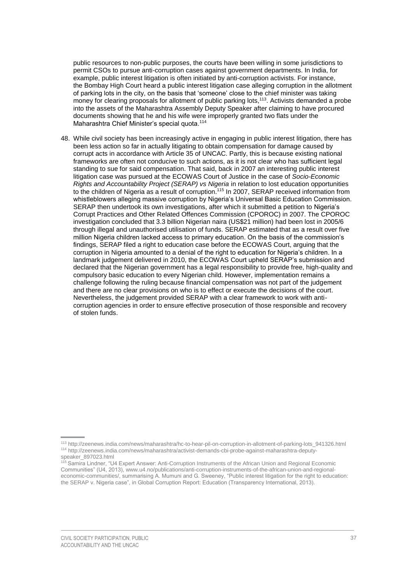public resources to non-public purposes, the courts have been willing in some jurisdictions to permit CSOs to pursue anti-corruption cases against government departments. In India, for example, public interest litigation is often initiated by anti-corruption activists. For instance, the Bombay High Court heard a public interest litigation case alleging corruption in the allotment of parking lots in the city, on the basis that 'someone' close to the chief minister was taking money for clearing proposals for allotment of public parking lots,<sup>113</sup>. Activists demanded a probe into the assets of the Maharashtra Assembly Deputy Speaker after claiming to have procured documents showing that he and his wife were improperly granted two flats under the Maharashtra Chief Minister's special quota.<sup>114</sup>

48. While civil society has been increasingly active in engaging in public interest litigation, there has been less action so far in actually litigating to obtain compensation for damage caused by corrupt acts in accordance with Article 35 of UNCAC. Partly, this is because existing national frameworks are often not conducive to such actions, as it is not clear who has sufficient legal standing to sue for said compensation. That said, back in 2007 an interesting public interest litigation case was pursued at the ECOWAS Court of Justice in the case of *Socio-Economic Rights and Accountability Project (SERAP) vs Nigeria* in relation to lost education opportunities to the children of Nigeria as a result of corruption.<sup>115</sup> In 2007, SERAP received information from whistleblowers alleging massive corruption by Nigeria's Universal Basic Education Commission. SERAP then undertook its own investigations, after which it submitted a petition to Nigeria's Corrupt Practices and Other Related Offences Commission (CPOROC) in 2007. The CPOROC investigation concluded that 3.3 billion Nigerian naira (US\$21 million) had been lost in 2005/6 through illegal and unauthorised utilisation of funds. SERAP estimated that as a result over five million Nigeria children lacked access to primary education. On the basis of the commission's findings, SERAP filed a right to education case before the ECOWAS Court, arguing that the corruption in Nigeria amounted to a denial of the right to education for Nigeria's children. In a landmark judgement delivered in 2010, the ECOWAS Court upheld SERAP's submission and declared that the Nigerian government has a legal responsibility to provide free, high-quality and compulsory basic education to every Nigerian child. However, implementation remains a challenge following the ruling because financial compensation was not part of the judgement and there are no clear provisions on who is to effect or execute the decisions of the court. Nevertheless, the judgement provided SERAP with a clear framework to work with anticorruption agencies in order to ensure effective prosecution of those responsible and recovery of stolen funds.

<sup>113</sup> [http://zeenews.india.com/news/maharashtra/hc-to-hear-pil-on-corruption-in-allotment-of-parking-lots\\_941326.html](http://zeenews.india.com/news/maharashtra/hc-to-hear-pil-on-corruption-in-allotment-of-parking-lots_941326.html) <sup>114</sup> [http://zeenews.india.com/news/maharashtra/activist-demands-cbi-probe-against-maharashtra-deputy](http://zeenews.india.com/news/maharashtra/activist-demands-cbi-probe-against-maharashtra-deputy-speaker_897023.html)[speaker\\_897023.html](http://zeenews.india.com/news/maharashtra/activist-demands-cbi-probe-against-maharashtra-deputy-speaker_897023.html)

<sup>&</sup>lt;sup>115</sup> Samira Lindner, "U4 Expert Answer: Anti-Corruption Instruments of the African Union and Regional Economic Communities" (U4, 2013)[, www.u4.no/publications/anti-corruption-instruments-of-the-african-union-and-regional](http://www.u4.no/publications/anti-corruption-instruments-of-the-african-union-and-regional-economic-communities/)[economic-communities/,](http://www.u4.no/publications/anti-corruption-instruments-of-the-african-union-and-regional-economic-communities/) summarising A. Mumuni and G. Sweeney, "Public interest litigation for the right to education: the SERAP v. Nigeria case", in Global Corruption Report: Education (Transparency International, 2013).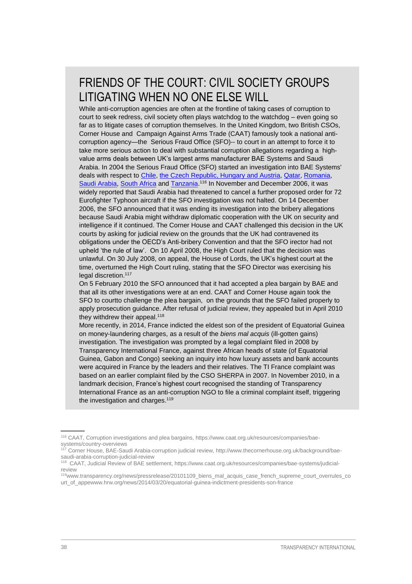## FRIENDS OF THE COURT: CIVIL SOCIETY GROUPS LITIGATING WHEN NO ONE ELSE WILL

While anti-corruption agencies are often at the frontline of taking cases of corruption to court to seek redress, civil society often plays watchdog to the watchdog - even going so far as to litigate cases of corruption themselves. In the United Kingdom, two British CSOs, Corner House and Campaign Against Arms Trade (CAAT) famously took a national anticorruption agency—the Serious Fraud Office (SFO)-- to court in an attempt to force it to take more serious action to deal with substantial corruption allegations regarding a highvalue arms deals between UK's largest arms manufacturer BAE Systems and Saudi Arabia. In 2004 the Serious Fraud Office (SFO) started an investigation into BAE Systems' deals with respect to [Chile,](https://www.caat.org.uk/resources/companies/bae-systems/country-overviews#chile) [the Czech Republic, Hungary and Austria,](https://www.caat.org.uk/resources/companies/bae-systems/country-overviews#czechrepublic) [Qatar,](https://www.caat.org.uk/resources/companies/bae-systems/country-overviews#qatar) [Romania,](https://www.caat.org.uk/resources/companies/bae-systems/country-overviews#romania) [Saudi Arabia,](https://www.caat.org.uk/resources/companies/bae-systems/country-overviews#saudi) [South Africa](https://www.caat.org.uk/resources/companies/bae-systems/country-overviews#southafrica) and [Tanzania.](https://www.caat.org.uk/resources/companies/bae-systems/country-overviews#tanzania)<sup>116</sup> In November and December 2006, it was widely reported that Saudi Arabia had threatened to cancel a further proposed order for 72 Eurofighter Typhoon aircraft if the SFO investigation was not halted. On 14 December 2006, the SFO announced that it was ending its investigation into the bribery allegations because Saudi Arabia might withdraw diplomatic cooperation with the UK on security and intelligence if it continued. The Corner House and CAAT challenged this decision in the UK courts by asking for judicial review on the grounds that the UK had contravened its obligations under the OECD's Anti-bribery Convention and that the SFO irector had not upheld 'the rule of law'. On 10 April 2008, the High Court ruled that the decision was unlawful. On 30 July 2008, on appeal, the House of Lords, the UK's highest court at the time, overturned the High Court ruling, stating that the SFO Director was exercising his legal discretion.<sup>117</sup>

On 5 February 2010 the SFO announced that it had accepted a plea bargain by BAE and that all its other investigations were at an end. CAAT and Corner House again took the SFO to courtto challenge the plea bargain, on the grounds that the SFO failed properly to apply prosecution guidance. After refusal of judicial review, they appealed but in April 2010 they withdrew their appeal.<sup>118</sup>

More recently, in 2014, France indicted the eldest son of the president of Equatorial Guinea on money-laundering charges, as a result of the *biens mal acquis* (ill-gotten gains) investigation. The investigation was prompted by a legal complaint filed in 2008 by Transparency International France, against three African heads of state (of Equatorial Guinea, Gabon and Congo) seeking an inquiry into how luxury assets and bank accounts were acquired in France by the leaders and their relatives. The TI France complaint was based on an earlier complaint filed by the CSO SHERPA in 2007. In November 2010, in a landmark decision, France's highest court recognised the standing of Transparency International France as an anti-corruption NGO to file a criminal complaint itself, triggering the investigation and charges.<sup>119</sup>

<sup>116</sup> CAAT, Corruption investigations and plea bargains, https://www.caat.org.uk/resources/companies/baesystems/country-overviews

<sup>117</sup> Corner House, BAE-Saudi Arabia-corruption judicial review, http://www.thecornerhouse.org.uk/background/baesaudi-arabia-corruption-judicial-review

<sup>118</sup> CAAT, Judicial Review of BAE settlement, https://www.caat.org.uk/resources/companies/bae-systems/judicialreview

<sup>119</sup>www.transparency.org/news/pressrelease/20101109\_biens\_mal\_acquis\_case\_french\_supreme\_court\_overrules\_co urt\_of\_app[ewww.hrw.org/news/2014/03/20/equatorial-guinea-indictment-presidents-son-france](https://www.hrw.org/news/2014/03/20/equatorial-guinea-indictment-presidents-son-france)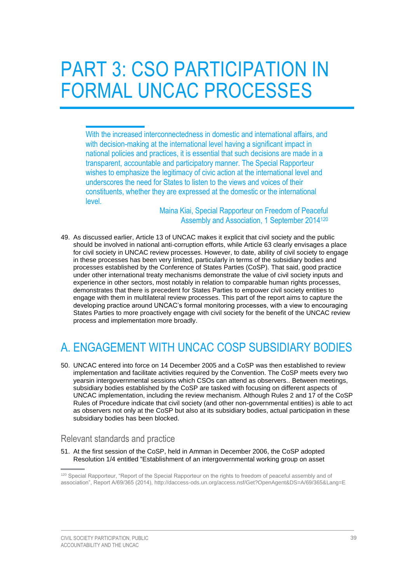# <span id="page-42-0"></span>PART 3: CSO PARTICIPATION IN FORMAL UNCAC PROCESSES

With the increased interconnectedness in domestic and international affairs, and with decision-making at the international level having a significant impact in national policies and practices, it is essential that such decisions are made in a transparent, accountable and participatory manner. The Special Rapporteur wishes to emphasize the legitimacy of civic action at the international level and underscores the need for States to listen to the views and voices of their constituents, whether they are expressed at the domestic or the international level.

> Maina Kiai, Special Rapporteur on Freedom of Peaceful Assembly and Association, 1 September 2014<sup>120</sup>

49. As discussed earlier, Article 13 of UNCAC makes it explicit that civil society and the public should be involved in national anti-corruption efforts, while Article 63 clearly envisages a place for civil society in UNCAC review processes. However, to date, ability of civil society to engage in these processes has been very limited, particularly in terms of the subsidiary bodies and processes established by the Conference of States Parties (CoSP). That said, good practice under other international treaty mechanisms demonstrate the value of civil society inputs and experience in other sectors, most notably in relation to comparable human rights processes, demonstrates that there is precedent for States Parties to empower civil society entities to engage with them in multilateral review processes. This part of the report aims to capture the developing practice around UNCAC's formal monitoring processes, with a view to encouraging States Parties to more proactively engage with civil society for the benefit of the UNCAC review process and implementation more broadly.

# <span id="page-42-1"></span>A. ENGAGEMENT WITH UNCAC COSP SUBSIDIARY BODIES

50. UNCAC entered into force on 14 December 2005 and a CoSP was then established to review implementation and facilitate activities required by the Convention. The CoSP meets every two yearsin intergovernmental sessions which CSOs can attend as observers.. Between meetings, subsidiary bodies established by the CoSP are tasked with focusing on different aspects of UNCAC implementation, including the review mechanism. Although Rules 2 and 17 of the CoSP Rules of Procedure indicate that civil society (and other non-governmental entities) is able to act as observers not only at the CoSP but also at its subsidiary bodies, actual participation in these subsidiary bodies has been blocked.

#### <span id="page-42-2"></span>Relevant standards and practice

51. At the first session of the CoSP, held in Amman in December 2006, the CoSP adopted Resolution 1/4 entitled "Establishment of an intergovernmental working group on asset

<sup>&</sup>lt;sup>120</sup> Special Rapporteur, "Report of the Special Rapporteur on the rights to freedom of peaceful assembly and of association", Report A/69/365 (2014),<http://daccess-ods.un.org/access.nsf/Get?OpenAgent&DS=A/69/365&Lang=E>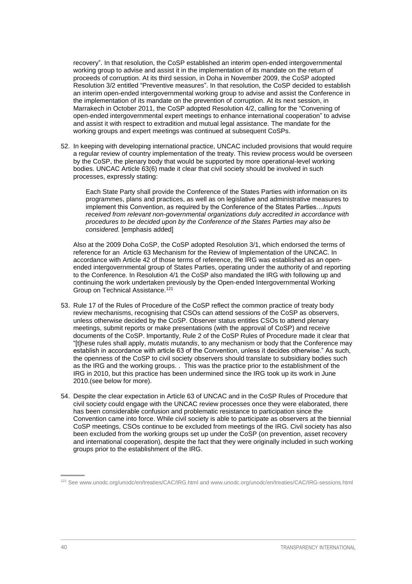recovery". In that resolution, the CoSP established an interim open-ended intergovernmental working group to advise and assist it in the implementation of its mandate on the return of proceeds of corruption. At its third session, in Doha in November 2009, the CoSP adopted Resolution 3/2 entitled "Preventive measures". In that resolution, the CoSP decided to establish an interim open-ended intergovernmental working group to advise and assist the Conference in the implementation of its mandate on the prevention of corruption. At its next session, in Marrakech in October 2011, the CoSP adopted Resolution 4/2, calling for the "Convening of open-ended intergovernmental expert meetings to enhance international cooperation" to advise and assist it with respect to extradition and mutual legal assistance. The mandate for the working groups and expert meetings was continued at subsequent CoSPs.

52. In keeping with developing international practice, UNCAC included provisions that would require a regular review of country implementation of the treaty. This review process would be overseen by the CoSP, the plenary body that would be supported by more operational-level working bodies. UNCAC Article 63(6) made it clear that civil society should be involved in such processes, expressly stating:

Each State Party shall provide the Conference of the States Parties with information on its programmes, plans and practices, as well as on legislative and administrative measures to implement this Convention, as required by the Conference of the States Parties…*Inputs received from relevant non-governmental organizations duly accredited in accordance with procedures to be decided upon by the Conference of the States Parties may also be considered.* [emphasis added]

Also at the 2009 Doha CoSP, the CoSP adopted Resolution 3/1, which endorsed the terms of reference for an Article 63 Mechanism for the Review of Implementation of the UNCAC. In accordance with Article 42 of those terms of reference, the IRG was established as an openended intergovernmental group of States Parties, operating under the authority of and reporting to the Conference. In Resolution 4/1 the CoSP also mandated the IRG with following up and continuing the work undertaken previously by the Open-ended Intergovernmental Working Group on Technical Assistance.<sup>121</sup>

- 53. Rule 17 of the Rules of Procedure of the CoSP reflect the common practice of treaty body review mechanisms, recognising that CSOs can attend sessions of the CoSP as observers, unless otherwise decided by the CoSP. Observer status entitles CSOs to attend plenary meetings, submit reports or make presentations (with the approval of CoSP) and receive documents of the CoSP. Importantly, Rule 2 of the CoSP Rules of Procedure made it clear that "[t]hese rules shall apply, *mutatis mutandis*, to any mechanism or body that the Conference may establish in accordance with article 63 of the Convention, unless it decides otherwise." As such, the openness of the CoSP to civil society observers should translate to subsidiary bodies such as the IRG and the working groups. . This was the practice prior to the establishment of the IRG in 2010, but this practice has been undermined since the IRG took up its work in June 2010.(see below for more).
- 54. Despite the clear expectation in Article 63 of UNCAC and in the CoSP Rules of Procedure that civil society could engage with the UNCAC review processes once they were elaborated, there has been considerable confusion and problematic resistance to participation since the Convention came into force. While civil society is able to participate as observers at the biennial CoSP meetings, CSOs continue to be excluded from meetings of the IRG. Civil society has also been excluded from the working groups set up under the CoSP (on prevention, asset recovery and international cooperation), despite the fact that they were originally included in such working groups prior to the establishment of the IRG.

<sup>121</sup> See [www.unodc.org/unodc/en/treaties/CAC/IRG.html](https://www.unodc.org/unodc/en/treaties/CAC/IRG.html) an[d www.unodc.org/unodc/en/treaties/CAC/IRG-sessions.html](https://www.unodc.org/unodc/en/treaties/CAC/IRG-sessions.html)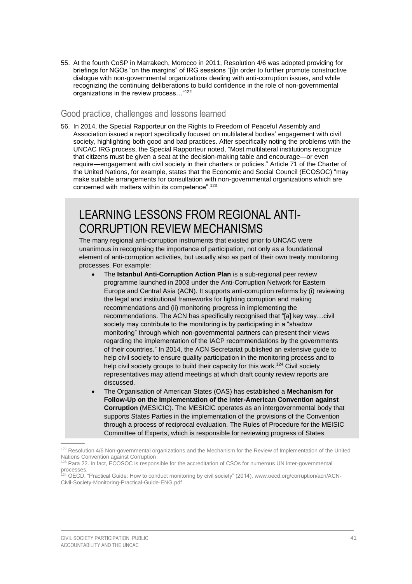55. At the fourth CoSP in Marrakech, Morocco in 2011, Resolution 4/6 was adopted providing for briefings for NGOs "on the margins" of IRG sessions "[i]n order to further promote constructive dialogue with non-governmental organizations dealing with anti-corruption issues, and while recognizing the continuing deliberations to build confidence in the role of non-governmental organizations in the review process…"<sup>122</sup>

#### <span id="page-44-0"></span>Good practice, challenges and lessons learned

56. In 2014, the Special Rapporteur on the Rights to Freedom of Peaceful Assembly and Association issued a report specifically focused on multilateral bodies' engagement with civil society, highlighting both good and bad practices. After specifically noting the problems with the UNCAC IRG process, the Special Rapporteur noted, "Most multilateral institutions recognize that citizens must be given a seat at the decision-making table and encourage—or even require—engagement with civil society in their charters or policies." Article 71 of the Charter of the United Nations, for example, states that the Economic and Social Council (ECOSOC) "may make suitable arrangements for consultation with non-governmental organizations which are concerned with matters within its competence".<sup>123</sup>

### LEARNING LESSONS FROM REGIONAL ANTI-CORRUPTION REVIEW MECHANISMS

The many regional anti-corruption instruments that existed prior to UNCAC were unanimous in recognising the importance of participation, not only as a foundational element of anti-corruption activities, but usually also as part of their own treaty monitoring processes. For example:

- The **Istanbul Anti-Corruption Action Plan** is a sub-regional peer review programme launched in 2003 under the Anti-Corruption Network for Eastern Europe and Central Asia (ACN). It supports anti-corruption reforms by (i) reviewing the legal and institutional frameworks for fighting corruption and making recommendations and (ii) monitoring progress in implementing the recommendations. The ACN has specifically recognised that "[a] key way…civil society may contribute to the monitoring is by participating in a "shadow monitoring" through which non-governmental partners can present their views regarding the implementation of the IACP recommendations by the governments of their countries." In 2014, the ACN Secretariat published an extensive guide to help civil society to ensure quality participation in the monitoring process and to help civil society groups to build their capacity for this work.<sup>124</sup> Civil society representatives may attend meetings at which draft county review reports are discussed.
- The Organisation of American States (OAS) has established a **Mechanism for Follow-Up on the Implementation of the Inter-American Convention against Corruption** (MESICIC). The MESICIC operates as an intergovernmental body that supports States Parties in the implementation of the provisions of the Convention through a process of reciprocal evaluation. The Rules of Procedure for the MEISIC Committee of Experts, which is responsible for reviewing progress of States

<sup>&</sup>lt;sup>122</sup> Resolution 4/6 Non-governmental organizations and the Mechanism for the Review of Implementation of the United Nations Convention against Corruption

<sup>&</sup>lt;sup>123</sup> Para 22. In fact, ECOSOC is responsible for the accreditation of CSOs for numerous UN inter-governmental processes.

<sup>&</sup>lt;sup>24</sup> OECD, "Practical Guide: How to conduct monitoring by civil society" (2014), [www.oecd.org/corruption/acn/ACN-](http://www.oecd.org/corruption/acn/ACN-Civil-Society-Monitoring-Practical-Guide-ENG.pdf)[Civil-Society-Monitoring-Practical-Guide-ENG.pdf](http://www.oecd.org/corruption/acn/ACN-Civil-Society-Monitoring-Practical-Guide-ENG.pdf)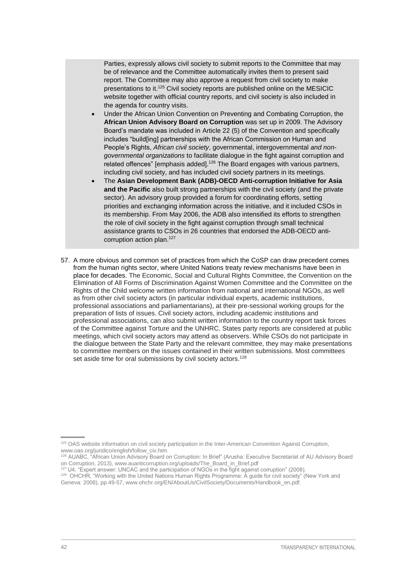Parties, expressly allows civil society to submit reports to the Committee that may be of relevance and the Committee automatically invites them to present said report. The Committee may also approve a request from civil society to make presentations to it.<sup>125</sup> Civil society reports are published online on the MESICIC website together with official country reports, and civil society is also included in the agenda for country visits.

- Under the African Union Convention on Preventing and Combating Corruption, the **African Union Advisory Board on Corruption** was set up in 2009. The Advisory Board's mandate was included in Article 22 (5) of the Convention and specifically includes "build[ing] partnerships with the African Commission on Human and People's Rights, *African civil society*, governmental, intergovernmental *and nongovernmental organizations* to facilitate dialogue in the fight against corruption and related offences" [emphasis added].<sup>126</sup> The Board engages with various partners, including civil society, and has included civil society partners in its meetings.
- The **Asian Development Bank (ADB)-OECD Anti-corruption Initiative for Asia and the Pacific** also built strong partnerships with the civil society (and the private sector). An advisory group provided a forum for coordinating efforts, setting priorities and exchanging information across the initiative, and it included CSOs in its membership. From May 2006, the ADB also intensified its efforts to strengthen the role of civil society in the fight against corruption through small technical assistance grants to CSOs in 26 countries that endorsed the ADB-OECD anticorruption action plan.127
- 57. A more obvious and common set of practices from which the CoSP can draw precedent comes from the human rights sector, where United Nations treaty review mechanisms have been in place for decades. The Economic, Social and Cultural Rights Committee, the Convention on the Elimination of All Forms of Discrimination Against Women Committee and the Committee on the Rights of the Child welcome written information from national and international NGOs, as well as from other civil society actors (in particular individual experts, academic institutions, professional associations and parliamentarians), at their pre-sessional working groups for the preparation of lists of issues. Civil society actors, including academic institutions and professional associations, can also submit written information to the country report task forces of the Committee against Torture and the UNHRC. States party reports are considered at public meetings, which civil society actors may attend as observers. While CSOs do not participate in the dialogue between the State Party and the relevant committee, they may make presentations to committee members on the issues contained in their written submissions. Most committees set aside time for oral submissions by civil society actors.<sup>128</sup>

- <sup>127</sup> U4, "Expert answer: UNCAC and the participation of NGOs in the fight against corruption" (2008).
- <sup>128</sup> OHCHR, "Working with the United Nations Human Rights Programme: A guide for civil society" (New York and Geneva: 2008), pp.49-57[, www.ohchr.org/EN/AboutUs/CivilSociety/Documents/Handbook\\_en.pdf.](http://www.ohchr.org/EN/AboutUs/CivilSociety/Documents/Handbook_en.pdf)

<sup>&</sup>lt;sup>125</sup> OAS website information on civil society participation in the Inter-American Convention Against Corruption, [www.oas.org/juridico/english/follow\\_civ.htm](http://www.oas.org/juridico/english/follow_civ.htm)

<sup>&</sup>lt;sup>26</sup> AUABC, "African Union Advisory Board on Corruption: In Brief" (Arusha: Executive Secretariat of AU Advisory Board on Corruption, 2013)[, www.auanticorruption.org/uploads/The\\_Board\\_in\\_Brief.pdf](http://www.auanticorruption.org/uploads/The_Board_in_Brief.pdf)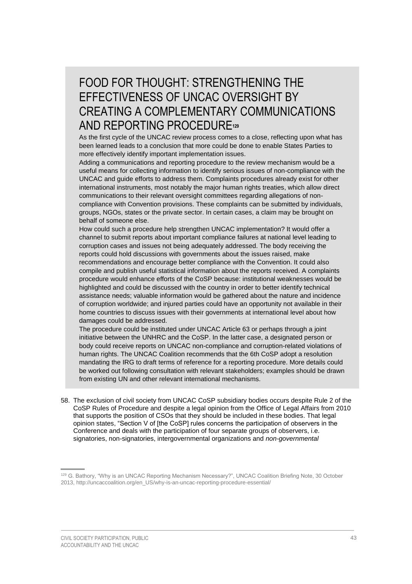## FOOD FOR THOUGHT: STRENGTHENING THE EFFECTIVENESS OF UNCAC OVERSIGHT BY CREATING A COMPLEMENTARY COMMUNICATIONS AND REPORTING PROCEDURE**<sup>129</sup>**

As the first cycle of the UNCAC review process comes to a close, reflecting upon what has been learned leads to a conclusion that more could be done to enable States Parties to more effectively identify important implementation issues.

Adding a communications and reporting procedure to the review mechanism would be a useful means for collecting information to identify serious issues of non-compliance with the UNCAC and guide efforts to address them. Complaints procedures already exist for other international instruments, most notably the major human rights treaties, which allow direct communications to their relevant oversight committees regarding allegations of noncompliance with Convention provisions. These complaints can be submitted by individuals, groups, NGOs, states or the private sector. In certain cases, a claim may be brought on behalf of someone else.

How could such a procedure help strengthen UNCAC implementation? It would offer a channel to submit reports about important compliance failures at national level leading to corruption cases and issues not being adequately addressed. The body receiving the reports could hold discussions with governments about the issues raised, make recommendations and encourage better compliance with the Convention. It could also compile and publish useful statistical information about the reports received. A complaints procedure would enhance efforts of the CoSP because: institutional weaknesses would be highlighted and could be discussed with the country in order to better identify technical assistance needs; valuable information would be gathered about the nature and incidence of corruption worldwide; and injured parties could have an opportunity not available in their home countries to discuss issues with their governments at international level about how damages could be addressed.

The procedure could be instituted under UNCAC Article 63 or perhaps through a joint initiative between the UNHRC and the CoSP. In the latter case, a designated person or body could receive reports on UNCAC non-compliance and corruption-related violations of human rights. The UNCAC Coalition recommends that the 6th CoSP adopt a resolution mandating the IRG to draft terms of reference for a reporting procedure. More details could be worked out following consultation with relevant stakeholders; examples should be drawn from existing UN and other relevant international mechanisms.

58. The exclusion of civil society from UNCAC CoSP subsidiary bodies occurs despite Rule 2 of the CoSP Rules of Procedure and despite a legal opinion from the Office of Legal Affairs from 2010 that supports the position of CSOs that they should be included in these bodies. That legal opinion states, "Section V of [the CoSP] rules concerns the participation of observers in the Conference and deals with the participation of four separate groups of observers, i.e. signatories, non-signatories, intergovernmental organizations and *non-governmental* 

<sup>&</sup>lt;sup>129</sup> G. Bathory, "Why is an UNCAC Reporting Mechanism Necessary?", UNCAC Coalition Briefing Note, 30 October 2013, [http://uncaccoalition.org/en\\_US/why-is-an-uncac-reporting-procedure-essential/](http://uncaccoalition.org/en_US/why-is-an-uncac-reporting-procedure-essential/)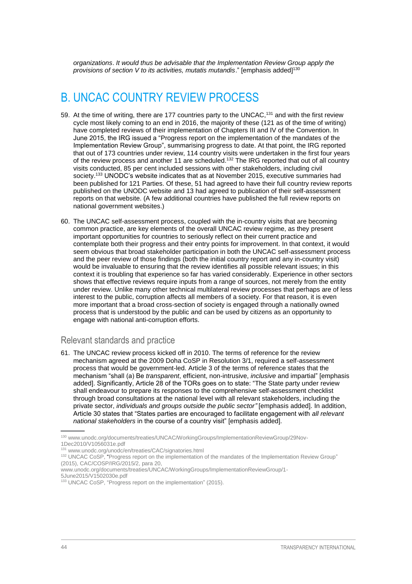*organizations*. *It would thus be advisable that the Implementation Review Group apply the provisions of section V to its activities, mutatis mutandis*." [emphasis added]<sup>130</sup>

### <span id="page-47-0"></span>B. UNCAC COUNTRY REVIEW PROCESS

- 59. At the time of writing, there are 177 countries party to the UNCAC,<sup>131</sup> and with the first review cycle most likely coming to an end in 2016, the majority of these (121 as of the time of writing) have completed reviews of their implementation of Chapters III and IV of the Convention. In June 2015, the IRG issued a "Progress report on the implementation of the mandates of the Implementation Review Group", summarising progress to date. At that point, the IRG reported that out of 173 countries under review, 114 country visits were undertaken in the first four years of the review process and another 11 are scheduled.<sup>132</sup> The IRG reported that out of all country visits conducted, 85 per cent included sessions with other stakeholders, including civil society.<sup>133</sup> UNODC's website indicates that as at November 2015, executive summaries had been published for 121 Parties. Of these, 51 had agreed to have their full country review reports published on the UNODC website and 13 had agreed to publication of their self-assessment reports on that website. (A few additional countries have published the full review reports on national government websites.)
- 60. The UNCAC self-assessment process, coupled with the in-country visits that are becoming common practice, are key elements of the overall UNCAC review regime, as they present important opportunities for countries to seriously reflect on their current practice and contemplate both their progress and their entry points for improvement. In that context, it would seem obvious that broad stakeholder participation in both the UNCAC self-assessment process and the peer review of those findings (both the initial country report and any in-country visit) would be invaluable to ensuring that the review identifies all possible relevant issues; in this context it is troubling that experience so far has varied considerably. Experience in other sectors shows that effective reviews require inputs from a range of sources, not merely from the entity under review. Unlike many other technical multilateral review processes that perhaps are of less interest to the public, corruption affects all members of a society. For that reason, it is even more important that a broad cross-section of society is engaged through a nationally owned process that is understood by the public and can be used by citizens as an opportunity to engage with national anti-corruption efforts.

#### <span id="page-47-1"></span>Relevant standards and practice

61. The UNCAC review process kicked off in 2010. The terms of reference for the review mechanism agreed at the 2009 Doha CoSP in Resolution 3/1, required a self-assessment process that would be government-led. Article 3 of the terms of reference states that the mechanism "shall (a) Be *transparent*, efficient, non-intrusive, *inclusive* and impartial" [emphasis added]. Significantly, Article 28 of the TORs goes on to state: "The State party under review shall endeavour to prepare its responses to the comprehensive self-assessment checklist through broad consultations at the national level with all relevant stakeholders, including the private sector, *individuals and groups outside the public sector"* [emphasis added]. In addition, Article 30 states that "States parties are encouraged to facilitate engagement with *all relevant national stakeholders* in the course of a country visit" [emphasis added].

<sup>130</sup> [www.unodc.org/documents/treaties/UNCAC/WorkingGroups/ImplementationReviewGroup/29Nov-](https://www.unodc.org/documents/treaties/UNCAC/WorkingGroups/ImplementationReviewGroup/29Nov-1Dec2010/V1056031e.pdf)[1Dec2010/V1056031e.pdf](https://www.unodc.org/documents/treaties/UNCAC/WorkingGroups/ImplementationReviewGroup/29Nov-1Dec2010/V1056031e.pdf)

<sup>131</sup> [www.unodc.org/unodc/en/treaties/CAC/signatories.html](http://www.unodc.org/unodc/en/treaties/CAC/signatories.html)

<sup>132</sup> UNCAC CoSP, "Progress report on the implementation of the mandates of the Implementation Review Group" (2015), CAC/COSP/IRG/2015/2, para 20,

[www.unodc.org/documents/treaties/UNCAC/WorkingGroups/ImplementationReviewGroup/1-](https://www.unodc.org/documents/treaties/UNCAC/WorkingGroups/ImplementationReviewGroup/1-5June2015/V1502030e.pdf)

[<sup>5</sup>June2015/V1502030e.pdf](https://www.unodc.org/documents/treaties/UNCAC/WorkingGroups/ImplementationReviewGroup/1-5June2015/V1502030e.pdf)

<sup>133</sup> UNCAC CoSP, "Progress report on the implementation" (2015).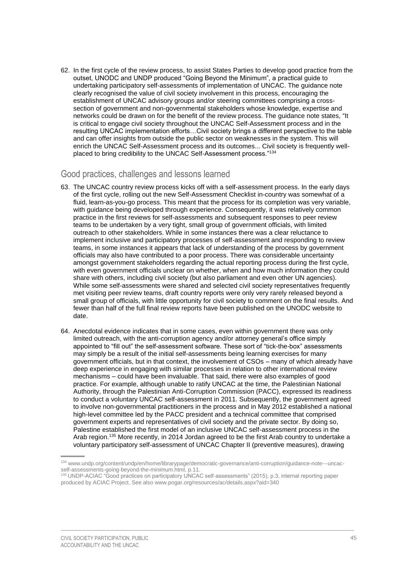62. In the first cycle of the review process, to assist States Parties to develop good practice from the outset, UNODC and UNDP produced "Going Beyond the Minimum", a practical guide to undertaking participatory self-assessments of implementation of UNCAC. The guidance note clearly recognised the value of civil society involvement in this process, encouraging the establishment of UNCAC advisory groups and/or steering committees comprising a crosssection of government and non-governmental stakeholders whose knowledge, expertise and networks could be drawn on for the benefit of the review process. The guidance note states, "It is critical to engage civil society throughout the UNCAC Self-Assessment process and in the resulting UNCAC implementation efforts…Civil society brings a different perspective to the table and can offer insights from outside the public sector on weaknesses in the system. This will enrich the UNCAC Self-Assessment process and its outcomes... Civil society is frequently wellplaced to bring credibility to the UNCAC Self-Assessment process."<sup>134</sup>

### <span id="page-48-0"></span>Good practices, challenges and lessons learned

- 63. The UNCAC country review process kicks off with a self-assessment process. In the early days of the first cycle, rolling out the new Self-Assessment Checklist in-country was somewhat of a fluid, learn-as-you-go process. This meant that the process for its completion was very variable, with guidance being developed through experience. Consequently, it was relatively common practice in the first reviews for self-assessments and subsequent responses to peer review teams to be undertaken by a very tight, small group of government officials, with limited outreach to other stakeholders. While in some instances there was a clear reluctance to implement inclusive and participatory processes of self-assessment and responding to review teams, in some instances it appears that lack of understanding of the process by government officials may also have contributed to a poor process. There was considerable uncertainty amongst government stakeholders regarding the actual reporting process during the first cycle, with even government officials unclear on whether, when and how much information they could share with others, including civil society (but also parliament and even other UN agencies). While some self-assessments were shared and selected civil society representatives frequently met visiting peer review teams, draft country reports were only very rarely released beyond a small group of officials, with little opportunity for civil society to comment on the final results. And fewer than half of the full final review reports have been published on the UNODC website to date.
- 64. Anecdotal evidence indicates that in some cases, even within government there was only limited outreach, with the anti-corruption agency and/or attorney general's office simply appointed to "fill out" the self-assessment software. These sort of "tick-the-box" assessments may simply be a result of the initial self-assessments being learning exercises for many government officials, but in that context, the involvement of CSOs – many of which already have deep experience in engaging with similar processes in relation to other international review mechanisms – could have been invaluable. That said, there were also examples of good practice. For example, although unable to ratify UNCAC at the time, the Palestinian National Authority, through the Palestinian Anti-Corruption Commission (PACC), expressed its readiness to conduct a voluntary UNCAC self-assessment in 2011. Subsequently, the government agreed to involve non-governmental practitioners in the process and in May 2012 established a national high-level committee led by the PACC president and a technical committee that comprised government experts and representatives of civil society and the private sector. By doing so, Palestine established the first model of an inclusive UNCAC self-assessment process in the Arab region.<sup>135</sup> More recently, in 2014 Jordan agreed to be the first Arab country to undertake a voluntary participatory self-assessment of UNCAC Chapter II (preventive measures), drawing

<sup>134</sup> [www.undp.org/content/undp/en/home/librarypage/democratic-governance/anti-corruption/guidance-note---uncac](http://www.undp.org/content/undp/en/home/librarypage/democratic-governance/anti-corruption/guidance-note---uncac-self-assessments-going-beyond-the-minimum.html)[self-assessments-going-beyond-the-minimum.html,](http://www.undp.org/content/undp/en/home/librarypage/democratic-governance/anti-corruption/guidance-note---uncac-self-assessments-going-beyond-the-minimum.html) p.11.

<sup>&</sup>lt;sup>35</sup> UNDP-ACIAC "Good practices on participatory UNCAC self-assessments" (2015), p.3, internal reporting paper produced by ACIAC Project. See als[o www.pogar.org/resources/ac/details.aspx?aid=340](http://www.pogar.org/resources/ac/details.aspx?aid=340)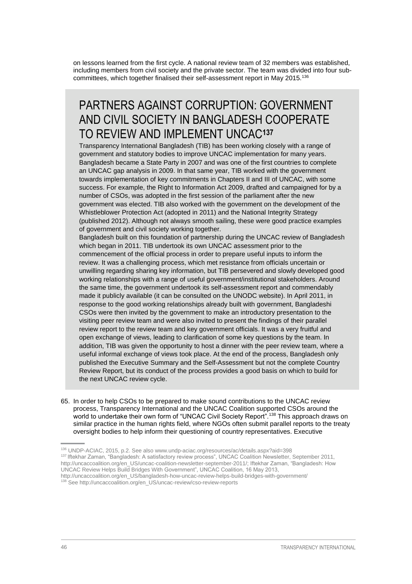on lessons learned from the first cycle. A national review team of 32 members was established, including members from civil society and the private sector. The team was divided into four subcommittees, which together finalised their self-assessment report in May 2015.<sup>136</sup>

### PARTNERS AGAINST CORRUPTION: GOVERNMENT AND CIVIL SOCIETY IN BANGLADESH COOPERATE TO REVIEW AND IMPLEMENT UNCAC**<sup>137</sup>**

[Transparency International Bangladesh](http://www.ti-bangladesh.org/) (TIB) has been working closely with a range of government and statutory bodies to improve UNCAC implementation for many years. Bangladesh became a State Party in 2007 and was one of the first countries to complete an UNCAC gap analysis in 2009. In that same year, TIB worked with the government towards implementation of key commitments in Chapters II and III of UNCAC, with some success. For example, the Right to Information Act 2009, drafted and campaigned for by a number of CSOs, was adopted in the first session of the parliament after the new government was elected. TIB also worked with the government on the development of the Whistleblower Protection Act (adopted in 2011) and the National Integrity Strategy (published 2012). Although not always smooth sailing, these were good practice examples of government and civil society working together.

Bangladesh built on this foundation of partnership during the UNCAC review of Bangladesh which began in 2011. TIB undertook its own UNCAC assessment prior to the commencement of the official process in order to prepare useful inputs to inform the review. It was a challenging process, which met resistance from officials uncertain or unwilling regarding sharing key information, but TIB persevered and slowly developed good working relationships with a range of useful government/institutional stakeholders. Around the same time, the government undertook its self-assessment report and commendably made it publicly available (it can be consulted on the UNODC website). In April 2011, in response to the good working relationships already built with government, Bangladeshi CSOs were then invited by the government to make an introductory presentation to the visiting peer review team and were also invited to present the findings of their parallel review report to the review team and key government officials. It was a very fruitful and open exchange of views, leading to clarification of some key questions by the team. In addition, TIB was given the opportunity to host a dinner with the peer review team, where a useful informal exchange of views took place. At the end of the process, Bangladesh only published the Executive Summary and the Self-Assessment but not the complete Country Review Report, but its conduct of the process provides a good basis on which to build for the next UNCAC review cycle.

65. In order to help CSOs to be prepared to make sound contributions to the UNCAC review process, Transparency International and the UNCAC Coalition supported CSOs around the world to undertake their own form of "UNCAC Civil Society Report".<sup>138</sup> This approach draws on similar practice in the human rights field, where NGOs often submit parallel reports to the treaty oversight bodies to help inform their questioning of country representatives. Executive

<sup>136</sup> UNDP-ACIAC, 2015, p.2. See also [www.undp-aciac.org/resources/ac/details.aspx?aid=398](http://www.undp-aciac.org/resources/ac/details.aspx?aid=398)

<sup>137</sup> Iftekhar Zaman, "Bangladesh: A satisfactory review process", UNCAC Coalition Newsletter, September 2011, [http://uncaccoalition.org/en\\_US/uncac-coalition-newsletter-september-2011/;](http://uncaccoalition.org/en_US/uncac-coalition-newsletter-september-2011/) Iftekhar Zaman, "Bangladesh: How

UNCAC Review Helps Build Bridges With Government", UNCAC Coalition, 16 May 2013,

[http://uncaccoalition.org/en\\_US/bangladesh-how-uncac-review-helps-build-bridges-with-government/](http://uncaccoalition.org/en_US/bangladesh-how-uncac-review-helps-build-bridges-with-government/)

<sup>138</sup> See [http://uncaccoalition.org/en\\_US/uncac-review/cso-review-reports](http://uncaccoalition.org/en_US/uncac-review/cso-review-reports)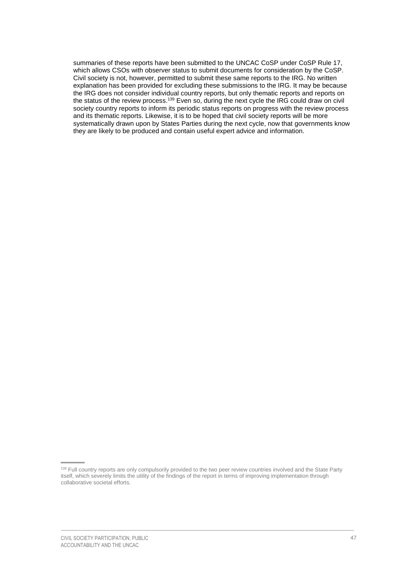summaries of these reports have been submitted to the UNCAC CoSP under CoSP Rule 17, which allows CSOs with observer status to submit documents for consideration by the CoSP. Civil society is not, however, permitted to submit these same reports to the IRG. No written explanation has been provided for excluding these submissions to the IRG. It may be because the IRG does not consider individual country reports, but only thematic reports and reports on the status of the review process.<sup>139</sup> Even so, during the next cycle the IRG could draw on civil society country reports to inform its periodic status reports on progress with the review process and its thematic reports. Likewise, it is to be hoped that civil society reports will be more systematically drawn upon by States Parties during the next cycle, now that governments know they are likely to be produced and contain useful expert advice and information.

<sup>&</sup>lt;sup>139</sup> Full country reports are only compulsorily provided to the two peer review countries involved and the State Party itself, which severely limits the utility of the findings of the report in terms of improving implementation through collaborative societal efforts.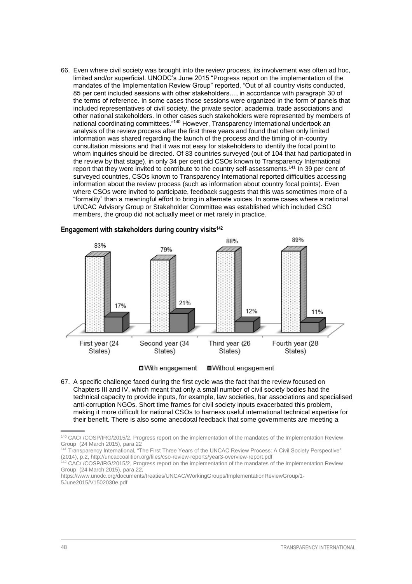66. Even where civil society was brought into the review process, its involvement was often ad hoc, limited and/or superficial. UNODC's June 2015 "Progress report on the implementation of the mandates of the Implementation Review Group" reported, "Out of all country visits conducted, 85 per cent included sessions with other stakeholders…, in accordance with paragraph 30 of the terms of reference. In some cases those sessions were organized in the form of panels that included representatives of civil society, the private sector, academia, trade associations and other national stakeholders. In other cases such stakeholders were represented by members of national coordinating committees."<sup>140</sup> However, Transparency International undertook an analysis of the review process after the first three years and found that often only limited information was shared regarding the launch of the process and the timing of in-country consultation missions and that it was not easy for stakeholders to identify the focal point to whom inquiries should be directed. Of 83 countries surveyed (out of 104 that had participated in the review by that stage), in only 34 per cent did CSOs known to Transparency International report that they were invited to contribute to the country self-assessments.<sup>141</sup> In 39 per cent of surveyed countries, CSOs known to Transparency International reported difficulties accessing information about the review process (such as information about country focal points). Even where CSOs were invited to participate, feedback suggests that this was sometimes more of a "formality" than a meaningful effort to bring in alternate voices. In some cases where a national UNCAC Advisory Group or Stakeholder Committee was established which included CSO members, the group did not actually meet or met rarely in practice.



□ With engagement

**■Without engagement** 

67. A specific challenge faced during the first cycle was the fact that the review focused on Chapters III and IV, which meant that only a small number of civil society bodies had the technical capacity to provide inputs, for example, law societies, bar associations and specialised anti-corruption NGOs. Short time frames for civil society inputs exacerbated this problem, making it more difficult for national CSOs to harness useful international technical expertise for their benefit. There is also some anecdotal feedback that some governments are meeting a

<sup>140</sup> CAC/ /COSP/IRG/2015/2, Progress report on the implementation of the mandates of the Implementation Review Group (24 March 2015), para 22

<sup>&</sup>lt;sup>141</sup> Transparency International, "The First Three Years of the UNCAC Review Process: A Civil Society Perspective" (2014), p.2,<http://uncaccoalition.org/files/cso-review-reports/year3-overview-report.pdf>

<sup>&</sup>lt;sup>142</sup> CAC/ /COSP/IRG/2015/2, Progress report on the implementation of the mandates of the Implementation Review Group (24 March 2015), para 22,

https://www.unodc.org/documents/treaties/UNCAC/WorkingGroups/ImplementationReviewGroup/1- 5June2015/V1502030e.pdf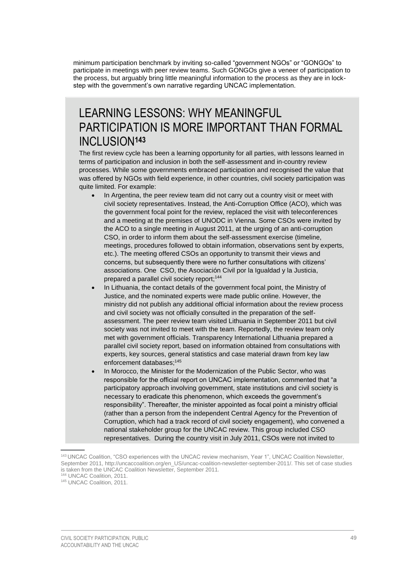minimum participation benchmark by inviting so-called "government NGOs" or "GONGOs" to participate in meetings with peer review teams. Such GONGOs give a veneer of participation to the process, but arguably bring little meaningful information to the process as they are in lockstep with the government's own narrative regarding UNCAC implementation.

### LEARNING LESSONS: WHY MEANINGFUL PARTICIPATION IS MORE IMPORTANT THAN FORMAL INCLUSION**<sup>143</sup>**

The first review cycle has been a learning opportunity for all parties, with lessons learned in terms of participation and inclusion in both the self-assessment and in-country review processes. While some governments embraced participation and recognised the value that was offered by NGOs with field experience, in other countries, civil society participation was quite limited. For example:

- In Argentina, the peer review team did not carry out a country visit or meet with civil society representatives. Instead, the Anti-Corruption Office (ACO), which was the government focal point for the review, replaced the visit with teleconferences and a meeting at the premises of UNODC in Vienna. Some CSOs were invited by the ACO to a single meeting in August 2011, at the urging of an anti-corruption CSO, in order to inform them about the self-assessment exercise (timeline, meetings, procedures followed to obtain information, observations sent by experts, etc.). The meeting offered CSOs an opportunity to transmit their views and concerns, but subsequently there were no further consultations with citizens' associations. One CSO, the Asociación Civil por la Igualdad y la Justicia, prepared a parallel civil society report; 144
- In Lithuania, the contact details of the government focal point, the Ministry of Justice, and the nominated experts were made public online. However, the ministry did not publish any additional official information about the review process and civil society was not officially consulted in the preparation of the selfassessment. The peer review team visited Lithuania in September 2011 but civil society was not invited to meet with the team. Reportedly, the review team only met with government officials. Transparency International Lithuania prepared a parallel civil society report, based on information obtained from consultations with experts, key sources, general statistics and case material drawn from key law enforcement databases; 145
- In Morocco, the Minister for the Modernization of the Public Sector, who was responsible for the official report on UNCAC implementation, commented that "a participatory approach involving government, state institutions and civil society is necessary to eradicate this phenomenon, which exceeds the government's responsibility". Thereafter, the minister appointed as focal point a ministry official (rather than a person from the independent Central Agency for the Prevention of Corruption, which had a track record of civil society engagement), who convened a national stakeholder group for the UNCAC review. This group included CSO representatives. During the country visit in July 2011, CSOs were not invited to

<sup>143</sup> UNCAC Coalition, "CSO experiences with the UNCAC review mechanism, Year 1", UNCAC Coalition Newsletter, September 2011[, http://uncaccoalition.org/en\\_US/uncac-coalition-newsletter-september-2011/.](http://uncaccoalition.org/en_US/uncac-coalition-newsletter-september-2011/) This set of case studies is taken from the UNCAC Coalition Newsletter, September 2011.

<sup>&</sup>lt;sup>44</sup> UNCAC Coalition, 2011.

<sup>145</sup> UNCAC Coalition, 2011.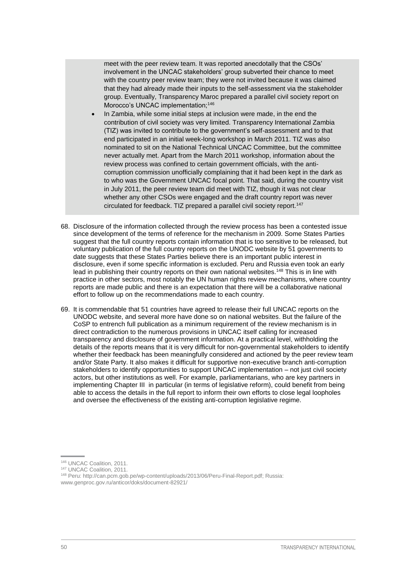meet with the peer review team. It was reported anecdotally that the CSOs' involvement in the UNCAC stakeholders' group subverted their chance to meet with the country peer review team; they were not invited because it was claimed that they had already made their inputs to the self-assessment via the stakeholder group. Eventually, Transparency Maroc prepared a parallel civil society report on Morocco's UNCAC implementation;<sup>146</sup>

- In Zambia, while some initial steps at inclusion were made, in the end the contribution of civil society was very limited. Transparency International Zambia (TIZ) was invited to contribute to the government's self-assessment and to that end participated in an initial week-long workshop in March 2011. TIZ was also nominated to sit on the National Technical UNCAC Committee, but the committee never actually met. Apart from the March 2011 workshop, information about the review process was confined to certain government officials, with the anticorruption commission unofficially complaining that it had been kept in the dark as to who was the Government UNCAC focal point. That said, during the country visit in July 2011, the peer review team did meet with TIZ, though it was not clear whether any other CSOs were engaged and the draft country report was never circulated for feedback. TIZ prepared a parallel civil society report.<sup>147</sup>
- 68. Disclosure of the information collected through the review process has been a contested issue since development of the terms of reference for the mechanism in 2009. Some States Parties suggest that the full country reports contain information that is too sensitive to be released, but voluntary publication of the full country reports on the UNODC website by 51 governments to date suggests that these States Parties believe there is an important public interest in disclosure, even if some specific information is excluded. Peru and Russia even took an early lead in publishing their country reports on their own national websites.<sup>148</sup> This is in line with practice in other sectors, most notably the UN human rights review mechanisms, where country reports are made public and there is an expectation that there will be a collaborative national effort to follow up on the recommendations made to each country.
- 69. It is commendable that 51 countries have agreed to release their full UNCAC reports on the UNODC website, and several more have done so on national websites. But the failure of the CoSP to entrench full publication as a minimum requirement of the review mechanism is in direct contradiction to the numerous provisions in UNCAC itself calling for increased transparency and disclosure of government information. At a practical level, withholding the details of the reports means that it is very difficult for non-governmental stakeholders to identify whether their feedback has been meaningfully considered and actioned by the peer review team and/or State Party. It also makes it difficult for supportive non-executive branch anti-corruption stakeholders to identify opportunities to support UNCAC implementation – not just civil society actors, but other institutions as well. For example, parliamentarians, who are key partners in implementing Chapter III in particular (in terms of legislative reform), could benefit from being able to access the details in the full report to inform their own efforts to close legal loopholes and oversee the effectiveness of the existing anti-corruption legislative regime.

<sup>146</sup> UNCAC Coalition, 2011.

<sup>147</sup> UNCAC Coalition, 2011.

<sup>148</sup> Peru: [http://can.pcm.gob.pe/wp-content/uploads/2013/06/Peru-Final-Report.pdf;](http://can.pcm.gob.pe/wp-content/uploads/2013/06/Peru-Final-Report.pdf) Russia: [www.genproc.gov.ru/anticor/doks/document-82921/](http://www.genproc.gov.ru/anticor/doks/document-82921/)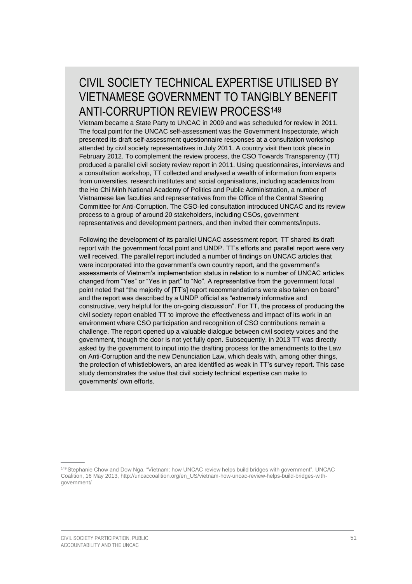## CIVIL SOCIETY TECHNICAL EXPERTISE UTILISED BY VIETNAMESE GOVERNMENT TO TANGIBLY BENEFIT ANTI-CORRUPTION REVIEW PROCESS<sup>149</sup>

Vietnam became a State Party to UNCAC in 2009 and was scheduled for review in 2011. The focal point for the UNCAC self-assessment was the Government Inspectorate, which presented its draft self-assessment questionnaire responses at a consultation workshop attended by civil society representatives in July 2011. A country visit then took place in February 2012. To complement the review process, the CSO Towards Transparency (TT) produced a parallel civil society review report in 2011. Using questionnaires, interviews and a consultation workshop, TT collected and analysed a wealth of information from experts from universities, research institutes and social organisations, including academics from the Ho Chi Minh National Academy of Politics and Public Administration, a number of Vietnamese law faculties and representatives from the Office of the Central Steering Committee for Anti-Corruption. The CSO-led consultation introduced UNCAC and its review process to a group of around 20 stakeholders, including CSOs, government representatives and development partners, and then invited their comments/inputs.

Following the development of its parallel UNCAC assessment report, TT shared its draft report with the government focal point and UNDP. TT's efforts and parallel report were very well received. The parallel report included a number of findings on UNCAC articles that were incorporated into the government's own country report, and the government's assessments of Vietnam's implementation status in relation to a number of UNCAC articles changed from "Yes" or "Yes in part" to "No". A representative from the government focal point noted that "the majority of [TT's] report recommendations were also taken on board" and the report was described by a UNDP official as "extremely informative and constructive, very helpful for the on-going discussion". For TT, the process of producing the civil society report enabled TT to improve the effectiveness and impact of its work in an environment where CSO participation and recognition of CSO contributions remain a challenge. The report opened up a valuable dialogue between civil society voices and the government, though the door is not yet fully open. Subsequently, in 2013 TT was directly asked by the government to input into the drafting process for the amendments to the Law on Anti-Corruption and the new Denunciation Law, which deals with, among other things, the protection of whistleblowers, an area identified as weak in TT's survey report. This case study demonstrates the value that civil society technical expertise can make to governments' own efforts.

<sup>&</sup>lt;sup>149</sup> Stephanie Chow and Dow Nga, "Vietnam: how UNCAC review helps build bridges with government". UNCAC Coalition, 16 May 2013, [http://uncaccoalition.org/en\\_US/vietnam-how-uncac-review-helps-build-bridges-with](http://uncaccoalition.org/en_US/vietnam-how-uncac-review-helps-build-bridges-with-government/)[government/](http://uncaccoalition.org/en_US/vietnam-how-uncac-review-helps-build-bridges-with-government/)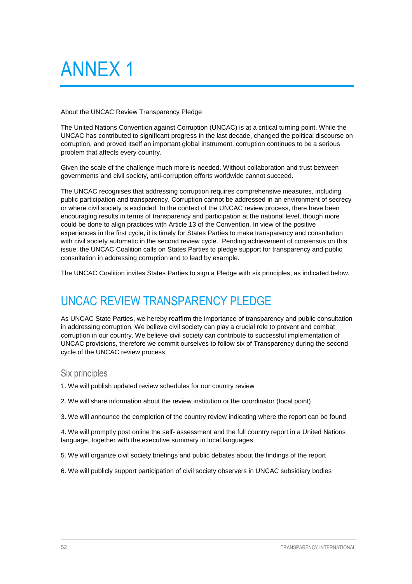# <span id="page-55-0"></span>ANNEX 1

#### About the UNCAC Review Transparency Pledge

The United Nations Convention against Corruption (UNCAC) is at a critical turning point. While the UNCAC has contributed to significant progress in the last decade, changed the political discourse on corruption, and proved itself an important global instrument, corruption continues to be a serious problem that affects every country.

Given the scale of the challenge much more is needed. Without collaboration and trust between governments and civil society, anti-corruption efforts worldwide cannot succeed.

The UNCAC recognises that addressing corruption requires comprehensive measures, including public participation and transparency. Corruption cannot be addressed in an environment of secrecy or where civil society is excluded. In the context of the UNCAC review process, there have been encouraging results in terms of transparency and participation at the national level, though more could be done to align practices with Article 13 of the Convention. In view of the positive experiences in the first cycle, it is timely for States Parties to make transparency and consultation with civil society automatic in the second review cycle. Pending achievement of consensus on this issue, the UNCAC Coalition calls on States Parties to pledge support for transparency and public consultation in addressing corruption and to lead by example.

The UNCAC Coalition invites States Parties to sign a Pledge with six principles, as indicated below.

# <span id="page-55-1"></span>UNCAC REVIEW TRANSPARENCY PLEDGE

As UNCAC State Parties, we hereby reaffirm the importance of transparency and public consultation in addressing corruption. We believe civil society can play a crucial role to prevent and combat corruption in our country. We believe civil society can contribute to successful implementation of UNCAC provisions, therefore we commit ourselves to follow six of Transparency during the second cycle of the UNCAC review process.

### <span id="page-55-2"></span>Six principles

- 1. We will publish updated review schedules for our country review
- 2. We will share information about the review institution or the coordinator (focal point)

3. We will announce the completion of the country review indicating where the report can be found

4. We will promptly post online the self- assessment and the full country report in a United Nations language, together with the executive summary in local languages

- 5. We will organize civil society briefings and public debates about the findings of the report
- 6. We will publicly support participation of civil society observers in UNCAC subsidiary bodies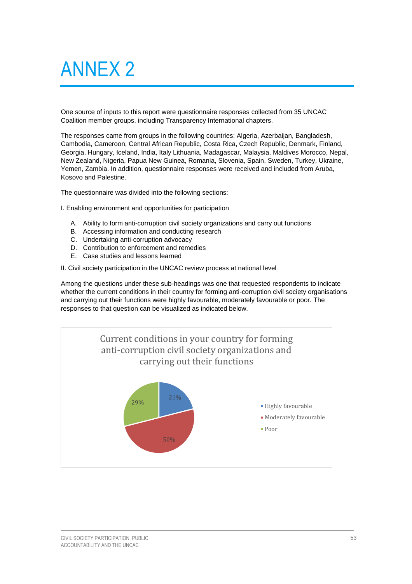# <span id="page-56-0"></span>ANNEX 2

One source of inputs to this report were questionnaire responses collected from 35 UNCAC Coalition member groups, including Transparency International chapters.

The responses came from groups in the following countries: Algeria, Azerbaijan, Bangladesh, Cambodia, Cameroon, Central African Republic, Costa Rica, Czech Republic, Denmark, Finland, Georgia, Hungary, Iceland, India, Italy Lithuania, Madagascar, Malaysia, Maldives Morocco, Nepal, New Zealand, Nigeria, Papua New Guinea, Romania, Slovenia, Spain, Sweden, Turkey, Ukraine, Yemen, Zambia. In addition, questionnaire responses were received and included from Aruba, Kosovo and Palestine.

The questionnaire was divided into the following sections:

I. Enabling environment and opportunities for participation

- A. Ability to form anti-corruption civil society organizations and carry out functions
- B. Accessing information and conducting research
- C. Undertaking anti-corruption advocacy
- D. Contribution to enforcement and remedies
- E. Case studies and lessons learned

II. Civil society participation in the UNCAC review process at national level

Among the questions under these sub-headings was one that requested respondents to indicate whether the current conditions in their country for forming anti-corruption civil society organisations and carrying out their functions were highly favourable, moderately favourable or poor. The responses to that question can be visualized as indicated below.

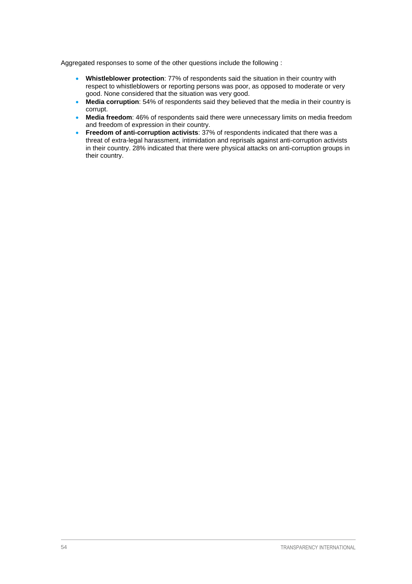Aggregated responses to some of the other questions include the following :

- **Whistleblower protection**: 77% of respondents said the situation in their country with respect to whistleblowers or reporting persons was poor, as opposed to moderate or very good. None considered that the situation was very good.
- **Media corruption**: 54% of respondents said they believed that the media in their country is corrupt.
- **Media freedom**: 46% of respondents said there were unnecessary limits on media freedom and freedom of expression in their country.
- **Freedom of anti-corruption activists**: 37% of respondents indicated that there was a threat of extra-legal harassment, intimidation and reprisals against anti-corruption activists in their country. 28% indicated that there were physical attacks on anti-corruption groups in their country.